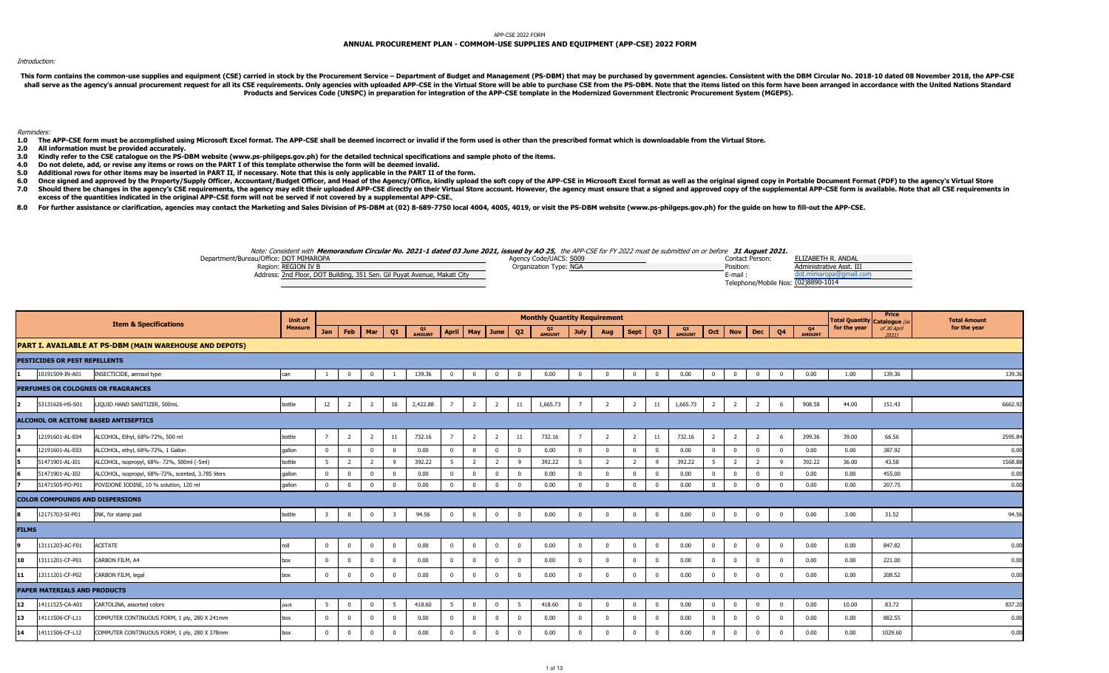## APP-CSE 2022 FORM

## **ANNUAL PROCUREMENT PLAN - COMMOM-USE SUPPLIES AND EQUIPMENT (APP-CSE) 2022 FORM**

## Introduction:

This form contains the common-use supplies and equipment (CSE) carried in stock by the Procurement Service - Department of Budget and Management (PS-DBM) that may be purchased by government agencies. Consistent with the DB shall serve as the agency's annual procurement request for all its CSE requirements. Only agencies with uploaded APP-CSE in the Virtual Store will be able to purchase CSE from the PS-DBM. Note that the items listed on this **Products and Services Code (UNSPC) in preparation for integration of the APP-CSE template in the Modernized Government Electronic Procurement System (MGEPS).** 

Reminders:

- 1.0 The APP-CSE form must be accomplished using Microsoft Excel format. The APP-CSE shall be deemed incorrect or invalid if the form used is other than the prescribed format which is downloadable from the Virtual Store.
- **2.0All information must be provided accurately.**
- **3.0Kindly refer to the CSE catalogue on the PS-DBM website (www.ps-philgeps.gov.ph) for the detailed technical specifications and sample photo of the items.**
- **4.0 Do not delete, add, or revise any items or rows on the PART I of this template otherwise the form will be deemed invalid.**
- **5.0Additional rows for other items may be inserted in PART II, if necessary. Note that this is only applicable in the PART II of the form.**
- **6.0 7.0**Once signed and approved by the Property/Supply Officer, Accountant/Budget Officer, and Head of the Agency/Office, kindly upload the soft copy of the APP-CSE in Microsoft Excel format as well as the original signed copy in Should there be changes in the agency's CSE requirements, the agency may edit their uploaded APP-CSE directly on their Virtual Store account. However, the agency must ensure that a signed and approved copy of the supplemen
- **excess of the quantities indicated in the original APP-CSE form will not be served if not covered by a supplemental APP-CSE.**
- 8.0 For further assistance or clarification, agencies may contact the Marketing and Sales Division of PS-DBM at (02) 8-689-7750 local 4004, 4005, 4019, or visit the PS-DBM website (www.ps-philgeps.gov.ph) for the guide on

## Note: Consistent with **Memorandum Circular No. 2021-1 dated 03 June 2021, issued by AO 25,** the APP-CSE for FY 2022 must be submitted on or before **31 August 2021.**

| Department/Bureau/Office: DOT MIMAROPA                                   | Agency Code/UACS: S009 | Contact Person:                     | ELIZABETH R. ANDAL       |
|--------------------------------------------------------------------------|------------------------|-------------------------------------|--------------------------|
| Region: REGION IV B                                                      | Organization Type: NGA | Position:                           | Administrative Asst. III |
| Address: 2nd Floor, DOT Building, 351 Sen. Gil Puyat Avenue, Makati City |                        | E-mail                              | uot.mimaropa@gmail.com   |
|                                                                          |                        | Telephone/Mobile Nos: (02)8890-1014 |                          |

|                 |                                     | <b>Item &amp; Specifications</b>                        | <b>Unit of</b> |                         |                         |                |                         |              |              |                         |                |              | <b>Monthly Quantity Requirement</b> |                |                |                |                |              |                |                |                |                         |                          | Total Quantity Catalogue (a | Price       | <b>Total Amount</b> |
|-----------------|-------------------------------------|---------------------------------------------------------|----------------|-------------------------|-------------------------|----------------|-------------------------|--------------|--------------|-------------------------|----------------|--------------|-------------------------------------|----------------|----------------|----------------|----------------|--------------|----------------|----------------|----------------|-------------------------|--------------------------|-----------------------------|-------------|---------------------|
|                 |                                     |                                                         | <b>Measure</b> | Jan                     | Feb                     | Mar            | Q <sub>1</sub>          | Q1<br>AMOUNT | <b>April</b> | May June Q2             |                |              | Q <sub>2</sub><br>AMOUNT            | <b>July</b>    | Aug            | Sept           | Q3             | Q3<br>AMOUNT | Oct            | <b>Nov</b>     | <b>Dec</b>     | Q4                      | Q <sub>4</sub><br>AMOUNT | for the year                | of 30 April | for the year        |
|                 |                                     | PART I. AVAILABLE AT PS-DBM (MAIN WAREHOUSE AND DEPOTS) |                |                         |                         |                |                         |              |              |                         |                |              |                                     |                |                |                |                |              |                |                |                |                         |                          |                             |             |                     |
|                 | PESTICIDES OR PEST REPELLENTS       |                                                         |                |                         |                         |                |                         |              |              |                         |                |              |                                     |                |                |                |                |              |                |                |                |                         |                          |                             |             |                     |
|                 | 10191509-IN-A01                     | INSECTICIDE, aerosol type                               | can            |                         | $\overline{\mathbf{0}}$ | $\mathbf 0$    |                         | 139.36       |              | $\overline{0}$          | $\mathbf 0$    | $\Omega$     | 0.00                                |                | $\Omega$       | $\Omega$       | $\overline{0}$ | 0.00         | $\mathbf{0}$   | $\Omega$       | $\overline{0}$ | $\overline{0}$          | 0.00                     | 1.00                        | 139.36      | 139.36              |
|                 |                                     | PERFUMES OR COLOGNES OR FRAGRANCES                      |                |                         |                         |                |                         |              |              |                         |                |              |                                     |                |                |                |                |              |                |                |                |                         |                          |                             |             |                     |
|                 | 53131626-HS-S01                     | LIQUID HAND SANITIZER, 500mL                            | bottle         | 12                      | $\overline{2}$          | $\overline{2}$ | 16                      | 2,422.88     | $7^{\circ}$  | $\overline{2}$          | $\overline{2}$ | 11           | 1,665.73                            | $\overline{7}$ |                | $\overline{2}$ | 11             | 1,665.73     | $\overline{2}$ | 2              | $\overline{2}$ | - 6                     | 908.58                   | 44.00                       | 151.43      | 6662.9              |
|                 |                                     | ALCOHOL OR ACETONE BASED ANTISEPTICS                    |                |                         |                         |                |                         |              |              |                         |                |              |                                     |                |                |                |                |              |                |                |                |                         |                          |                             |             |                     |
|                 | 12191601-AL-E04                     | ALCOHOL, Ethyl, 68%-72%, 500 ml                         | bottle         |                         | $\overline{2}$          | $\overline{2}$ | 11                      | 732.16       | $7^{\circ}$  | $\overline{2}$          | 2              | 11           | 732.16                              | $\overline{7}$ | $\overline{2}$ | $\overline{2}$ | 11             | 732.16       | $\overline{2}$ | $\overline{2}$ | $\overline{2}$ | - 6                     | 399.36                   | 39.00                       | 66.56       | 2595.8              |
|                 | 12191601-AL-E03                     | ALCOHOL, ethyl, 68%-72%, 1 Gallon                       | qallon         | $\Omega$                | $\overline{\mathbf{0}}$ | $\mathbf 0$    |                         | 0.00         | $\Omega$     | $\Omega$                | $\mathbf 0$    | $\Omega$     | 0.00                                | $\Omega$       | $\Omega$       | $\Omega$       | $\mathbf 0$    | 0.00         | $\Omega$       |                | $\mathbf 0$    | $\overline{0}$          | 0.00                     | 0.00                        | 387.92      | 0.00                |
|                 | 51471901-AL-I01                     | ALCOHOL, isopropyl, 68%- 72%, 500ml (-5ml)              | bottle         |                         | $\overline{2}$          |                |                         | 392.22       |              | $\overline{2}$          |                | $\mathsf{Q}$ | 392.22                              |                |                |                | 9              | 392.22       | 5              |                | $\overline{2}$ | $\mathbf{q}$            | 392.22                   | 36.00                       | 43.58       | 1568.8              |
|                 | 51471901-AL-I02                     | ALCOHOL, isopropyl, 68%-72%, scented, 3.785 liters      | gallon         | $\Omega$                | $\mathbf 0$             | $\mathbf 0$    |                         | 0.00         |              | $\Omega$                | $\Omega$       |              | 0.00                                |                |                |                | $\mathbf{0}$   | 0.00         |                |                | $\mathbf{0}$   | $\Omega$                | 0.00                     | 0.00                        | 455.00      | 0.00                |
|                 | 51471505-PO-P01                     | POVIDONE IODINE, 10 % solution, 120 ml                  | qallon         | $\Omega$                | $\overline{0}$          | $\overline{0}$ |                         | 0.00         |              | $\Omega$                | $\Omega$       | $\Omega$     | 0.00                                |                |                |                | $\overline{0}$ | 0.00         | $\Omega$       |                | $\Omega$       | $\Omega$                | 0.00                     | 0.00                        | 207.75      | 0.00                |
|                 |                                     | <b>COLOR COMPOUNDS AND DISPERSIONS</b>                  |                |                         |                         |                |                         |              |              |                         |                |              |                                     |                |                |                |                |              |                |                |                |                         |                          |                             |             |                     |
|                 | 12171703-SI-P01                     | INK, for stamp pad                                      | bottle         | $\overline{\mathbf{3}}$ | $\overline{0}$          | $\bf{0}$       | $\overline{\mathbf{3}}$ | 94.56        | $\mathbf{0}$ | $\overline{0}$          | $\overline{0}$ | $\mathbf{0}$ | 0.00                                | $^{\circ}$     | $\Omega$       | $\overline{0}$ | $\overline{0}$ | 0.00         | $\overline{0}$ | $\mathbf{0}$   | $\overline{0}$ | $\overline{\mathbf{0}}$ | 0.00                     | 3.00                        | 31.52       | 94.56               |
| <b>FILMS</b>    |                                     |                                                         |                |                         |                         |                |                         |              |              |                         |                |              |                                     |                |                |                |                |              |                |                |                |                         |                          |                             |             |                     |
|                 | 13111203-AC-F01                     | <b>ACETATE</b>                                          | roll           | $\mathbf{0}$            | $\mathbf 0$             | $\mathbf 0$    | $^{\circ}$              | 0.00         | $^{\circ}$   | $\overline{\mathbf{0}}$ | $^{\circ}$     | $^{\circ}$   | 0.00                                | $^{\circ}$     | $\Omega$       | $\mathbf{0}$   | $\bf{0}$       | 0.00         | $\mathbf{0}$   | $^{\circ}$     | $\bf{0}$       | $\Omega$                | 0.00                     | 0.00                        | 847.82      | 0.00                |
| 10              | 13111201-CF-P01                     | CARBON FILM, A4                                         | box            | $\Omega$                | $\mathbf{0}$            | $\mathbf 0$    |                         | 0.00         | $^{\circ}$   | $\overline{0}$          | $^{\circ}$     | $\Omega$     | 0.00                                | $^{\circ}$     | $\Omega$       | $\Omega$       | $\overline{0}$ | 0.00         | $\Omega$       | $\Omega$       | $\overline{0}$ | $\Omega$                | 0.00                     | 0.00                        | 221.00      | 0.00                |
| 11              | 13111201-CF-P02                     | CARBON FILM, legal                                      | box            | $\Omega$                | $\overline{0}$          | $\mathbf 0$    |                         | 0.00         | $\mathbf 0$  | $\overline{0}$          | $\mathbf 0$    | $\Omega$     | 0.00                                | $\Omega$       | $\Omega$       | $\Omega$       | $\overline{0}$ | 0.00         | $\mathbf 0$    | $\Omega$       | $\overline{0}$ | $\overline{\mathbf{0}}$ | 0.00                     | 0.00                        | 208.52      | 0.00                |
|                 | <b>PAPER MATERIALS AND PRODUCTS</b> |                                                         |                |                         |                         |                |                         |              |              |                         |                |              |                                     |                |                |                |                |              |                |                |                |                         |                          |                             |             |                     |
| 12 <sub>2</sub> | 14111525-CA-A01                     | CARTOLINA, assorted colors                              | pack           | 5                       | $\mathbf 0$             | $\mathbf 0$    | 5                       | 418.60       | $5^{\circ}$  | $\overline{0}$          | $\mathbf 0$    | 5            | 418.60                              | $^{\circ}$     | $\mathbf{0}$   | $\overline{0}$ | $\bf{0}$       | 0.00         | $\overline{0}$ | $^{\circ}$     | $\overline{0}$ | $\overline{0}$          | 0.00                     | 10.00                       | 83.72       | 837.2               |
| 13              | 14111506-CF-L11                     | COMPUTER CONTINUOUS FORM, 1 ply, 280 X 241mm            | box            | $\Omega$                | $\overline{0}$          | $\mathbf 0$    |                         | 0.00         | $\mathbf 0$  | $\Omega$                | $\Omega$       |              | 0.00                                | $\Omega$       |                | $\Omega$       | $\overline{0}$ | 0.00         | $\Omega$       | $\Omega$       | $\overline{0}$ | $\Omega$                | 0.00                     | 0.00                        | 882.55      | 0.00                |
| 14              | 14111506-CF-L12                     | COMPUTER CONTINUOUS FORM, 1 ply, 280 X 378mm            | box            | $\Omega$                | $\overline{0}$          | $\mathbf 0$    |                         | 0.00         | $\Omega$     | $\overline{0}$          | $\mathbf{0}$   | $\Omega$     | 0.00                                |                |                |                | $\mathbf{0}$   | 0.00         | $\Omega$       | $\Omega$       | $\mathbf{0}$   | $\Omega$                | 0.00                     | 0.00                        | 1029.60     | 0.00                |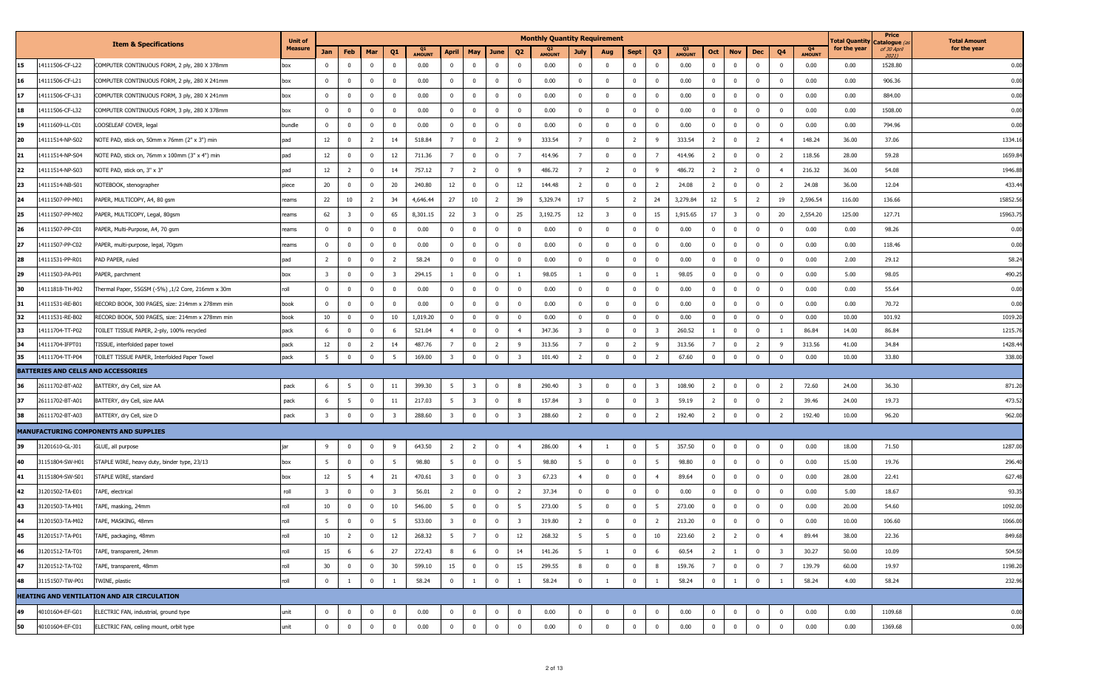| <b>Measure</b><br>for the year<br>for the year<br>of 30 April<br>Q1<br>Q <sub>2</sub><br>Q <sub>3</sub><br>Q4<br>Feb<br>Q <sub>1</sub><br><b>April</b><br>May<br>June<br>Q <sub>2</sub><br>Q <sub>3</sub><br>Q4<br>Jan<br>Mar<br>Sept<br>Oct<br><b>Nov</b><br>Dec<br>July<br>Aug<br><b>AMOUNT</b><br><b>AMOUNT</b><br><b>AMOUNT</b><br><b>AMOUNT</b><br>20211<br>$\mathbf 0$<br>$\overline{0}$<br>14111506-CF-L22<br>$\overline{0}$<br>$\mathbf 0$<br>0.00<br>$\mathbf{0}$<br>0.00<br>$\mathbf{0}$<br>0.00<br>0.00<br>1528.80<br>15<br>COMPUTER CONTINUOUS FORM, 2 ply, 280 X 378mm<br>$\overline{0}$<br>$\mathbf{0}$<br>0.00<br>$\mathbf 0$<br>$\overline{\mathbf{0}}$<br>$\mathbf{0}$<br>$\mathbf{0}$<br>$\overline{\mathbf{0}}$<br>$^{\circ}$<br>box<br>$\Omega$<br>$\mathbf 0$<br>906.36<br>16<br>14111506-CF-L21<br>$\mathbf 0$<br>$\bf{0}$<br>$\overline{\mathbf{0}}$<br>0.00<br>$\overline{\mathbf{0}}$<br>$\bf{0}$<br>$\overline{\mathbf{0}}$<br>0.00<br>$\bf{0}$<br>0.00<br>$\overline{0}$<br>$\mathbf{0}$<br>0.00<br>0.00<br>COMPUTER CONTINUOUS FORM, 2 ply, 280 X 241mm<br>$\mathbf 0$<br>$\mathbf 0$<br>$\mathbf{0}$<br>$\mathbf{0}$<br>$\overline{\mathbf{0}}$<br>$^{\circ}$<br>box<br>$^{\circ}$<br>17<br>$\mathbf 0$<br>$\overline{0}$<br>$\mathbf 0$<br>$\overline{0}$<br>0.00<br>884.00<br>14111506-CF-L31<br>$\mathbf{0}$<br>0.00<br>$\overline{0}$<br>$\overline{\mathbf{0}}$<br>0.00<br>$\mathbf 0$<br>$^{\circ}$<br>$\mathbf 0$<br>$\overline{\mathbf{0}}$<br>0.00<br>$\mathbf{0}$<br>0.00<br>COMPUTER CONTINUOUS FORM, 3 ply, 280 X 241mm<br>box<br>$\Omega$<br>$^{\circ}$<br>$\Omega$<br>$^{\circ}$<br>18<br>14111506-CF-L32<br>$\overline{0}$<br>$\bf{0}$<br>$\overline{\mathbf{0}}$<br>0.00<br>$\overline{0}$<br>$\bf{0}$<br>$\overline{\mathbf{0}}$<br>0.00<br>$\bf{0}$<br>$\overline{0}$<br>0.00<br>$\overline{\mathbf{0}}$<br>$\mathbf{0}$<br>0.00<br>0.00<br>1508.00<br>COMPUTER CONTINUOUS FORM, 3 ply, 280 X 378mm<br>$\Omega$<br>$\mathbf 0$<br>$\overline{0}$<br>$\overline{\mathbf{0}}$<br>$^{\circ}$<br>$^{\circ}$<br>box<br>$\overline{0}$<br>19<br>bundle<br>$\mathbf{0}$<br>$\overline{0}$<br>0.00<br>$\overline{0}$<br>$\mathbf 0$<br>$\bf{0}$<br>$\overline{\mathbf{0}}$<br>$\overline{0}$<br>$\mathbf{0}$<br>$\overline{0}$<br>0.00<br>$\mathbf 0$<br>$\mathbf{0}$<br>0.00<br>0.00<br>794.96<br>14111609-LL-C01<br>LOOSELEAF COVER, legal<br>$\mathbf 0$<br>0.00<br>$\overline{0}$<br>$^{\circ}$<br>$^{\circ}$<br>$\mathbf 0$<br>$\overline{0}$<br>$\overline{2}$<br>1334.16<br>20<br>12<br>$\overline{2}$<br>14<br>518.84<br>$\overline{7}$<br>$\overline{2}$<br>9<br>$7^{\circ}$<br>$\overline{0}$<br>$\overline{2}$<br>333.54<br>148.24<br>36.00<br>14111514-NP-S02<br>NOTE PAD, stick on, 50mm x 76mm (2" x 3") min<br>pad<br>$\overline{0}$<br>333.54<br>- 9<br>2<br>$\overline{4}$<br>37.06<br>1659.8<br>21<br>12<br>12<br>$\mathbf 0$<br>414.96<br>$\overline{\mathbf{0}}$<br>118.56<br>59.28<br>14111514-NP-S04<br>NOTE PAD, stick on, 76mm x 100mm (3" x 4") min<br>pad<br>$\mathbf 0$<br>711.36<br>7<br>$\mathbf{0}$<br>$\overline{7}$<br>414.96<br>$\overline{7}$<br>$\mathbf 0$<br>$\mathbf 0$<br>$^{\circ}$<br>$\overline{2}$<br>28.00<br>$\overline{2}$<br>22<br>12<br>14<br>757.12<br>$\overline{7}$<br>$\overline{2}$<br>- 9<br>486.72<br>486.72<br>216.32<br>54.08<br>1946.8<br>14111514-NP-S03<br>NOTE PAD, stick on, 3" x 3"<br>pad<br>2<br>$\Omega$<br>$\mathbf 0$<br>$\overline{7}$<br>$\overline{2}$<br>$\mathbf 0$<br>-9<br>$\overline{2}$<br>$\overline{2}$<br>$\mathbf{0}$<br>$\overline{4}$<br>36.00<br>20<br>12<br>23<br>20<br>12<br>$\overline{2}$<br>$\mathbf{0}$<br>24.08<br>$\mathbf 0$<br>$\overline{2}$<br>24.08<br>433.44<br>14111514-NB-S01<br>$\mathbf 0$<br>240.80<br>$\mathbf{0}$<br>$\mathbf 0$<br>144.48<br>$\mathbf 0$<br>$\overline{2}$<br>2<br>$\mathbf{0}$<br>36.00<br>12.04<br>NOTEBOOK, stenographer<br>piece<br>$^{\circ}$<br>27<br>17<br>3,279.84<br>15852.5<br>24<br>22<br>10<br>34<br>4,646.44<br>10<br>$\overline{2}$<br>39<br>5,329.74<br>24<br>12<br>5<br>19<br>2,596.54<br>136.66<br>14111507-PP-M01<br>PAPER, MULTICOPY, A4, 80 gsm<br>-2<br>5<br>$\overline{2}$<br>2<br>116.00<br>reams<br>62<br>65<br>25<br>22<br>25<br>12<br>15<br>1,915.65<br>2,554.20<br>15963.7<br>14111507-PP-M02<br>PAPER, MULTICOPY, Legal, 80gsm<br>$\Omega$<br>8,301.15<br>-3<br>$\mathbf 0$<br>3,192.75<br>$\overline{\mathbf{3}}$<br>$\mathbf{0}$<br>17<br>$\overline{\mathbf{3}}$<br>$\mathbf{0}$<br>20<br>125.00<br>127.71<br>reams<br>- 3<br>26<br>14111507-PP-C01<br>$\mathbf{0}$<br>$\overline{0}$<br>$\mathbf 0$<br>0.00<br>$\mathbf{0}$<br>$\mathbf 0$<br>$\bf{0}$<br>$\overline{0}$<br>0.00<br>0.00<br>$\bf{0}$<br>$\overline{0}$<br>0.00<br>0.00<br>98.26<br>0.00<br>PAPER, Multi-Purpose, A4, 70 gsm<br>reams<br>$\Omega$<br>$\mathbf{0}$<br>$\mathbf{0}$<br>$\mathbf 0$<br>$\overline{0}$<br>$^{\circ}$<br>$\mathbf 0$<br>27<br>14111507-PP-C02<br>$\overline{0}$<br>$\overline{0}$<br>0.00<br>$\overline{0}$<br>$\mathbf 0$<br>$\bf{0}$<br>$\overline{\mathbf{0}}$<br>$\bf{0}$<br>0.00<br>$\bf{0}$<br>0.00<br>0.00<br>118.46<br>PAPER, multi-purpose, legal, 70gsm<br>$\mathbf 0$<br>$\mathbf 0$<br>0.00<br>$\bf{0}$<br>$^{\circ}$<br>$\Omega$<br>$^{\circ}$<br>reams<br>$\Omega$<br>$^{\circ}$<br>28<br>14111531-PP-R01<br>$\overline{2}$<br>$\overline{2}$<br>58.24<br>$\overline{0}$<br>$\mathbf{0}$<br>$\overline{0}$<br>0.00<br>0.00<br>$\mathbf 0$<br>0.00<br>2.00<br>29.12<br>58.24<br>PAD PAPER, ruled<br>pad<br>$\overline{0}$<br>$\mathbf{0}$<br>$\mathbf 0$<br>$\mathbf{0}$<br>$\mathbf{0}$<br>$\mathbf 0$<br>$\overline{\mathbf{0}}$<br>$\Omega$<br>$\mathbf 0$<br>$\Omega$<br>490.25<br>29<br>$\overline{\mathbf{3}}$<br>$\overline{\mathbf{3}}$<br>294.15<br>$\mathbf 0$<br>98.05<br>$\mathbf 0$<br>98.05<br>$\bf{0}$<br>0.00<br>98.05<br>14111503-PA-P01<br>PAPER, parchment<br>$\mathbf 0$<br>$\mathbf{0}$<br>0<br>$\mathbf{0}$<br>5.00<br>$\Omega$<br>-1<br>1<br>$\mathbf 0$<br>box<br>$\Omega$<br>roll<br>30<br>14111818-TH-P02<br>$\mathbf 0$<br>$\overline{0}$<br>0.00<br>$\overline{0}$<br>$\mathbf 0$<br>$\overline{0}$<br>0.00<br>$\overline{0}$<br>$\mathbf{0}$<br>0.00<br>$\overline{0}$<br>0.00<br>0.00<br>55.64<br>0.00<br>Thermal Paper, 55GSM (-5%) ,1/2 Core, 216mm x 30m<br>$\overline{0}$<br>$\Omega$<br>$\mathbf 0$<br>$\Omega$<br>$\overline{0}$<br>$\Omega$<br>$\mathbf{0}$<br>$\mathbf 0$<br>14111531-RE-B01<br>$\mathbf 0$<br>$\overline{\mathbf{0}}$<br>0.00<br>$\overline{0}$<br>$\mathbf 0$<br>$\overline{\mathbf{0}}$<br>$\bf{0}$<br>$\bf{0}$<br>0.00<br>$\overline{0}$<br>0.00<br>0.00<br>31<br>RECORD BOOK, 300 PAGES, size: 214mm x 278mm min<br>$\overline{0}$<br>$^{\circ}$<br>$\mathbf 0$<br>0.00<br>$^{\circ}$<br>$\overline{\mathbf{0}}$<br>$\mathbf{0}$<br>$\mathbf 0$<br>70.72<br>book<br>$^{\circ}$<br>32<br>14111531-RE-B02<br>10<br>$\overline{0}$<br>10<br>1,019.20<br>$\overline{0}$<br>$\mathbf 0$<br>$\overline{\mathbf{0}}$<br>0.00<br>$\overline{0}$<br>$\mathbf{0}$<br>$\overline{0}$<br>0.00<br>$\overline{0}$<br>$\mathbf{0}$<br>0.00<br>101.92<br>1019.20<br>RECORD BOOK, 500 PAGES, size: 214mm x 278mm min<br>book<br>$\mathbf{0}$<br>$\mathbf{0}$<br>$\overline{0}$<br>$\Omega$<br>$\mathbf{0}$<br>10.00<br>33<br>6<br>6<br>521.04<br>$\mathbf 0$<br>$\overline{4}$<br>347.36<br>$\overline{0}$<br>260.52<br>$\overline{0}$<br>86.84<br>14.00<br>86.84<br>1215.76<br>14111704-TT-P02<br>TOILET TISSUE PAPER, 2-ply, 100% recycled<br>pack<br>$\overline{0}$<br>$\Omega$<br>$\overline{4}$<br>$\mathbf 0$<br>$\overline{\mathbf{3}}$<br>$^{\circ}$<br>$\overline{3}$<br>$\mathbf{0}$<br>-1<br>487.76<br>313.56<br>313.56<br>1428.4<br>34<br>12<br>14<br>$\overline{7}$<br>$\mathbf 0$<br>$\overline{2}$<br>- 9<br>313.56<br>$\overline{2}$<br>$\bf{0}$<br>41.00<br>34.84<br>14111704-IFPT01<br>TISSUE, interfolded paper towel<br>pack<br>$\overline{0}$<br>2<br>$\overline{7}$<br>$^{\circ}$<br>-9<br>$\overline{2}$<br>9<br>5 <sub>5</sub><br>$\mathbf 0$<br>$\mathbf 0$<br>5<br>169.00<br>$\overline{\mathbf{3}}$<br>$\mathbf 0$<br>$\overline{2}$<br>$\mathbf 0$<br>67.60<br>$\overline{\mathbf{0}}$<br>0.00<br>35<br>TOILET TISSUE PAPER, Interfolded Paper Towel<br>pack<br>$\mathbf 0$<br>$\overline{\mathbf{3}}$<br>101.40<br>$\overline{0}$<br>$\overline{2}$<br>$\Omega$<br>10.00<br>33.80<br>338.00<br>14111704-TT-P04<br>$^{\circ}$<br>$\mathbf 0$<br>BATTERIES AND CELLS AND ACCESSORIES<br>871.20<br>pack<br>399.30<br>5<br>290.40<br>$\mathbf 0$<br>108.90<br>$\overline{\mathbf{0}}$<br>72.60<br>24.00<br>36.30<br>26111702-BT-A02<br>BATTERY, dry Cell, size AA<br>6<br>11<br>-3<br>8<br>$\overline{\mathbf{3}}$<br>$\mathbf 0$<br>$\mathbf{0}$<br>$\overline{2}$<br>-5<br>$^{\circ}$<br>-3<br>-2<br>473.52<br>5<br>11<br>217.03<br>5<br>8<br>157.84<br>$\mathbf{0}$<br>59.19<br>$\overline{2}$<br>$\bf{0}$<br>$\mathbf{0}$<br>$\overline{2}$<br>37<br>26111702-BT-A01<br>BATTERY, dry Cell, size AAA<br>pack<br>6<br>$\mathbf 0$<br>$\overline{\mathbf{3}}$<br>$\mathbf 0$<br>$\overline{\mathbf{3}}$<br>$\mathbf{0}$<br>$\overline{\mathbf{3}}$<br>39.46<br>24.00<br>19.73<br>$\overline{\mathbf{3}}$<br>$\overline{\mathbf{3}}$<br>$\overline{\mathbf{3}}$<br>$\overline{2}$<br>$\overline{0}$<br>$\mathbf 0$<br>962.00<br>pack<br>$\overline{0}$<br>288.60<br>$\mathbf 0$<br>$\overline{\mathbf{3}}$<br>288.60<br>$\mathbf 0$<br>$\overline{2}$<br>192.40<br>$\Omega$<br>$\overline{2}$<br>192.40<br>10.00<br>96.20<br>26111702-BT-A03<br>BATTERY, dry Cell, size D<br>$\mathbf 0$<br>$\mathbf 0$<br>2<br>MANUFACTURING COMPONENTS AND SUPPLIES<br>357.50<br>1287.00<br>31201610-GL-J01<br>9<br>$\overline{0}$<br>9<br>643.50<br>$\overline{2}$<br>$\overline{2}$<br>$\bf{0}$<br>286.00<br>4<br>$\bf{0}$<br>5<br>$\mathbf 0$<br>$\mathbf{0}$<br>0.00<br>18.00<br>71.50<br>39<br>GLUE, all purpose<br>$\mathbf 0$<br>$\overline{4}$<br>$^{\circ}$<br>$\mathbf 0$<br>jar<br>$\overline{1}$<br>5<br>5<br>$5^{\circ}$<br>$\mathbf 0$<br>5<br>$\overline{0}$<br>40<br>$\overline{0}$<br>98.80<br>$\bf{0}$<br>98.80<br>5<br>$\mathbf{0}$<br>5<br>98.80<br>$\mathbf{0}$<br>0.00<br>19.76<br>296.40<br>31151804-SW-H01<br>STAPLE WIRE, heavy duty, binder type, 23/13<br>$\mathbf 0$<br>$\overline{0}$<br>$^{\circ}$<br>$\mathbf 0$<br>15.00<br>box<br>627.48<br>21<br>67.23<br>89.64<br>0.00<br>41<br>31151804-SW-S01<br>STAPLE WIRE, standard<br>12<br>5<br>$\overline{4}$<br>470.61<br>$\overline{\mathbf{3}}$<br>$\mathbf 0$<br>$\mathbf 0$<br>$\overline{\mathbf{3}}$<br>$\overline{4}$<br>$\mathbf{0}$<br>$\mathbf 0$<br>$\mathbf{0}$<br>$\mathbf{0}$<br>$^{\circ}$<br>28.00<br>22.41<br>$\overline{4}$<br>$^{\circ}$<br>box<br>42<br>roll<br>$\overline{3}$<br>$\overline{\mathbf{3}}$<br>56.01<br>$\overline{2}$<br>$\mathbf 0$<br>37.34<br>0.00<br>$\mathbf 0$<br>0.00<br>18.67<br>93.35<br>31201502-TA-E01<br>TAPE, electrical<br>$\mathbf 0$<br>$\Omega$<br>$\overline{2}$<br>0<br>$\mathbf 0$<br>$^{\circ}$<br>$\overline{0}$<br>5.00<br>10<br>1092.0<br>43<br>roll<br>10<br>546.00<br>5<br>$\mathbf 0$<br>5<br>273.00<br>5<br>273.00<br>$\bf{0}$<br>0.00<br>54.60<br>31201503-TA-M01<br>TAPE, masking, 24mm<br>$\overline{0}$<br>$^{\circ}$<br>$\mathbf 0$<br>$^{\circ}$<br>$\mathbf 0$<br>- 5<br>$\mathbf{0}$<br>$^{\circ}$<br>20.00<br>$^{\circ}$<br>44<br>TAPE, MASKING, 48mm<br>$\Omega$<br>533.00<br>$\Omega$<br>$\theta$<br>0.00<br>10.00<br>106.60<br>1066.00<br>31201503-TA-M02<br>319.80<br>213.20<br>10<br>12<br>5<br>12<br>5<br>10<br>$\overline{2}$<br>89.44<br>45<br>31201517-TA-P01<br>roll<br>$\overline{2}$<br>$\mathbf 0$<br>268.32<br>$\overline{7}$<br>$\bf{0}$<br>268.32<br>5<br>$\mathbf{0}$<br>223.60<br>$\overline{2}$<br>$\mathbf{0}$<br>38.00<br>22.36<br>849.68<br>TAPE, packaging, 48mm<br>$\overline{4}$<br>roll<br>27<br>46<br>15<br>60.54<br>30.27<br>504.50<br>31201512-TA-T01<br>TAPE, transparent, 24mm<br>272.43<br>8<br>6<br>14<br>141.26<br>5<br>$\overline{0}$<br>$\mathbf{0}$<br>$\overline{\mathbf{3}}$<br>50.00<br>10.09<br>6<br>$\mathbf 0$<br>- 6<br>$\overline{2}$<br>$\overline{1}$<br>-6<br>-1<br>roll<br>30<br>15<br>47<br>30<br>$\mathbf 0$<br>15<br>8<br>159.76<br>$\overline{0}$<br>139.79<br>1198.20<br>31201512-TA-T02<br>TAPE, transparent, 48mm<br>$\overline{0}$<br>$\mathbf 0$<br>599.10<br>$\overline{0}$<br>299.55<br>$\overline{0}$<br>$\overline{0}$<br>8<br>$\overline{7}$<br>$\bf{0}$<br>$\overline{7}$<br>60.00<br>19.97<br>roll<br>$\overline{0}$<br>$\overline{\mathbf{0}}$<br>58.24<br>$\overline{0}$<br>$\mathbf 0$<br>58.24<br>$\overline{0}$<br>58.24<br>$\overline{0}$<br>58.24<br>4.00<br>48<br>31151507-TW-P01<br>TWINE, plastic<br>$\mathbf 0$<br>$\mathbf 0$<br>58.24<br>232.96<br><sup>1</sup><br>$\overline{1}$<br>$\overline{1}$<br>$\overline{1}$<br>HEATING AND VENTILATION AND AIR CIRCULATION<br>40101604-EF-G01<br>ELECTRIC FAN, industrial, ground type<br>$\overline{0}$<br>$\overline{0}$<br>$\mathbf 0$<br>$\overline{0}$<br>0.00<br>$\bf{0}$<br>$\mathbf 0$<br>0.00<br>1109.68<br>49<br>unit<br>$\mathbf{0}$<br>$\bf{0}$<br>$\mathbf 0$<br>0.00<br>$\overline{0}$<br>$\overline{0}$<br>$\overline{0}$<br>$\overline{0}$<br>0.00<br>$\overline{0}$<br>$\mathbf 0$<br>0.00<br>$\mathbf 0$ |    |                 |                                         | <b>Unit of</b> |                |             |             |                         |      |          |             |             |                | <b>Monthly Quantity Requirement</b> |                |             |          |                |      |             |                |             |             |      | <b>Total Quantity</b> | Price<br>Catalogue (a | <b>Total Amount</b> |
|---------------------------------------------------------------------------------------------------------------------------------------------------------------------------------------------------------------------------------------------------------------------------------------------------------------------------------------------------------------------------------------------------------------------------------------------------------------------------------------------------------------------------------------------------------------------------------------------------------------------------------------------------------------------------------------------------------------------------------------------------------------------------------------------------------------------------------------------------------------------------------------------------------------------------------------------------------------------------------------------------------------------------------------------------------------------------------------------------------------------------------------------------------------------------------------------------------------------------------------------------------------------------------------------------------------------------------------------------------------------------------------------------------------------------------------------------------------------------------------------------------------------------------------------------------------------------------------------------------------------------------------------------------------------------------------------------------------------------------------------------------------------------------------------------------------------------------------------------------------------------------------------------------------------------------------------------------------------------------------------------------------------------------------------------------------------------------------------------------------------------------------------------------------------------------------------------------------------------------------------------------------------------------------------------------------------------------------------------------------------------------------------------------------------------------------------------------------------------------------------------------------------------------------------------------------------------------------------------------------------------------------------------------------------------------------------------------------------------------------------------------------------------------------------------------------------------------------------------------------------------------------------------------------------------------------------------------------------------------------------------------------------------------------------------------------------------------------------------------------------------------------------------------------------------------------------------------------------------------------------------------------------------------------------------------------------------------------------------------------------------------------------------------------------------------------------------------------------------------------------------------------------------------------------------------------------------------------------------------------------------------------------------------------------------------------------------------------------------------------------------------------------------------------------------------------------------------------------------------------------------------------------------------------------------------------------------------------------------------------------------------------------------------------------------------------------------------------------------------------------------------------------------------------------------------------------------------------------------------------------------------------------------------------------------------------------------------------------------------------------------------------------------------------------------------------------------------------------------------------------------------------------------------------------------------------------------------------------------------------------------------------------------------------------------------------------------------------------------------------------------------------------------------------------------------------------------------------------------------------------------------------------------------------------------------------------------------------------------------------------------------------------------------------------------------------------------------------------------------------------------------------------------------------------------------------------------------------------------------------------------------------------------------------------------------------------------------------------------------------------------------------------------------------------------------------------------------------------------------------------------------------------------------------------------------------------------------------------------------------------------------------------------------------------------------------------------------------------------------------------------------------------------------------------------------------------------------------------------------------------------------------------------------------------------------------------------------------------------------------------------------------------------------------------------------------------------------------------------------------------------------------------------------------------------------------------------------------------------------------------------------------------------------------------------------------------------------------------------------------------------------------------------------------------------------------------------------------------------------------------------------------------------------------------------------------------------------------------------------------------------------------------------------------------------------------------------------------------------------------------------------------------------------------------------------------------------------------------------------------------------------------------------------------------------------------------------------------------------------------------------------------------------------------------------------------------------------------------------------------------------------------------------------------------------------------------------------------------------------------------------------------------------------------------------------------------------------------------------------------------------------------------------------------------------------------------------------------------------------------------------------------------------------------------------------------------------------------------------------------------------------------------------------------------------------------------------------------------------------------------------------------------------------------------------------------------------------------------------------------------------------------------------------------------------------------------------------------------------------------------------------------------------------------------------------------------------------------------------------------------------------------------------------------------------------------------------------------------------------------------------------------------------------------------------------------------------------------------------------------------------------------------------------------------------------------------------------------------------------------------------------------------------------------------------------------------------------------------------------------------------------------------------------------------------------------------------------------------------------------------------------------------------------------------------------------------------------------------------------------------------------------------------------------------------------------------------------------------------------------------------------------------------------------------------------------------------------------------------------------------------------------------------------------------------------------------------------------------------------------------------------------------------------------------------------------------------------------------------------------------------------------------------------------------------------------------------------------------------------------------------------------------------------------------------------------------------------------------------------------------------------------------------------------------------------------------------------------------------------------------------------------------------------------------------------------------------------------------------------------------------------------------------------------------------------------------------------------------------------------------------------------------------------------------------------------------------------------------------------------------------------------------------------------------------------------------------------------------------------------------------------------------------------------------------------------------------------------------------------------------------------------------------------------------------------------------------------------------------------------------------------------------------------------------------------------------------------------------------------------------------------------------------------------------------------------------------------------------------------------------------------------------------------------------------------------------------------------------------------------------------------------------------------------------------------------------------------------------------------------------------------------------------------------------------------------------------------------------------------------------------------------------------------------------------------------------------------------------------------------------------------------------------------------------------------------------------------------------------------------------------------------------------------------------------------------------------------------------------------------------------------------------------------------------------------------------------------------------------------------------------------------------------------------------------------------------------------------------------------------------------------------------------------------------------------------------------------------------------------------------------------------------------------------------------------------------------------------------------------------------------------------------------------------------------------------------------------------------------------------------------------------------------------------------------------------------------------------------------------------------------------------------------------------------------------------------------------------------------------------------------------------------------------------------------------------------------------------------------------------------------------------------------------------------------------------------------------------------------------------------------------------------------------------------------------------------------------------------------------------------------------------------------------------------------------------------------------------------------------------------------------------------------------------------------------------------------------------------------------------------------------------------------------------------------------------------------------------------------------------------------------------------------------------------------------------------------------------------------------------------------------------------|----|-----------------|-----------------------------------------|----------------|----------------|-------------|-------------|-------------------------|------|----------|-------------|-------------|----------------|-------------------------------------|----------------|-------------|----------|----------------|------|-------------|----------------|-------------|-------------|------|-----------------------|-----------------------|---------------------|
| 0.00<br>0.00<br>0.00<br>0.00<br>0.00<br>0.00                                                                                                                                                                                                                                                                                                                                                                                                                                                                                                                                                                                                                                                                                                                                                                                                                                                                                                                                                                                                                                                                                                                                                                                                                                                                                                                                                                                                                                                                                                                                                                                                                                                                                                                                                                                                                                                                                                                                                                                                                                                                                                                                                                                                                                                                                                                                                                                                                                                                                                                                                                                                                                                                                                                                                                                                                                                                                                                                                                                                                                                                                                                                                                                                                                                                                                                                                                                                                                                                                                                                                                                                                                                                                                                                                                                                                                                                                                                                                                                                                                                                                                                                                                                                                                                                                                                                                                                                                                                                                                                                                                                                                                                                                                                                                                                                                                                                                                                                                                                                                                                                                                                                                                                                                                                                                                                                                                                                                                                                                                                                                                                                                                                                                                                                                                                                                                                                                                                                                                                                                                                                                                                                                                                                                                                                                                                                                                                                                                                                                                                                                                                                                                                                                                                                                                                                                                                                                                                                                                                                                                                                                                                                                                                                                                                                                                                                                                                                                                                                                                                                                                                                                                                                                                                                                                                                                                                                                                                                                                                                                                                                                                                                                                                                                                                                                                                                                                                                                                                                                                                                                                                                                                                                                                                                                                                                                                                                                                                                                                                                                                                                                                                                                                                                                                                                                                                                                                                                                                                                                                                                                                                                                                                                                                                                                                                                                                                                                                                                                                                                                                                                                                                                                                                                                                                                                                                                                                                                                                                                                                                                                                                                                                                                                                                                                                                                                                                                                                                                                                                                                                                                                                                                                                                                                                                                                                                                                                                                                                                                                                                                                                                                                                                                                                                                                                                                                                                                                                                                                                                                                                                                                                                                                                                                                                                                                                                                                                                                                                                                                                                                                                                                                                                                                                                                                                                                                                                                                                                                                                                                                                                                                                                                                                                                                        |    |                 | <b>Item &amp; Specifications</b>        |                |                |             |             |                         |      |          |             |             |                |                                     |                |             |          |                |      |             |                |             |             |      |                       |                       |                     |
|                                                                                                                                                                                                                                                                                                                                                                                                                                                                                                                                                                                                                                                                                                                                                                                                                                                                                                                                                                                                                                                                                                                                                                                                                                                                                                                                                                                                                                                                                                                                                                                                                                                                                                                                                                                                                                                                                                                                                                                                                                                                                                                                                                                                                                                                                                                                                                                                                                                                                                                                                                                                                                                                                                                                                                                                                                                                                                                                                                                                                                                                                                                                                                                                                                                                                                                                                                                                                                                                                                                                                                                                                                                                                                                                                                                                                                                                                                                                                                                                                                                                                                                                                                                                                                                                                                                                                                                                                                                                                                                                                                                                                                                                                                                                                                                                                                                                                                                                                                                                                                                                                                                                                                                                                                                                                                                                                                                                                                                                                                                                                                                                                                                                                                                                                                                                                                                                                                                                                                                                                                                                                                                                                                                                                                                                                                                                                                                                                                                                                                                                                                                                                                                                                                                                                                                                                                                                                                                                                                                                                                                                                                                                                                                                                                                                                                                                                                                                                                                                                                                                                                                                                                                                                                                                                                                                                                                                                                                                                                                                                                                                                                                                                                                                                                                                                                                                                                                                                                                                                                                                                                                                                                                                                                                                                                                                                                                                                                                                                                                                                                                                                                                                                                                                                                                                                                                                                                                                                                                                                                                                                                                                                                                                                                                                                                                                                                                                                                                                                                                                                                                                                                                                                                                                                                                                                                                                                                                                                                                                                                                                                                                                                                                                                                                                                                                                                                                                                                                                                                                                                                                                                                                                                                                                                                                                                                                                                                                                                                                                                                                                                                                                                                                                                                                                                                                                                                                                                                                                                                                                                                                                                                                                                                                                                                                                                                                                                                                                                                                                                                                                                                                                                                                                                                                                                                                                                                                                                                                                                                                                                                                                                                                                                                                                                                                                     |    |                 |                                         |                |                |             |             |                         |      |          |             |             |                |                                     |                |             |          |                |      |             |                |             |             |      |                       |                       |                     |
|                                                                                                                                                                                                                                                                                                                                                                                                                                                                                                                                                                                                                                                                                                                                                                                                                                                                                                                                                                                                                                                                                                                                                                                                                                                                                                                                                                                                                                                                                                                                                                                                                                                                                                                                                                                                                                                                                                                                                                                                                                                                                                                                                                                                                                                                                                                                                                                                                                                                                                                                                                                                                                                                                                                                                                                                                                                                                                                                                                                                                                                                                                                                                                                                                                                                                                                                                                                                                                                                                                                                                                                                                                                                                                                                                                                                                                                                                                                                                                                                                                                                                                                                                                                                                                                                                                                                                                                                                                                                                                                                                                                                                                                                                                                                                                                                                                                                                                                                                                                                                                                                                                                                                                                                                                                                                                                                                                                                                                                                                                                                                                                                                                                                                                                                                                                                                                                                                                                                                                                                                                                                                                                                                                                                                                                                                                                                                                                                                                                                                                                                                                                                                                                                                                                                                                                                                                                                                                                                                                                                                                                                                                                                                                                                                                                                                                                                                                                                                                                                                                                                                                                                                                                                                                                                                                                                                                                                                                                                                                                                                                                                                                                                                                                                                                                                                                                                                                                                                                                                                                                                                                                                                                                                                                                                                                                                                                                                                                                                                                                                                                                                                                                                                                                                                                                                                                                                                                                                                                                                                                                                                                                                                                                                                                                                                                                                                                                                                                                                                                                                                                                                                                                                                                                                                                                                                                                                                                                                                                                                                                                                                                                                                                                                                                                                                                                                                                                                                                                                                                                                                                                                                                                                                                                                                                                                                                                                                                                                                                                                                                                                                                                                                                                                                                                                                                                                                                                                                                                                                                                                                                                                                                                                                                                                                                                                                                                                                                                                                                                                                                                                                                                                                                                                                                                                                                                                                                                                                                                                                                                                                                                                                                                                                                                                                                                                     |    |                 |                                         |                |                |             |             |                         |      |          |             |             |                |                                     |                |             |          |                |      |             |                |             |             |      |                       |                       |                     |
|                                                                                                                                                                                                                                                                                                                                                                                                                                                                                                                                                                                                                                                                                                                                                                                                                                                                                                                                                                                                                                                                                                                                                                                                                                                                                                                                                                                                                                                                                                                                                                                                                                                                                                                                                                                                                                                                                                                                                                                                                                                                                                                                                                                                                                                                                                                                                                                                                                                                                                                                                                                                                                                                                                                                                                                                                                                                                                                                                                                                                                                                                                                                                                                                                                                                                                                                                                                                                                                                                                                                                                                                                                                                                                                                                                                                                                                                                                                                                                                                                                                                                                                                                                                                                                                                                                                                                                                                                                                                                                                                                                                                                                                                                                                                                                                                                                                                                                                                                                                                                                                                                                                                                                                                                                                                                                                                                                                                                                                                                                                                                                                                                                                                                                                                                                                                                                                                                                                                                                                                                                                                                                                                                                                                                                                                                                                                                                                                                                                                                                                                                                                                                                                                                                                                                                                                                                                                                                                                                                                                                                                                                                                                                                                                                                                                                                                                                                                                                                                                                                                                                                                                                                                                                                                                                                                                                                                                                                                                                                                                                                                                                                                                                                                                                                                                                                                                                                                                                                                                                                                                                                                                                                                                                                                                                                                                                                                                                                                                                                                                                                                                                                                                                                                                                                                                                                                                                                                                                                                                                                                                                                                                                                                                                                                                                                                                                                                                                                                                                                                                                                                                                                                                                                                                                                                                                                                                                                                                                                                                                                                                                                                                                                                                                                                                                                                                                                                                                                                                                                                                                                                                                                                                                                                                                                                                                                                                                                                                                                                                                                                                                                                                                                                                                                                                                                                                                                                                                                                                                                                                                                                                                                                                                                                                                                                                                                                                                                                                                                                                                                                                                                                                                                                                                                                                                                                                                                                                                                                                                                                                                                                                                                                                                                                                                                                                     |    |                 |                                         |                |                |             |             |                         |      |          |             |             |                |                                     |                |             |          |                |      |             |                |             |             |      |                       |                       |                     |
|                                                                                                                                                                                                                                                                                                                                                                                                                                                                                                                                                                                                                                                                                                                                                                                                                                                                                                                                                                                                                                                                                                                                                                                                                                                                                                                                                                                                                                                                                                                                                                                                                                                                                                                                                                                                                                                                                                                                                                                                                                                                                                                                                                                                                                                                                                                                                                                                                                                                                                                                                                                                                                                                                                                                                                                                                                                                                                                                                                                                                                                                                                                                                                                                                                                                                                                                                                                                                                                                                                                                                                                                                                                                                                                                                                                                                                                                                                                                                                                                                                                                                                                                                                                                                                                                                                                                                                                                                                                                                                                                                                                                                                                                                                                                                                                                                                                                                                                                                                                                                                                                                                                                                                                                                                                                                                                                                                                                                                                                                                                                                                                                                                                                                                                                                                                                                                                                                                                                                                                                                                                                                                                                                                                                                                                                                                                                                                                                                                                                                                                                                                                                                                                                                                                                                                                                                                                                                                                                                                                                                                                                                                                                                                                                                                                                                                                                                                                                                                                                                                                                                                                                                                                                                                                                                                                                                                                                                                                                                                                                                                                                                                                                                                                                                                                                                                                                                                                                                                                                                                                                                                                                                                                                                                                                                                                                                                                                                                                                                                                                                                                                                                                                                                                                                                                                                                                                                                                                                                                                                                                                                                                                                                                                                                                                                                                                                                                                                                                                                                                                                                                                                                                                                                                                                                                                                                                                                                                                                                                                                                                                                                                                                                                                                                                                                                                                                                                                                                                                                                                                                                                                                                                                                                                                                                                                                                                                                                                                                                                                                                                                                                                                                                                                                                                                                                                                                                                                                                                                                                                                                                                                                                                                                                                                                                                                                                                                                                                                                                                                                                                                                                                                                                                                                                                                                                                                                                                                                                                                                                                                                                                                                                                                                                                                                                                                     |    |                 |                                         |                |                |             |             |                         |      |          |             |             |                |                                     |                |             |          |                |      |             |                |             |             |      |                       |                       |                     |
|                                                                                                                                                                                                                                                                                                                                                                                                                                                                                                                                                                                                                                                                                                                                                                                                                                                                                                                                                                                                                                                                                                                                                                                                                                                                                                                                                                                                                                                                                                                                                                                                                                                                                                                                                                                                                                                                                                                                                                                                                                                                                                                                                                                                                                                                                                                                                                                                                                                                                                                                                                                                                                                                                                                                                                                                                                                                                                                                                                                                                                                                                                                                                                                                                                                                                                                                                                                                                                                                                                                                                                                                                                                                                                                                                                                                                                                                                                                                                                                                                                                                                                                                                                                                                                                                                                                                                                                                                                                                                                                                                                                                                                                                                                                                                                                                                                                                                                                                                                                                                                                                                                                                                                                                                                                                                                                                                                                                                                                                                                                                                                                                                                                                                                                                                                                                                                                                                                                                                                                                                                                                                                                                                                                                                                                                                                                                                                                                                                                                                                                                                                                                                                                                                                                                                                                                                                                                                                                                                                                                                                                                                                                                                                                                                                                                                                                                                                                                                                                                                                                                                                                                                                                                                                                                                                                                                                                                                                                                                                                                                                                                                                                                                                                                                                                                                                                                                                                                                                                                                                                                                                                                                                                                                                                                                                                                                                                                                                                                                                                                                                                                                                                                                                                                                                                                                                                                                                                                                                                                                                                                                                                                                                                                                                                                                                                                                                                                                                                                                                                                                                                                                                                                                                                                                                                                                                                                                                                                                                                                                                                                                                                                                                                                                                                                                                                                                                                                                                                                                                                                                                                                                                                                                                                                                                                                                                                                                                                                                                                                                                                                                                                                                                                                                                                                                                                                                                                                                                                                                                                                                                                                                                                                                                                                                                                                                                                                                                                                                                                                                                                                                                                                                                                                                                                                                                                                                                                                                                                                                                                                                                                                                                                                                                                                                                                                     |    |                 |                                         |                |                |             |             |                         |      |          |             |             |                |                                     |                |             |          |                |      |             |                |             |             |      |                       |                       |                     |
|                                                                                                                                                                                                                                                                                                                                                                                                                                                                                                                                                                                                                                                                                                                                                                                                                                                                                                                                                                                                                                                                                                                                                                                                                                                                                                                                                                                                                                                                                                                                                                                                                                                                                                                                                                                                                                                                                                                                                                                                                                                                                                                                                                                                                                                                                                                                                                                                                                                                                                                                                                                                                                                                                                                                                                                                                                                                                                                                                                                                                                                                                                                                                                                                                                                                                                                                                                                                                                                                                                                                                                                                                                                                                                                                                                                                                                                                                                                                                                                                                                                                                                                                                                                                                                                                                                                                                                                                                                                                                                                                                                                                                                                                                                                                                                                                                                                                                                                                                                                                                                                                                                                                                                                                                                                                                                                                                                                                                                                                                                                                                                                                                                                                                                                                                                                                                                                                                                                                                                                                                                                                                                                                                                                                                                                                                                                                                                                                                                                                                                                                                                                                                                                                                                                                                                                                                                                                                                                                                                                                                                                                                                                                                                                                                                                                                                                                                                                                                                                                                                                                                                                                                                                                                                                                                                                                                                                                                                                                                                                                                                                                                                                                                                                                                                                                                                                                                                                                                                                                                                                                                                                                                                                                                                                                                                                                                                                                                                                                                                                                                                                                                                                                                                                                                                                                                                                                                                                                                                                                                                                                                                                                                                                                                                                                                                                                                                                                                                                                                                                                                                                                                                                                                                                                                                                                                                                                                                                                                                                                                                                                                                                                                                                                                                                                                                                                                                                                                                                                                                                                                                                                                                                                                                                                                                                                                                                                                                                                                                                                                                                                                                                                                                                                                                                                                                                                                                                                                                                                                                                                                                                                                                                                                                                                                                                                                                                                                                                                                                                                                                                                                                                                                                                                                                                                                                                                                                                                                                                                                                                                                                                                                                                                                                                                                                                                     |    |                 |                                         |                |                |             |             |                         |      |          |             |             |                |                                     |                |             |          |                |      |             |                |             |             |      |                       |                       |                     |
|                                                                                                                                                                                                                                                                                                                                                                                                                                                                                                                                                                                                                                                                                                                                                                                                                                                                                                                                                                                                                                                                                                                                                                                                                                                                                                                                                                                                                                                                                                                                                                                                                                                                                                                                                                                                                                                                                                                                                                                                                                                                                                                                                                                                                                                                                                                                                                                                                                                                                                                                                                                                                                                                                                                                                                                                                                                                                                                                                                                                                                                                                                                                                                                                                                                                                                                                                                                                                                                                                                                                                                                                                                                                                                                                                                                                                                                                                                                                                                                                                                                                                                                                                                                                                                                                                                                                                                                                                                                                                                                                                                                                                                                                                                                                                                                                                                                                                                                                                                                                                                                                                                                                                                                                                                                                                                                                                                                                                                                                                                                                                                                                                                                                                                                                                                                                                                                                                                                                                                                                                                                                                                                                                                                                                                                                                                                                                                                                                                                                                                                                                                                                                                                                                                                                                                                                                                                                                                                                                                                                                                                                                                                                                                                                                                                                                                                                                                                                                                                                                                                                                                                                                                                                                                                                                                                                                                                                                                                                                                                                                                                                                                                                                                                                                                                                                                                                                                                                                                                                                                                                                                                                                                                                                                                                                                                                                                                                                                                                                                                                                                                                                                                                                                                                                                                                                                                                                                                                                                                                                                                                                                                                                                                                                                                                                                                                                                                                                                                                                                                                                                                                                                                                                                                                                                                                                                                                                                                                                                                                                                                                                                                                                                                                                                                                                                                                                                                                                                                                                                                                                                                                                                                                                                                                                                                                                                                                                                                                                                                                                                                                                                                                                                                                                                                                                                                                                                                                                                                                                                                                                                                                                                                                                                                                                                                                                                                                                                                                                                                                                                                                                                                                                                                                                                                                                                                                                                                                                                                                                                                                                                                                                                                                                                                                                                                                     |    |                 |                                         |                |                |             |             |                         |      |          |             |             |                |                                     |                |             |          |                |      |             |                |             |             |      |                       |                       |                     |
|                                                                                                                                                                                                                                                                                                                                                                                                                                                                                                                                                                                                                                                                                                                                                                                                                                                                                                                                                                                                                                                                                                                                                                                                                                                                                                                                                                                                                                                                                                                                                                                                                                                                                                                                                                                                                                                                                                                                                                                                                                                                                                                                                                                                                                                                                                                                                                                                                                                                                                                                                                                                                                                                                                                                                                                                                                                                                                                                                                                                                                                                                                                                                                                                                                                                                                                                                                                                                                                                                                                                                                                                                                                                                                                                                                                                                                                                                                                                                                                                                                                                                                                                                                                                                                                                                                                                                                                                                                                                                                                                                                                                                                                                                                                                                                                                                                                                                                                                                                                                                                                                                                                                                                                                                                                                                                                                                                                                                                                                                                                                                                                                                                                                                                                                                                                                                                                                                                                                                                                                                                                                                                                                                                                                                                                                                                                                                                                                                                                                                                                                                                                                                                                                                                                                                                                                                                                                                                                                                                                                                                                                                                                                                                                                                                                                                                                                                                                                                                                                                                                                                                                                                                                                                                                                                                                                                                                                                                                                                                                                                                                                                                                                                                                                                                                                                                                                                                                                                                                                                                                                                                                                                                                                                                                                                                                                                                                                                                                                                                                                                                                                                                                                                                                                                                                                                                                                                                                                                                                                                                                                                                                                                                                                                                                                                                                                                                                                                                                                                                                                                                                                                                                                                                                                                                                                                                                                                                                                                                                                                                                                                                                                                                                                                                                                                                                                                                                                                                                                                                                                                                                                                                                                                                                                                                                                                                                                                                                                                                                                                                                                                                                                                                                                                                                                                                                                                                                                                                                                                                                                                                                                                                                                                                                                                                                                                                                                                                                                                                                                                                                                                                                                                                                                                                                                                                                                                                                                                                                                                                                                                                                                                                                                                                                                                                                                     |    |                 |                                         |                |                |             |             |                         |      |          |             |             |                |                                     |                |             |          |                |      |             |                |             |             |      |                       |                       |                     |
| 0.00<br>0.00                                                                                                                                                                                                                                                                                                                                                                                                                                                                                                                                                                                                                                                                                                                                                                                                                                                                                                                                                                                                                                                                                                                                                                                                                                                                                                                                                                                                                                                                                                                                                                                                                                                                                                                                                                                                                                                                                                                                                                                                                                                                                                                                                                                                                                                                                                                                                                                                                                                                                                                                                                                                                                                                                                                                                                                                                                                                                                                                                                                                                                                                                                                                                                                                                                                                                                                                                                                                                                                                                                                                                                                                                                                                                                                                                                                                                                                                                                                                                                                                                                                                                                                                                                                                                                                                                                                                                                                                                                                                                                                                                                                                                                                                                                                                                                                                                                                                                                                                                                                                                                                                                                                                                                                                                                                                                                                                                                                                                                                                                                                                                                                                                                                                                                                                                                                                                                                                                                                                                                                                                                                                                                                                                                                                                                                                                                                                                                                                                                                                                                                                                                                                                                                                                                                                                                                                                                                                                                                                                                                                                                                                                                                                                                                                                                                                                                                                                                                                                                                                                                                                                                                                                                                                                                                                                                                                                                                                                                                                                                                                                                                                                                                                                                                                                                                                                                                                                                                                                                                                                                                                                                                                                                                                                                                                                                                                                                                                                                                                                                                                                                                                                                                                                                                                                                                                                                                                                                                                                                                                                                                                                                                                                                                                                                                                                                                                                                                                                                                                                                                                                                                                                                                                                                                                                                                                                                                                                                                                                                                                                                                                                                                                                                                                                                                                                                                                                                                                                                                                                                                                                                                                                                                                                                                                                                                                                                                                                                                                                                                                                                                                                                                                                                                                                                                                                                                                                                                                                                                                                                                                                                                                                                                                                                                                                                                                                                                                                                                                                                                                                                                                                                                                                                                                                                                                                                                                                                                                                                                                                                                                                                                                                                                                                                                                                                                        |    |                 |                                         |                |                |             |             |                         |      |          |             |             |                |                                     |                |             |          |                |      |             |                |             |             |      |                       |                       |                     |
|                                                                                                                                                                                                                                                                                                                                                                                                                                                                                                                                                                                                                                                                                                                                                                                                                                                                                                                                                                                                                                                                                                                                                                                                                                                                                                                                                                                                                                                                                                                                                                                                                                                                                                                                                                                                                                                                                                                                                                                                                                                                                                                                                                                                                                                                                                                                                                                                                                                                                                                                                                                                                                                                                                                                                                                                                                                                                                                                                                                                                                                                                                                                                                                                                                                                                                                                                                                                                                                                                                                                                                                                                                                                                                                                                                                                                                                                                                                                                                                                                                                                                                                                                                                                                                                                                                                                                                                                                                                                                                                                                                                                                                                                                                                                                                                                                                                                                                                                                                                                                                                                                                                                                                                                                                                                                                                                                                                                                                                                                                                                                                                                                                                                                                                                                                                                                                                                                                                                                                                                                                                                                                                                                                                                                                                                                                                                                                                                                                                                                                                                                                                                                                                                                                                                                                                                                                                                                                                                                                                                                                                                                                                                                                                                                                                                                                                                                                                                                                                                                                                                                                                                                                                                                                                                                                                                                                                                                                                                                                                                                                                                                                                                                                                                                                                                                                                                                                                                                                                                                                                                                                                                                                                                                                                                                                                                                                                                                                                                                                                                                                                                                                                                                                                                                                                                                                                                                                                                                                                                                                                                                                                                                                                                                                                                                                                                                                                                                                                                                                                                                                                                                                                                                                                                                                                                                                                                                                                                                                                                                                                                                                                                                                                                                                                                                                                                                                                                                                                                                                                                                                                                                                                                                                                                                                                                                                                                                                                                                                                                                                                                                                                                                                                                                                                                                                                                                                                                                                                                                                                                                                                                                                                                                                                                                                                                                                                                                                                                                                                                                                                                                                                                                                                                                                                                                                                                                                                                                                                                                                                                                                                                                                                                                                                                                                                                     |    |                 |                                         |                |                |             |             |                         |      |          |             |             |                |                                     |                |             |          |                |      |             |                |             |             |      |                       |                       |                     |
|                                                                                                                                                                                                                                                                                                                                                                                                                                                                                                                                                                                                                                                                                                                                                                                                                                                                                                                                                                                                                                                                                                                                                                                                                                                                                                                                                                                                                                                                                                                                                                                                                                                                                                                                                                                                                                                                                                                                                                                                                                                                                                                                                                                                                                                                                                                                                                                                                                                                                                                                                                                                                                                                                                                                                                                                                                                                                                                                                                                                                                                                                                                                                                                                                                                                                                                                                                                                                                                                                                                                                                                                                                                                                                                                                                                                                                                                                                                                                                                                                                                                                                                                                                                                                                                                                                                                                                                                                                                                                                                                                                                                                                                                                                                                                                                                                                                                                                                                                                                                                                                                                                                                                                                                                                                                                                                                                                                                                                                                                                                                                                                                                                                                                                                                                                                                                                                                                                                                                                                                                                                                                                                                                                                                                                                                                                                                                                                                                                                                                                                                                                                                                                                                                                                                                                                                                                                                                                                                                                                                                                                                                                                                                                                                                                                                                                                                                                                                                                                                                                                                                                                                                                                                                                                                                                                                                                                                                                                                                                                                                                                                                                                                                                                                                                                                                                                                                                                                                                                                                                                                                                                                                                                                                                                                                                                                                                                                                                                                                                                                                                                                                                                                                                                                                                                                                                                                                                                                                                                                                                                                                                                                                                                                                                                                                                                                                                                                                                                                                                                                                                                                                                                                                                                                                                                                                                                                                                                                                                                                                                                                                                                                                                                                                                                                                                                                                                                                                                                                                                                                                                                                                                                                                                                                                                                                                                                                                                                                                                                                                                                                                                                                                                                                                                                                                                                                                                                                                                                                                                                                                                                                                                                                                                                                                                                                                                                                                                                                                                                                                                                                                                                                                                                                                                                                                                                                                                                                                                                                                                                                                                                                                                                                                                                                                                                                     |    |                 |                                         |                |                |             |             |                         |      |          |             |             |                |                                     |                |             |          |                |      |             |                |             |             |      |                       |                       |                     |
|                                                                                                                                                                                                                                                                                                                                                                                                                                                                                                                                                                                                                                                                                                                                                                                                                                                                                                                                                                                                                                                                                                                                                                                                                                                                                                                                                                                                                                                                                                                                                                                                                                                                                                                                                                                                                                                                                                                                                                                                                                                                                                                                                                                                                                                                                                                                                                                                                                                                                                                                                                                                                                                                                                                                                                                                                                                                                                                                                                                                                                                                                                                                                                                                                                                                                                                                                                                                                                                                                                                                                                                                                                                                                                                                                                                                                                                                                                                                                                                                                                                                                                                                                                                                                                                                                                                                                                                                                                                                                                                                                                                                                                                                                                                                                                                                                                                                                                                                                                                                                                                                                                                                                                                                                                                                                                                                                                                                                                                                                                                                                                                                                                                                                                                                                                                                                                                                                                                                                                                                                                                                                                                                                                                                                                                                                                                                                                                                                                                                                                                                                                                                                                                                                                                                                                                                                                                                                                                                                                                                                                                                                                                                                                                                                                                                                                                                                                                                                                                                                                                                                                                                                                                                                                                                                                                                                                                                                                                                                                                                                                                                                                                                                                                                                                                                                                                                                                                                                                                                                                                                                                                                                                                                                                                                                                                                                                                                                                                                                                                                                                                                                                                                                                                                                                                                                                                                                                                                                                                                                                                                                                                                                                                                                                                                                                                                                                                                                                                                                                                                                                                                                                                                                                                                                                                                                                                                                                                                                                                                                                                                                                                                                                                                                                                                                                                                                                                                                                                                                                                                                                                                                                                                                                                                                                                                                                                                                                                                                                                                                                                                                                                                                                                                                                                                                                                                                                                                                                                                                                                                                                                                                                                                                                                                                                                                                                                                                                                                                                                                                                                                                                                                                                                                                                                                                                                                                                                                                                                                                                                                                                                                                                                                                                                                                                                                     |    |                 |                                         |                |                |             |             |                         |      |          |             |             |                |                                     |                |             |          |                |      |             |                |             |             |      |                       |                       |                     |
|                                                                                                                                                                                                                                                                                                                                                                                                                                                                                                                                                                                                                                                                                                                                                                                                                                                                                                                                                                                                                                                                                                                                                                                                                                                                                                                                                                                                                                                                                                                                                                                                                                                                                                                                                                                                                                                                                                                                                                                                                                                                                                                                                                                                                                                                                                                                                                                                                                                                                                                                                                                                                                                                                                                                                                                                                                                                                                                                                                                                                                                                                                                                                                                                                                                                                                                                                                                                                                                                                                                                                                                                                                                                                                                                                                                                                                                                                                                                                                                                                                                                                                                                                                                                                                                                                                                                                                                                                                                                                                                                                                                                                                                                                                                                                                                                                                                                                                                                                                                                                                                                                                                                                                                                                                                                                                                                                                                                                                                                                                                                                                                                                                                                                                                                                                                                                                                                                                                                                                                                                                                                                                                                                                                                                                                                                                                                                                                                                                                                                                                                                                                                                                                                                                                                                                                                                                                                                                                                                                                                                                                                                                                                                                                                                                                                                                                                                                                                                                                                                                                                                                                                                                                                                                                                                                                                                                                                                                                                                                                                                                                                                                                                                                                                                                                                                                                                                                                                                                                                                                                                                                                                                                                                                                                                                                                                                                                                                                                                                                                                                                                                                                                                                                                                                                                                                                                                                                                                                                                                                                                                                                                                                                                                                                                                                                                                                                                                                                                                                                                                                                                                                                                                                                                                                                                                                                                                                                                                                                                                                                                                                                                                                                                                                                                                                                                                                                                                                                                                                                                                                                                                                                                                                                                                                                                                                                                                                                                                                                                                                                                                                                                                                                                                                                                                                                                                                                                                                                                                                                                                                                                                                                                                                                                                                                                                                                                                                                                                                                                                                                                                                                                                                                                                                                                                                                                                                                                                                                                                                                                                                                                                                                                                                                                                                                                                     |    |                 |                                         |                |                |             |             |                         |      |          |             |             |                |                                     |                |             |          |                |      |             |                |             |             |      |                       |                       |                     |
|                                                                                                                                                                                                                                                                                                                                                                                                                                                                                                                                                                                                                                                                                                                                                                                                                                                                                                                                                                                                                                                                                                                                                                                                                                                                                                                                                                                                                                                                                                                                                                                                                                                                                                                                                                                                                                                                                                                                                                                                                                                                                                                                                                                                                                                                                                                                                                                                                                                                                                                                                                                                                                                                                                                                                                                                                                                                                                                                                                                                                                                                                                                                                                                                                                                                                                                                                                                                                                                                                                                                                                                                                                                                                                                                                                                                                                                                                                                                                                                                                                                                                                                                                                                                                                                                                                                                                                                                                                                                                                                                                                                                                                                                                                                                                                                                                                                                                                                                                                                                                                                                                                                                                                                                                                                                                                                                                                                                                                                                                                                                                                                                                                                                                                                                                                                                                                                                                                                                                                                                                                                                                                                                                                                                                                                                                                                                                                                                                                                                                                                                                                                                                                                                                                                                                                                                                                                                                                                                                                                                                                                                                                                                                                                                                                                                                                                                                                                                                                                                                                                                                                                                                                                                                                                                                                                                                                                                                                                                                                                                                                                                                                                                                                                                                                                                                                                                                                                                                                                                                                                                                                                                                                                                                                                                                                                                                                                                                                                                                                                                                                                                                                                                                                                                                                                                                                                                                                                                                                                                                                                                                                                                                                                                                                                                                                                                                                                                                                                                                                                                                                                                                                                                                                                                                                                                                                                                                                                                                                                                                                                                                                                                                                                                                                                                                                                                                                                                                                                                                                                                                                                                                                                                                                                                                                                                                                                                                                                                                                                                                                                                                                                                                                                                                                                                                                                                                                                                                                                                                                                                                                                                                                                                                                                                                                                                                                                                                                                                                                                                                                                                                                                                                                                                                                                                                                                                                                                                                                                                                                                                                                                                                                                                                                                                                                                                     |    |                 |                                         |                |                |             |             |                         |      |          |             |             |                |                                     |                |             |          |                |      |             |                |             |             |      |                       |                       |                     |
|                                                                                                                                                                                                                                                                                                                                                                                                                                                                                                                                                                                                                                                                                                                                                                                                                                                                                                                                                                                                                                                                                                                                                                                                                                                                                                                                                                                                                                                                                                                                                                                                                                                                                                                                                                                                                                                                                                                                                                                                                                                                                                                                                                                                                                                                                                                                                                                                                                                                                                                                                                                                                                                                                                                                                                                                                                                                                                                                                                                                                                                                                                                                                                                                                                                                                                                                                                                                                                                                                                                                                                                                                                                                                                                                                                                                                                                                                                                                                                                                                                                                                                                                                                                                                                                                                                                                                                                                                                                                                                                                                                                                                                                                                                                                                                                                                                                                                                                                                                                                                                                                                                                                                                                                                                                                                                                                                                                                                                                                                                                                                                                                                                                                                                                                                                                                                                                                                                                                                                                                                                                                                                                                                                                                                                                                                                                                                                                                                                                                                                                                                                                                                                                                                                                                                                                                                                                                                                                                                                                                                                                                                                                                                                                                                                                                                                                                                                                                                                                                                                                                                                                                                                                                                                                                                                                                                                                                                                                                                                                                                                                                                                                                                                                                                                                                                                                                                                                                                                                                                                                                                                                                                                                                                                                                                                                                                                                                                                                                                                                                                                                                                                                                                                                                                                                                                                                                                                                                                                                                                                                                                                                                                                                                                                                                                                                                                                                                                                                                                                                                                                                                                                                                                                                                                                                                                                                                                                                                                                                                                                                                                                                                                                                                                                                                                                                                                                                                                                                                                                                                                                                                                                                                                                                                                                                                                                                                                                                                                                                                                                                                                                                                                                                                                                                                                                                                                                                                                                                                                                                                                                                                                                                                                                                                                                                                                                                                                                                                                                                                                                                                                                                                                                                                                                                                                                                                                                                                                                                                                                                                                                                                                                                                                                                                                                                                     |    |                 |                                         |                |                |             |             |                         |      |          |             |             |                |                                     |                |             |          |                |      |             |                |             |             |      |                       |                       |                     |
|                                                                                                                                                                                                                                                                                                                                                                                                                                                                                                                                                                                                                                                                                                                                                                                                                                                                                                                                                                                                                                                                                                                                                                                                                                                                                                                                                                                                                                                                                                                                                                                                                                                                                                                                                                                                                                                                                                                                                                                                                                                                                                                                                                                                                                                                                                                                                                                                                                                                                                                                                                                                                                                                                                                                                                                                                                                                                                                                                                                                                                                                                                                                                                                                                                                                                                                                                                                                                                                                                                                                                                                                                                                                                                                                                                                                                                                                                                                                                                                                                                                                                                                                                                                                                                                                                                                                                                                                                                                                                                                                                                                                                                                                                                                                                                                                                                                                                                                                                                                                                                                                                                                                                                                                                                                                                                                                                                                                                                                                                                                                                                                                                                                                                                                                                                                                                                                                                                                                                                                                                                                                                                                                                                                                                                                                                                                                                                                                                                                                                                                                                                                                                                                                                                                                                                                                                                                                                                                                                                                                                                                                                                                                                                                                                                                                                                                                                                                                                                                                                                                                                                                                                                                                                                                                                                                                                                                                                                                                                                                                                                                                                                                                                                                                                                                                                                                                                                                                                                                                                                                                                                                                                                                                                                                                                                                                                                                                                                                                                                                                                                                                                                                                                                                                                                                                                                                                                                                                                                                                                                                                                                                                                                                                                                                                                                                                                                                                                                                                                                                                                                                                                                                                                                                                                                                                                                                                                                                                                                                                                                                                                                                                                                                                                                                                                                                                                                                                                                                                                                                                                                                                                                                                                                                                                                                                                                                                                                                                                                                                                                                                                                                                                                                                                                                                                                                                                                                                                                                                                                                                                                                                                                                                                                                                                                                                                                                                                                                                                                                                                                                                                                                                                                                                                                                                                                                                                                                                                                                                                                                                                                                                                                                                                                                                                                                                     |    |                 |                                         |                |                |             |             |                         |      |          |             |             |                |                                     |                |             |          |                |      |             |                |             |             |      |                       |                       |                     |
|                                                                                                                                                                                                                                                                                                                                                                                                                                                                                                                                                                                                                                                                                                                                                                                                                                                                                                                                                                                                                                                                                                                                                                                                                                                                                                                                                                                                                                                                                                                                                                                                                                                                                                                                                                                                                                                                                                                                                                                                                                                                                                                                                                                                                                                                                                                                                                                                                                                                                                                                                                                                                                                                                                                                                                                                                                                                                                                                                                                                                                                                                                                                                                                                                                                                                                                                                                                                                                                                                                                                                                                                                                                                                                                                                                                                                                                                                                                                                                                                                                                                                                                                                                                                                                                                                                                                                                                                                                                                                                                                                                                                                                                                                                                                                                                                                                                                                                                                                                                                                                                                                                                                                                                                                                                                                                                                                                                                                                                                                                                                                                                                                                                                                                                                                                                                                                                                                                                                                                                                                                                                                                                                                                                                                                                                                                                                                                                                                                                                                                                                                                                                                                                                                                                                                                                                                                                                                                                                                                                                                                                                                                                                                                                                                                                                                                                                                                                                                                                                                                                                                                                                                                                                                                                                                                                                                                                                                                                                                                                                                                                                                                                                                                                                                                                                                                                                                                                                                                                                                                                                                                                                                                                                                                                                                                                                                                                                                                                                                                                                                                                                                                                                                                                                                                                                                                                                                                                                                                                                                                                                                                                                                                                                                                                                                                                                                                                                                                                                                                                                                                                                                                                                                                                                                                                                                                                                                                                                                                                                                                                                                                                                                                                                                                                                                                                                                                                                                                                                                                                                                                                                                                                                                                                                                                                                                                                                                                                                                                                                                                                                                                                                                                                                                                                                                                                                                                                                                                                                                                                                                                                                                                                                                                                                                                                                                                                                                                                                                                                                                                                                                                                                                                                                                                                                                                                                                                                                                                                                                                                                                                                                                                                                                                                                                                                                     |    |                 |                                         |                |                |             |             |                         |      |          |             |             |                |                                     |                |             |          |                |      |             |                |             |             |      |                       |                       |                     |
|                                                                                                                                                                                                                                                                                                                                                                                                                                                                                                                                                                                                                                                                                                                                                                                                                                                                                                                                                                                                                                                                                                                                                                                                                                                                                                                                                                                                                                                                                                                                                                                                                                                                                                                                                                                                                                                                                                                                                                                                                                                                                                                                                                                                                                                                                                                                                                                                                                                                                                                                                                                                                                                                                                                                                                                                                                                                                                                                                                                                                                                                                                                                                                                                                                                                                                                                                                                                                                                                                                                                                                                                                                                                                                                                                                                                                                                                                                                                                                                                                                                                                                                                                                                                                                                                                                                                                                                                                                                                                                                                                                                                                                                                                                                                                                                                                                                                                                                                                                                                                                                                                                                                                                                                                                                                                                                                                                                                                                                                                                                                                                                                                                                                                                                                                                                                                                                                                                                                                                                                                                                                                                                                                                                                                                                                                                                                                                                                                                                                                                                                                                                                                                                                                                                                                                                                                                                                                                                                                                                                                                                                                                                                                                                                                                                                                                                                                                                                                                                                                                                                                                                                                                                                                                                                                                                                                                                                                                                                                                                                                                                                                                                                                                                                                                                                                                                                                                                                                                                                                                                                                                                                                                                                                                                                                                                                                                                                                                                                                                                                                                                                                                                                                                                                                                                                                                                                                                                                                                                                                                                                                                                                                                                                                                                                                                                                                                                                                                                                                                                                                                                                                                                                                                                                                                                                                                                                                                                                                                                                                                                                                                                                                                                                                                                                                                                                                                                                                                                                                                                                                                                                                                                                                                                                                                                                                                                                                                                                                                                                                                                                                                                                                                                                                                                                                                                                                                                                                                                                                                                                                                                                                                                                                                                                                                                                                                                                                                                                                                                                                                                                                                                                                                                                                                                                                                                                                                                                                                                                                                                                                                                                                                                                                                                                                                                                     |    |                 |                                         |                |                |             |             |                         |      |          |             |             |                |                                     |                |             |          |                |      |             |                |             |             |      |                       |                       |                     |
|                                                                                                                                                                                                                                                                                                                                                                                                                                                                                                                                                                                                                                                                                                                                                                                                                                                                                                                                                                                                                                                                                                                                                                                                                                                                                                                                                                                                                                                                                                                                                                                                                                                                                                                                                                                                                                                                                                                                                                                                                                                                                                                                                                                                                                                                                                                                                                                                                                                                                                                                                                                                                                                                                                                                                                                                                                                                                                                                                                                                                                                                                                                                                                                                                                                                                                                                                                                                                                                                                                                                                                                                                                                                                                                                                                                                                                                                                                                                                                                                                                                                                                                                                                                                                                                                                                                                                                                                                                                                                                                                                                                                                                                                                                                                                                                                                                                                                                                                                                                                                                                                                                                                                                                                                                                                                                                                                                                                                                                                                                                                                                                                                                                                                                                                                                                                                                                                                                                                                                                                                                                                                                                                                                                                                                                                                                                                                                                                                                                                                                                                                                                                                                                                                                                                                                                                                                                                                                                                                                                                                                                                                                                                                                                                                                                                                                                                                                                                                                                                                                                                                                                                                                                                                                                                                                                                                                                                                                                                                                                                                                                                                                                                                                                                                                                                                                                                                                                                                                                                                                                                                                                                                                                                                                                                                                                                                                                                                                                                                                                                                                                                                                                                                                                                                                                                                                                                                                                                                                                                                                                                                                                                                                                                                                                                                                                                                                                                                                                                                                                                                                                                                                                                                                                                                                                                                                                                                                                                                                                                                                                                                                                                                                                                                                                                                                                                                                                                                                                                                                                                                                                                                                                                                                                                                                                                                                                                                                                                                                                                                                                                                                                                                                                                                                                                                                                                                                                                                                                                                                                                                                                                                                                                                                                                                                                                                                                                                                                                                                                                                                                                                                                                                                                                                                                                                                                                                                                                                                                                                                                                                                                                                                                                                                                                                                                                     |    |                 |                                         |                |                |             |             |                         |      |          |             |             |                |                                     |                |             |          |                |      |             |                |             |             |      |                       |                       |                     |
|                                                                                                                                                                                                                                                                                                                                                                                                                                                                                                                                                                                                                                                                                                                                                                                                                                                                                                                                                                                                                                                                                                                                                                                                                                                                                                                                                                                                                                                                                                                                                                                                                                                                                                                                                                                                                                                                                                                                                                                                                                                                                                                                                                                                                                                                                                                                                                                                                                                                                                                                                                                                                                                                                                                                                                                                                                                                                                                                                                                                                                                                                                                                                                                                                                                                                                                                                                                                                                                                                                                                                                                                                                                                                                                                                                                                                                                                                                                                                                                                                                                                                                                                                                                                                                                                                                                                                                                                                                                                                                                                                                                                                                                                                                                                                                                                                                                                                                                                                                                                                                                                                                                                                                                                                                                                                                                                                                                                                                                                                                                                                                                                                                                                                                                                                                                                                                                                                                                                                                                                                                                                                                                                                                                                                                                                                                                                                                                                                                                                                                                                                                                                                                                                                                                                                                                                                                                                                                                                                                                                                                                                                                                                                                                                                                                                                                                                                                                                                                                                                                                                                                                                                                                                                                                                                                                                                                                                                                                                                                                                                                                                                                                                                                                                                                                                                                                                                                                                                                                                                                                                                                                                                                                                                                                                                                                                                                                                                                                                                                                                                                                                                                                                                                                                                                                                                                                                                                                                                                                                                                                                                                                                                                                                                                                                                                                                                                                                                                                                                                                                                                                                                                                                                                                                                                                                                                                                                                                                                                                                                                                                                                                                                                                                                                                                                                                                                                                                                                                                                                                                                                                                                                                                                                                                                                                                                                                                                                                                                                                                                                                                                                                                                                                                                                                                                                                                                                                                                                                                                                                                                                                                                                                                                                                                                                                                                                                                                                                                                                                                                                                                                                                                                                                                                                                                                                                                                                                                                                                                                                                                                                                                                                                                                                                                                                                                     |    |                 |                                         |                |                |             |             |                         |      |          |             |             |                |                                     |                |             |          |                |      |             |                |             |             |      |                       |                       |                     |
|                                                                                                                                                                                                                                                                                                                                                                                                                                                                                                                                                                                                                                                                                                                                                                                                                                                                                                                                                                                                                                                                                                                                                                                                                                                                                                                                                                                                                                                                                                                                                                                                                                                                                                                                                                                                                                                                                                                                                                                                                                                                                                                                                                                                                                                                                                                                                                                                                                                                                                                                                                                                                                                                                                                                                                                                                                                                                                                                                                                                                                                                                                                                                                                                                                                                                                                                                                                                                                                                                                                                                                                                                                                                                                                                                                                                                                                                                                                                                                                                                                                                                                                                                                                                                                                                                                                                                                                                                                                                                                                                                                                                                                                                                                                                                                                                                                                                                                                                                                                                                                                                                                                                                                                                                                                                                                                                                                                                                                                                                                                                                                                                                                                                                                                                                                                                                                                                                                                                                                                                                                                                                                                                                                                                                                                                                                                                                                                                                                                                                                                                                                                                                                                                                                                                                                                                                                                                                                                                                                                                                                                                                                                                                                                                                                                                                                                                                                                                                                                                                                                                                                                                                                                                                                                                                                                                                                                                                                                                                                                                                                                                                                                                                                                                                                                                                                                                                                                                                                                                                                                                                                                                                                                                                                                                                                                                                                                                                                                                                                                                                                                                                                                                                                                                                                                                                                                                                                                                                                                                                                                                                                                                                                                                                                                                                                                                                                                                                                                                                                                                                                                                                                                                                                                                                                                                                                                                                                                                                                                                                                                                                                                                                                                                                                                                                                                                                                                                                                                                                                                                                                                                                                                                                                                                                                                                                                                                                                                                                                                                                                                                                                                                                                                                                                                                                                                                                                                                                                                                                                                                                                                                                                                                                                                                                                                                                                                                                                                                                                                                                                                                                                                                                                                                                                                                                                                                                                                                                                                                                                                                                                                                                                                                                                                                                                                                     |    |                 |                                         |                |                |             |             |                         |      |          |             |             |                |                                     |                |             |          |                |      |             |                |             |             |      |                       |                       |                     |
|                                                                                                                                                                                                                                                                                                                                                                                                                                                                                                                                                                                                                                                                                                                                                                                                                                                                                                                                                                                                                                                                                                                                                                                                                                                                                                                                                                                                                                                                                                                                                                                                                                                                                                                                                                                                                                                                                                                                                                                                                                                                                                                                                                                                                                                                                                                                                                                                                                                                                                                                                                                                                                                                                                                                                                                                                                                                                                                                                                                                                                                                                                                                                                                                                                                                                                                                                                                                                                                                                                                                                                                                                                                                                                                                                                                                                                                                                                                                                                                                                                                                                                                                                                                                                                                                                                                                                                                                                                                                                                                                                                                                                                                                                                                                                                                                                                                                                                                                                                                                                                                                                                                                                                                                                                                                                                                                                                                                                                                                                                                                                                                                                                                                                                                                                                                                                                                                                                                                                                                                                                                                                                                                                                                                                                                                                                                                                                                                                                                                                                                                                                                                                                                                                                                                                                                                                                                                                                                                                                                                                                                                                                                                                                                                                                                                                                                                                                                                                                                                                                                                                                                                                                                                                                                                                                                                                                                                                                                                                                                                                                                                                                                                                                                                                                                                                                                                                                                                                                                                                                                                                                                                                                                                                                                                                                                                                                                                                                                                                                                                                                                                                                                                                                                                                                                                                                                                                                                                                                                                                                                                                                                                                                                                                                                                                                                                                                                                                                                                                                                                                                                                                                                                                                                                                                                                                                                                                                                                                                                                                                                                                                                                                                                                                                                                                                                                                                                                                                                                                                                                                                                                                                                                                                                                                                                                                                                                                                                                                                                                                                                                                                                                                                                                                                                                                                                                                                                                                                                                                                                                                                                                                                                                                                                                                                                                                                                                                                                                                                                                                                                                                                                                                                                                                                                                                                                                                                                                                                                                                                                                                                                                                                                                                                                                                                                                     |    |                 |                                         |                |                |             |             |                         |      |          |             |             |                |                                     |                |             |          |                |      |             |                |             |             |      |                       |                       |                     |
|                                                                                                                                                                                                                                                                                                                                                                                                                                                                                                                                                                                                                                                                                                                                                                                                                                                                                                                                                                                                                                                                                                                                                                                                                                                                                                                                                                                                                                                                                                                                                                                                                                                                                                                                                                                                                                                                                                                                                                                                                                                                                                                                                                                                                                                                                                                                                                                                                                                                                                                                                                                                                                                                                                                                                                                                                                                                                                                                                                                                                                                                                                                                                                                                                                                                                                                                                                                                                                                                                                                                                                                                                                                                                                                                                                                                                                                                                                                                                                                                                                                                                                                                                                                                                                                                                                                                                                                                                                                                                                                                                                                                                                                                                                                                                                                                                                                                                                                                                                                                                                                                                                                                                                                                                                                                                                                                                                                                                                                                                                                                                                                                                                                                                                                                                                                                                                                                                                                                                                                                                                                                                                                                                                                                                                                                                                                                                                                                                                                                                                                                                                                                                                                                                                                                                                                                                                                                                                                                                                                                                                                                                                                                                                                                                                                                                                                                                                                                                                                                                                                                                                                                                                                                                                                                                                                                                                                                                                                                                                                                                                                                                                                                                                                                                                                                                                                                                                                                                                                                                                                                                                                                                                                                                                                                                                                                                                                                                                                                                                                                                                                                                                                                                                                                                                                                                                                                                                                                                                                                                                                                                                                                                                                                                                                                                                                                                                                                                                                                                                                                                                                                                                                                                                                                                                                                                                                                                                                                                                                                                                                                                                                                                                                                                                                                                                                                                                                                                                                                                                                                                                                                                                                                                                                                                                                                                                                                                                                                                                                                                                                                                                                                                                                                                                                                                                                                                                                                                                                                                                                                                                                                                                                                                                                                                                                                                                                                                                                                                                                                                                                                                                                                                                                                                                                                                                                                                                                                                                                                                                                                                                                                                                                                                                                                                                                                     |    |                 |                                         |                |                |             |             |                         |      |          |             |             |                |                                     |                |             |          |                |      |             |                |             |             |      |                       |                       |                     |
|                                                                                                                                                                                                                                                                                                                                                                                                                                                                                                                                                                                                                                                                                                                                                                                                                                                                                                                                                                                                                                                                                                                                                                                                                                                                                                                                                                                                                                                                                                                                                                                                                                                                                                                                                                                                                                                                                                                                                                                                                                                                                                                                                                                                                                                                                                                                                                                                                                                                                                                                                                                                                                                                                                                                                                                                                                                                                                                                                                                                                                                                                                                                                                                                                                                                                                                                                                                                                                                                                                                                                                                                                                                                                                                                                                                                                                                                                                                                                                                                                                                                                                                                                                                                                                                                                                                                                                                                                                                                                                                                                                                                                                                                                                                                                                                                                                                                                                                                                                                                                                                                                                                                                                                                                                                                                                                                                                                                                                                                                                                                                                                                                                                                                                                                                                                                                                                                                                                                                                                                                                                                                                                                                                                                                                                                                                                                                                                                                                                                                                                                                                                                                                                                                                                                                                                                                                                                                                                                                                                                                                                                                                                                                                                                                                                                                                                                                                                                                                                                                                                                                                                                                                                                                                                                                                                                                                                                                                                                                                                                                                                                                                                                                                                                                                                                                                                                                                                                                                                                                                                                                                                                                                                                                                                                                                                                                                                                                                                                                                                                                                                                                                                                                                                                                                                                                                                                                                                                                                                                                                                                                                                                                                                                                                                                                                                                                                                                                                                                                                                                                                                                                                                                                                                                                                                                                                                                                                                                                                                                                                                                                                                                                                                                                                                                                                                                                                                                                                                                                                                                                                                                                                                                                                                                                                                                                                                                                                                                                                                                                                                                                                                                                                                                                                                                                                                                                                                                                                                                                                                                                                                                                                                                                                                                                                                                                                                                                                                                                                                                                                                                                                                                                                                                                                                                                                                                                                                                                                                                                                                                                                                                                                                                                                                                                                                                     |    |                 |                                         |                |                |             |             |                         |      |          |             |             |                |                                     |                |             |          |                |      |             |                |             |             |      |                       |                       |                     |
|                                                                                                                                                                                                                                                                                                                                                                                                                                                                                                                                                                                                                                                                                                                                                                                                                                                                                                                                                                                                                                                                                                                                                                                                                                                                                                                                                                                                                                                                                                                                                                                                                                                                                                                                                                                                                                                                                                                                                                                                                                                                                                                                                                                                                                                                                                                                                                                                                                                                                                                                                                                                                                                                                                                                                                                                                                                                                                                                                                                                                                                                                                                                                                                                                                                                                                                                                                                                                                                                                                                                                                                                                                                                                                                                                                                                                                                                                                                                                                                                                                                                                                                                                                                                                                                                                                                                                                                                                                                                                                                                                                                                                                                                                                                                                                                                                                                                                                                                                                                                                                                                                                                                                                                                                                                                                                                                                                                                                                                                                                                                                                                                                                                                                                                                                                                                                                                                                                                                                                                                                                                                                                                                                                                                                                                                                                                                                                                                                                                                                                                                                                                                                                                                                                                                                                                                                                                                                                                                                                                                                                                                                                                                                                                                                                                                                                                                                                                                                                                                                                                                                                                                                                                                                                                                                                                                                                                                                                                                                                                                                                                                                                                                                                                                                                                                                                                                                                                                                                                                                                                                                                                                                                                                                                                                                                                                                                                                                                                                                                                                                                                                                                                                                                                                                                                                                                                                                                                                                                                                                                                                                                                                                                                                                                                                                                                                                                                                                                                                                                                                                                                                                                                                                                                                                                                                                                                                                                                                                                                                                                                                                                                                                                                                                                                                                                                                                                                                                                                                                                                                                                                                                                                                                                                                                                                                                                                                                                                                                                                                                                                                                                                                                                                                                                                                                                                                                                                                                                                                                                                                                                                                                                                                                                                                                                                                                                                                                                                                                                                                                                                                                                                                                                                                                                                                                                                                                                                                                                                                                                                                                                                                                                                                                                                                                                                                     |    |                 |                                         |                |                |             |             |                         |      |          |             |             |                |                                     |                |             |          |                |      |             |                |             |             |      |                       |                       |                     |
|                                                                                                                                                                                                                                                                                                                                                                                                                                                                                                                                                                                                                                                                                                                                                                                                                                                                                                                                                                                                                                                                                                                                                                                                                                                                                                                                                                                                                                                                                                                                                                                                                                                                                                                                                                                                                                                                                                                                                                                                                                                                                                                                                                                                                                                                                                                                                                                                                                                                                                                                                                                                                                                                                                                                                                                                                                                                                                                                                                                                                                                                                                                                                                                                                                                                                                                                                                                                                                                                                                                                                                                                                                                                                                                                                                                                                                                                                                                                                                                                                                                                                                                                                                                                                                                                                                                                                                                                                                                                                                                                                                                                                                                                                                                                                                                                                                                                                                                                                                                                                                                                                                                                                                                                                                                                                                                                                                                                                                                                                                                                                                                                                                                                                                                                                                                                                                                                                                                                                                                                                                                                                                                                                                                                                                                                                                                                                                                                                                                                                                                                                                                                                                                                                                                                                                                                                                                                                                                                                                                                                                                                                                                                                                                                                                                                                                                                                                                                                                                                                                                                                                                                                                                                                                                                                                                                                                                                                                                                                                                                                                                                                                                                                                                                                                                                                                                                                                                                                                                                                                                                                                                                                                                                                                                                                                                                                                                                                                                                                                                                                                                                                                                                                                                                                                                                                                                                                                                                                                                                                                                                                                                                                                                                                                                                                                                                                                                                                                                                                                                                                                                                                                                                                                                                                                                                                                                                                                                                                                                                                                                                                                                                                                                                                                                                                                                                                                                                                                                                                                                                                                                                                                                                                                                                                                                                                                                                                                                                                                                                                                                                                                                                                                                                                                                                                                                                                                                                                                                                                                                                                                                                                                                                                                                                                                                                                                                                                                                                                                                                                                                                                                                                                                                                                                                                                                                                                                                                                                                                                                                                                                                                                                                                                                                                                                                                     |    |                 |                                         |                |                |             |             |                         |      |          |             |             |                |                                     |                |             |          |                |      |             |                |             |             |      |                       |                       |                     |
|                                                                                                                                                                                                                                                                                                                                                                                                                                                                                                                                                                                                                                                                                                                                                                                                                                                                                                                                                                                                                                                                                                                                                                                                                                                                                                                                                                                                                                                                                                                                                                                                                                                                                                                                                                                                                                                                                                                                                                                                                                                                                                                                                                                                                                                                                                                                                                                                                                                                                                                                                                                                                                                                                                                                                                                                                                                                                                                                                                                                                                                                                                                                                                                                                                                                                                                                                                                                                                                                                                                                                                                                                                                                                                                                                                                                                                                                                                                                                                                                                                                                                                                                                                                                                                                                                                                                                                                                                                                                                                                                                                                                                                                                                                                                                                                                                                                                                                                                                                                                                                                                                                                                                                                                                                                                                                                                                                                                                                                                                                                                                                                                                                                                                                                                                                                                                                                                                                                                                                                                                                                                                                                                                                                                                                                                                                                                                                                                                                                                                                                                                                                                                                                                                                                                                                                                                                                                                                                                                                                                                                                                                                                                                                                                                                                                                                                                                                                                                                                                                                                                                                                                                                                                                                                                                                                                                                                                                                                                                                                                                                                                                                                                                                                                                                                                                                                                                                                                                                                                                                                                                                                                                                                                                                                                                                                                                                                                                                                                                                                                                                                                                                                                                                                                                                                                                                                                                                                                                                                                                                                                                                                                                                                                                                                                                                                                                                                                                                                                                                                                                                                                                                                                                                                                                                                                                                                                                                                                                                                                                                                                                                                                                                                                                                                                                                                                                                                                                                                                                                                                                                                                                                                                                                                                                                                                                                                                                                                                                                                                                                                                                                                                                                                                                                                                                                                                                                                                                                                                                                                                                                                                                                                                                                                                                                                                                                                                                                                                                                                                                                                                                                                                                                                                                                                                                                                                                                                                                                                                                                                                                                                                                                                                                                                                                                                                     |    |                 |                                         |                |                |             |             |                         |      |          |             |             |                |                                     |                |             |          |                |      |             |                |             |             |      |                       |                       |                     |
|                                                                                                                                                                                                                                                                                                                                                                                                                                                                                                                                                                                                                                                                                                                                                                                                                                                                                                                                                                                                                                                                                                                                                                                                                                                                                                                                                                                                                                                                                                                                                                                                                                                                                                                                                                                                                                                                                                                                                                                                                                                                                                                                                                                                                                                                                                                                                                                                                                                                                                                                                                                                                                                                                                                                                                                                                                                                                                                                                                                                                                                                                                                                                                                                                                                                                                                                                                                                                                                                                                                                                                                                                                                                                                                                                                                                                                                                                                                                                                                                                                                                                                                                                                                                                                                                                                                                                                                                                                                                                                                                                                                                                                                                                                                                                                                                                                                                                                                                                                                                                                                                                                                                                                                                                                                                                                                                                                                                                                                                                                                                                                                                                                                                                                                                                                                                                                                                                                                                                                                                                                                                                                                                                                                                                                                                                                                                                                                                                                                                                                                                                                                                                                                                                                                                                                                                                                                                                                                                                                                                                                                                                                                                                                                                                                                                                                                                                                                                                                                                                                                                                                                                                                                                                                                                                                                                                                                                                                                                                                                                                                                                                                                                                                                                                                                                                                                                                                                                                                                                                                                                                                                                                                                                                                                                                                                                                                                                                                                                                                                                                                                                                                                                                                                                                                                                                                                                                                                                                                                                                                                                                                                                                                                                                                                                                                                                                                                                                                                                                                                                                                                                                                                                                                                                                                                                                                                                                                                                                                                                                                                                                                                                                                                                                                                                                                                                                                                                                                                                                                                                                                                                                                                                                                                                                                                                                                                                                                                                                                                                                                                                                                                                                                                                                                                                                                                                                                                                                                                                                                                                                                                                                                                                                                                                                                                                                                                                                                                                                                                                                                                                                                                                                                                                                                                                                                                                                                                                                                                                                                                                                                                                                                                                                                                                                                                                     |    |                 |                                         |                |                |             |             |                         |      |          |             |             |                |                                     |                |             |          |                |      |             |                |             |             |      |                       |                       |                     |
|                                                                                                                                                                                                                                                                                                                                                                                                                                                                                                                                                                                                                                                                                                                                                                                                                                                                                                                                                                                                                                                                                                                                                                                                                                                                                                                                                                                                                                                                                                                                                                                                                                                                                                                                                                                                                                                                                                                                                                                                                                                                                                                                                                                                                                                                                                                                                                                                                                                                                                                                                                                                                                                                                                                                                                                                                                                                                                                                                                                                                                                                                                                                                                                                                                                                                                                                                                                                                                                                                                                                                                                                                                                                                                                                                                                                                                                                                                                                                                                                                                                                                                                                                                                                                                                                                                                                                                                                                                                                                                                                                                                                                                                                                                                                                                                                                                                                                                                                                                                                                                                                                                                                                                                                                                                                                                                                                                                                                                                                                                                                                                                                                                                                                                                                                                                                                                                                                                                                                                                                                                                                                                                                                                                                                                                                                                                                                                                                                                                                                                                                                                                                                                                                                                                                                                                                                                                                                                                                                                                                                                                                                                                                                                                                                                                                                                                                                                                                                                                                                                                                                                                                                                                                                                                                                                                                                                                                                                                                                                                                                                                                                                                                                                                                                                                                                                                                                                                                                                                                                                                                                                                                                                                                                                                                                                                                                                                                                                                                                                                                                                                                                                                                                                                                                                                                                                                                                                                                                                                                                                                                                                                                                                                                                                                                                                                                                                                                                                                                                                                                                                                                                                                                                                                                                                                                                                                                                                                                                                                                                                                                                                                                                                                                                                                                                                                                                                                                                                                                                                                                                                                                                                                                                                                                                                                                                                                                                                                                                                                                                                                                                                                                                                                                                                                                                                                                                                                                                                                                                                                                                                                                                                                                                                                                                                                                                                                                                                                                                                                                                                                                                                                                                                                                                                                                                                                                                                                                                                                                                                                                                                                                                                                                                                                                                                                                     |    |                 |                                         |                |                |             |             |                         |      |          |             |             |                |                                     |                |             |          |                |      |             |                |             |             |      |                       |                       |                     |
|                                                                                                                                                                                                                                                                                                                                                                                                                                                                                                                                                                                                                                                                                                                                                                                                                                                                                                                                                                                                                                                                                                                                                                                                                                                                                                                                                                                                                                                                                                                                                                                                                                                                                                                                                                                                                                                                                                                                                                                                                                                                                                                                                                                                                                                                                                                                                                                                                                                                                                                                                                                                                                                                                                                                                                                                                                                                                                                                                                                                                                                                                                                                                                                                                                                                                                                                                                                                                                                                                                                                                                                                                                                                                                                                                                                                                                                                                                                                                                                                                                                                                                                                                                                                                                                                                                                                                                                                                                                                                                                                                                                                                                                                                                                                                                                                                                                                                                                                                                                                                                                                                                                                                                                                                                                                                                                                                                                                                                                                                                                                                                                                                                                                                                                                                                                                                                                                                                                                                                                                                                                                                                                                                                                                                                                                                                                                                                                                                                                                                                                                                                                                                                                                                                                                                                                                                                                                                                                                                                                                                                                                                                                                                                                                                                                                                                                                                                                                                                                                                                                                                                                                                                                                                                                                                                                                                                                                                                                                                                                                                                                                                                                                                                                                                                                                                                                                                                                                                                                                                                                                                                                                                                                                                                                                                                                                                                                                                                                                                                                                                                                                                                                                                                                                                                                                                                                                                                                                                                                                                                                                                                                                                                                                                                                                                                                                                                                                                                                                                                                                                                                                                                                                                                                                                                                                                                                                                                                                                                                                                                                                                                                                                                                                                                                                                                                                                                                                                                                                                                                                                                                                                                                                                                                                                                                                                                                                                                                                                                                                                                                                                                                                                                                                                                                                                                                                                                                                                                                                                                                                                                                                                                                                                                                                                                                                                                                                                                                                                                                                                                                                                                                                                                                                                                                                                                                                                                                                                                                                                                                                                                                                                                                                                                                                                                                                     |    |                 |                                         |                |                |             |             |                         |      |          |             |             |                |                                     |                |             |          |                |      |             |                |             |             |      |                       |                       |                     |
|                                                                                                                                                                                                                                                                                                                                                                                                                                                                                                                                                                                                                                                                                                                                                                                                                                                                                                                                                                                                                                                                                                                                                                                                                                                                                                                                                                                                                                                                                                                                                                                                                                                                                                                                                                                                                                                                                                                                                                                                                                                                                                                                                                                                                                                                                                                                                                                                                                                                                                                                                                                                                                                                                                                                                                                                                                                                                                                                                                                                                                                                                                                                                                                                                                                                                                                                                                                                                                                                                                                                                                                                                                                                                                                                                                                                                                                                                                                                                                                                                                                                                                                                                                                                                                                                                                                                                                                                                                                                                                                                                                                                                                                                                                                                                                                                                                                                                                                                                                                                                                                                                                                                                                                                                                                                                                                                                                                                                                                                                                                                                                                                                                                                                                                                                                                                                                                                                                                                                                                                                                                                                                                                                                                                                                                                                                                                                                                                                                                                                                                                                                                                                                                                                                                                                                                                                                                                                                                                                                                                                                                                                                                                                                                                                                                                                                                                                                                                                                                                                                                                                                                                                                                                                                                                                                                                                                                                                                                                                                                                                                                                                                                                                                                                                                                                                                                                                                                                                                                                                                                                                                                                                                                                                                                                                                                                                                                                                                                                                                                                                                                                                                                                                                                                                                                                                                                                                                                                                                                                                                                                                                                                                                                                                                                                                                                                                                                                                                                                                                                                                                                                                                                                                                                                                                                                                                                                                                                                                                                                                                                                                                                                                                                                                                                                                                                                                                                                                                                                                                                                                                                                                                                                                                                                                                                                                                                                                                                                                                                                                                                                                                                                                                                                                                                                                                                                                                                                                                                                                                                                                                                                                                                                                                                                                                                                                                                                                                                                                                                                                                                                                                                                                                                                                                                                                                                                                                                                                                                                                                                                                                                                                                                                                                                                                                                                     |    |                 |                                         |                |                |             |             |                         |      |          |             |             |                |                                     |                |             |          |                |      |             |                |             |             |      |                       |                       |                     |
|                                                                                                                                                                                                                                                                                                                                                                                                                                                                                                                                                                                                                                                                                                                                                                                                                                                                                                                                                                                                                                                                                                                                                                                                                                                                                                                                                                                                                                                                                                                                                                                                                                                                                                                                                                                                                                                                                                                                                                                                                                                                                                                                                                                                                                                                                                                                                                                                                                                                                                                                                                                                                                                                                                                                                                                                                                                                                                                                                                                                                                                                                                                                                                                                                                                                                                                                                                                                                                                                                                                                                                                                                                                                                                                                                                                                                                                                                                                                                                                                                                                                                                                                                                                                                                                                                                                                                                                                                                                                                                                                                                                                                                                                                                                                                                                                                                                                                                                                                                                                                                                                                                                                                                                                                                                                                                                                                                                                                                                                                                                                                                                                                                                                                                                                                                                                                                                                                                                                                                                                                                                                                                                                                                                                                                                                                                                                                                                                                                                                                                                                                                                                                                                                                                                                                                                                                                                                                                                                                                                                                                                                                                                                                                                                                                                                                                                                                                                                                                                                                                                                                                                                                                                                                                                                                                                                                                                                                                                                                                                                                                                                                                                                                                                                                                                                                                                                                                                                                                                                                                                                                                                                                                                                                                                                                                                                                                                                                                                                                                                                                                                                                                                                                                                                                                                                                                                                                                                                                                                                                                                                                                                                                                                                                                                                                                                                                                                                                                                                                                                                                                                                                                                                                                                                                                                                                                                                                                                                                                                                                                                                                                                                                                                                                                                                                                                                                                                                                                                                                                                                                                                                                                                                                                                                                                                                                                                                                                                                                                                                                                                                                                                                                                                                                                                                                                                                                                                                                                                                                                                                                                                                                                                                                                                                                                                                                                                                                                                                                                                                                                                                                                                                                                                                                                                                                                                                                                                                                                                                                                                                                                                                                                                                                                                                                                                                     |    |                 |                                         |                |                |             |             |                         |      |          |             |             |                |                                     |                |             |          |                |      |             |                |             |             |      |                       |                       |                     |
|                                                                                                                                                                                                                                                                                                                                                                                                                                                                                                                                                                                                                                                                                                                                                                                                                                                                                                                                                                                                                                                                                                                                                                                                                                                                                                                                                                                                                                                                                                                                                                                                                                                                                                                                                                                                                                                                                                                                                                                                                                                                                                                                                                                                                                                                                                                                                                                                                                                                                                                                                                                                                                                                                                                                                                                                                                                                                                                                                                                                                                                                                                                                                                                                                                                                                                                                                                                                                                                                                                                                                                                                                                                                                                                                                                                                                                                                                                                                                                                                                                                                                                                                                                                                                                                                                                                                                                                                                                                                                                                                                                                                                                                                                                                                                                                                                                                                                                                                                                                                                                                                                                                                                                                                                                                                                                                                                                                                                                                                                                                                                                                                                                                                                                                                                                                                                                                                                                                                                                                                                                                                                                                                                                                                                                                                                                                                                                                                                                                                                                                                                                                                                                                                                                                                                                                                                                                                                                                                                                                                                                                                                                                                                                                                                                                                                                                                                                                                                                                                                                                                                                                                                                                                                                                                                                                                                                                                                                                                                                                                                                                                                                                                                                                                                                                                                                                                                                                                                                                                                                                                                                                                                                                                                                                                                                                                                                                                                                                                                                                                                                                                                                                                                                                                                                                                                                                                                                                                                                                                                                                                                                                                                                                                                                                                                                                                                                                                                                                                                                                                                                                                                                                                                                                                                                                                                                                                                                                                                                                                                                                                                                                                                                                                                                                                                                                                                                                                                                                                                                                                                                                                                                                                                                                                                                                                                                                                                                                                                                                                                                                                                                                                                                                                                                                                                                                                                                                                                                                                                                                                                                                                                                                                                                                                                                                                                                                                                                                                                                                                                                                                                                                                                                                                                                                                                                                                                                                                                                                                                                                                                                                                                                                                                                                                                                                                     |    |                 |                                         |                |                |             |             |                         |      |          |             |             |                |                                     |                |             |          |                |      |             |                |             |             |      |                       |                       |                     |
|                                                                                                                                                                                                                                                                                                                                                                                                                                                                                                                                                                                                                                                                                                                                                                                                                                                                                                                                                                                                                                                                                                                                                                                                                                                                                                                                                                                                                                                                                                                                                                                                                                                                                                                                                                                                                                                                                                                                                                                                                                                                                                                                                                                                                                                                                                                                                                                                                                                                                                                                                                                                                                                                                                                                                                                                                                                                                                                                                                                                                                                                                                                                                                                                                                                                                                                                                                                                                                                                                                                                                                                                                                                                                                                                                                                                                                                                                                                                                                                                                                                                                                                                                                                                                                                                                                                                                                                                                                                                                                                                                                                                                                                                                                                                                                                                                                                                                                                                                                                                                                                                                                                                                                                                                                                                                                                                                                                                                                                                                                                                                                                                                                                                                                                                                                                                                                                                                                                                                                                                                                                                                                                                                                                                                                                                                                                                                                                                                                                                                                                                                                                                                                                                                                                                                                                                                                                                                                                                                                                                                                                                                                                                                                                                                                                                                                                                                                                                                                                                                                                                                                                                                                                                                                                                                                                                                                                                                                                                                                                                                                                                                                                                                                                                                                                                                                                                                                                                                                                                                                                                                                                                                                                                                                                                                                                                                                                                                                                                                                                                                                                                                                                                                                                                                                                                                                                                                                                                                                                                                                                                                                                                                                                                                                                                                                                                                                                                                                                                                                                                                                                                                                                                                                                                                                                                                                                                                                                                                                                                                                                                                                                                                                                                                                                                                                                                                                                                                                                                                                                                                                                                                                                                                                                                                                                                                                                                                                                                                                                                                                                                                                                                                                                                                                                                                                                                                                                                                                                                                                                                                                                                                                                                                                                                                                                                                                                                                                                                                                                                                                                                                                                                                                                                                                                                                                                                                                                                                                                                                                                                                                                                                                                                                                                                                                                                     |    |                 |                                         |                |                |             |             |                         |      |          |             |             |                |                                     |                |             |          |                |      |             |                |             |             |      |                       |                       |                     |
|                                                                                                                                                                                                                                                                                                                                                                                                                                                                                                                                                                                                                                                                                                                                                                                                                                                                                                                                                                                                                                                                                                                                                                                                                                                                                                                                                                                                                                                                                                                                                                                                                                                                                                                                                                                                                                                                                                                                                                                                                                                                                                                                                                                                                                                                                                                                                                                                                                                                                                                                                                                                                                                                                                                                                                                                                                                                                                                                                                                                                                                                                                                                                                                                                                                                                                                                                                                                                                                                                                                                                                                                                                                                                                                                                                                                                                                                                                                                                                                                                                                                                                                                                                                                                                                                                                                                                                                                                                                                                                                                                                                                                                                                                                                                                                                                                                                                                                                                                                                                                                                                                                                                                                                                                                                                                                                                                                                                                                                                                                                                                                                                                                                                                                                                                                                                                                                                                                                                                                                                                                                                                                                                                                                                                                                                                                                                                                                                                                                                                                                                                                                                                                                                                                                                                                                                                                                                                                                                                                                                                                                                                                                                                                                                                                                                                                                                                                                                                                                                                                                                                                                                                                                                                                                                                                                                                                                                                                                                                                                                                                                                                                                                                                                                                                                                                                                                                                                                                                                                                                                                                                                                                                                                                                                                                                                                                                                                                                                                                                                                                                                                                                                                                                                                                                                                                                                                                                                                                                                                                                                                                                                                                                                                                                                                                                                                                                                                                                                                                                                                                                                                                                                                                                                                                                                                                                                                                                                                                                                                                                                                                                                                                                                                                                                                                                                                                                                                                                                                                                                                                                                                                                                                                                                                                                                                                                                                                                                                                                                                                                                                                                                                                                                                                                                                                                                                                                                                                                                                                                                                                                                                                                                                                                                                                                                                                                                                                                                                                                                                                                                                                                                                                                                                                                                                                                                                                                                                                                                                                                                                                                                                                                                                                                                                                                                                     |    |                 |                                         |                |                |             |             |                         |      |          |             |             |                |                                     |                |             |          |                |      |             |                |             |             |      |                       |                       |                     |
|                                                                                                                                                                                                                                                                                                                                                                                                                                                                                                                                                                                                                                                                                                                                                                                                                                                                                                                                                                                                                                                                                                                                                                                                                                                                                                                                                                                                                                                                                                                                                                                                                                                                                                                                                                                                                                                                                                                                                                                                                                                                                                                                                                                                                                                                                                                                                                                                                                                                                                                                                                                                                                                                                                                                                                                                                                                                                                                                                                                                                                                                                                                                                                                                                                                                                                                                                                                                                                                                                                                                                                                                                                                                                                                                                                                                                                                                                                                                                                                                                                                                                                                                                                                                                                                                                                                                                                                                                                                                                                                                                                                                                                                                                                                                                                                                                                                                                                                                                                                                                                                                                                                                                                                                                                                                                                                                                                                                                                                                                                                                                                                                                                                                                                                                                                                                                                                                                                                                                                                                                                                                                                                                                                                                                                                                                                                                                                                                                                                                                                                                                                                                                                                                                                                                                                                                                                                                                                                                                                                                                                                                                                                                                                                                                                                                                                                                                                                                                                                                                                                                                                                                                                                                                                                                                                                                                                                                                                                                                                                                                                                                                                                                                                                                                                                                                                                                                                                                                                                                                                                                                                                                                                                                                                                                                                                                                                                                                                                                                                                                                                                                                                                                                                                                                                                                                                                                                                                                                                                                                                                                                                                                                                                                                                                                                                                                                                                                                                                                                                                                                                                                                                                                                                                                                                                                                                                                                                                                                                                                                                                                                                                                                                                                                                                                                                                                                                                                                                                                                                                                                                                                                                                                                                                                                                                                                                                                                                                                                                                                                                                                                                                                                                                                                                                                                                                                                                                                                                                                                                                                                                                                                                                                                                                                                                                                                                                                                                                                                                                                                                                                                                                                                                                                                                                                                                                                                                                                                                                                                                                                                                                                                                                                                                                                                                                                     |    |                 |                                         |                |                |             |             |                         |      |          |             |             |                |                                     |                |             |          |                |      |             |                |             |             |      |                       |                       |                     |
|                                                                                                                                                                                                                                                                                                                                                                                                                                                                                                                                                                                                                                                                                                                                                                                                                                                                                                                                                                                                                                                                                                                                                                                                                                                                                                                                                                                                                                                                                                                                                                                                                                                                                                                                                                                                                                                                                                                                                                                                                                                                                                                                                                                                                                                                                                                                                                                                                                                                                                                                                                                                                                                                                                                                                                                                                                                                                                                                                                                                                                                                                                                                                                                                                                                                                                                                                                                                                                                                                                                                                                                                                                                                                                                                                                                                                                                                                                                                                                                                                                                                                                                                                                                                                                                                                                                                                                                                                                                                                                                                                                                                                                                                                                                                                                                                                                                                                                                                                                                                                                                                                                                                                                                                                                                                                                                                                                                                                                                                                                                                                                                                                                                                                                                                                                                                                                                                                                                                                                                                                                                                                                                                                                                                                                                                                                                                                                                                                                                                                                                                                                                                                                                                                                                                                                                                                                                                                                                                                                                                                                                                                                                                                                                                                                                                                                                                                                                                                                                                                                                                                                                                                                                                                                                                                                                                                                                                                                                                                                                                                                                                                                                                                                                                                                                                                                                                                                                                                                                                                                                                                                                                                                                                                                                                                                                                                                                                                                                                                                                                                                                                                                                                                                                                                                                                                                                                                                                                                                                                                                                                                                                                                                                                                                                                                                                                                                                                                                                                                                                                                                                                                                                                                                                                                                                                                                                                                                                                                                                                                                                                                                                                                                                                                                                                                                                                                                                                                                                                                                                                                                                                                                                                                                                                                                                                                                                                                                                                                                                                                                                                                                                                                                                                                                                                                                                                                                                                                                                                                                                                                                                                                                                                                                                                                                                                                                                                                                                                                                                                                                                                                                                                                                                                                                                                                                                                                                                                                                                                                                                                                                                                                                                                                                                                                                                                     |    |                 |                                         |                |                |             |             |                         |      |          |             |             |                |                                     |                |             |          |                |      |             |                |             |             |      |                       |                       |                     |
|                                                                                                                                                                                                                                                                                                                                                                                                                                                                                                                                                                                                                                                                                                                                                                                                                                                                                                                                                                                                                                                                                                                                                                                                                                                                                                                                                                                                                                                                                                                                                                                                                                                                                                                                                                                                                                                                                                                                                                                                                                                                                                                                                                                                                                                                                                                                                                                                                                                                                                                                                                                                                                                                                                                                                                                                                                                                                                                                                                                                                                                                                                                                                                                                                                                                                                                                                                                                                                                                                                                                                                                                                                                                                                                                                                                                                                                                                                                                                                                                                                                                                                                                                                                                                                                                                                                                                                                                                                                                                                                                                                                                                                                                                                                                                                                                                                                                                                                                                                                                                                                                                                                                                                                                                                                                                                                                                                                                                                                                                                                                                                                                                                                                                                                                                                                                                                                                                                                                                                                                                                                                                                                                                                                                                                                                                                                                                                                                                                                                                                                                                                                                                                                                                                                                                                                                                                                                                                                                                                                                                                                                                                                                                                                                                                                                                                                                                                                                                                                                                                                                                                                                                                                                                                                                                                                                                                                                                                                                                                                                                                                                                                                                                                                                                                                                                                                                                                                                                                                                                                                                                                                                                                                                                                                                                                                                                                                                                                                                                                                                                                                                                                                                                                                                                                                                                                                                                                                                                                                                                                                                                                                                                                                                                                                                                                                                                                                                                                                                                                                                                                                                                                                                                                                                                                                                                                                                                                                                                                                                                                                                                                                                                                                                                                                                                                                                                                                                                                                                                                                                                                                                                                                                                                                                                                                                                                                                                                                                                                                                                                                                                                                                                                                                                                                                                                                                                                                                                                                                                                                                                                                                                                                                                                                                                                                                                                                                                                                                                                                                                                                                                                                                                                                                                                                                                                                                                                                                                                                                                                                                                                                                                                                                                                                                                                                                     |    |                 |                                         |                |                |             |             |                         |      |          |             |             |                |                                     |                |             |          |                |      |             |                |             |             |      |                       |                       |                     |
|                                                                                                                                                                                                                                                                                                                                                                                                                                                                                                                                                                                                                                                                                                                                                                                                                                                                                                                                                                                                                                                                                                                                                                                                                                                                                                                                                                                                                                                                                                                                                                                                                                                                                                                                                                                                                                                                                                                                                                                                                                                                                                                                                                                                                                                                                                                                                                                                                                                                                                                                                                                                                                                                                                                                                                                                                                                                                                                                                                                                                                                                                                                                                                                                                                                                                                                                                                                                                                                                                                                                                                                                                                                                                                                                                                                                                                                                                                                                                                                                                                                                                                                                                                                                                                                                                                                                                                                                                                                                                                                                                                                                                                                                                                                                                                                                                                                                                                                                                                                                                                                                                                                                                                                                                                                                                                                                                                                                                                                                                                                                                                                                                                                                                                                                                                                                                                                                                                                                                                                                                                                                                                                                                                                                                                                                                                                                                                                                                                                                                                                                                                                                                                                                                                                                                                                                                                                                                                                                                                                                                                                                                                                                                                                                                                                                                                                                                                                                                                                                                                                                                                                                                                                                                                                                                                                                                                                                                                                                                                                                                                                                                                                                                                                                                                                                                                                                                                                                                                                                                                                                                                                                                                                                                                                                                                                                                                                                                                                                                                                                                                                                                                                                                                                                                                                                                                                                                                                                                                                                                                                                                                                                                                                                                                                                                                                                                                                                                                                                                                                                                                                                                                                                                                                                                                                                                                                                                                                                                                                                                                                                                                                                                                                                                                                                                                                                                                                                                                                                                                                                                                                                                                                                                                                                                                                                                                                                                                                                                                                                                                                                                                                                                                                                                                                                                                                                                                                                                                                                                                                                                                                                                                                                                                                                                                                                                                                                                                                                                                                                                                                                                                                                                                                                                                                                                                                                                                                                                                                                                                                                                                                                                                                                                                                                                                                                     | 50 | 40101604-EF-C01 | ELECTRIC FAN, ceiling mount, orbit type | unit           | $\overline{0}$ | $\mathbf 0$ | $\mathbf 0$ | $\overline{\mathbf{0}}$ | 0.00 | $\bf{0}$ | $\mathbf 0$ | $\mathbf 0$ | $\overline{0}$ | 0.00                                | $\overline{0}$ | $\mathbf 0$ | $\bf{0}$ | $\overline{0}$ | 0.00 | $\mathbf 0$ | $\overline{0}$ | $\mathbf 0$ | $\mathbf 0$ | 0.00 | 0.00                  | 1369.68               | 0.00                |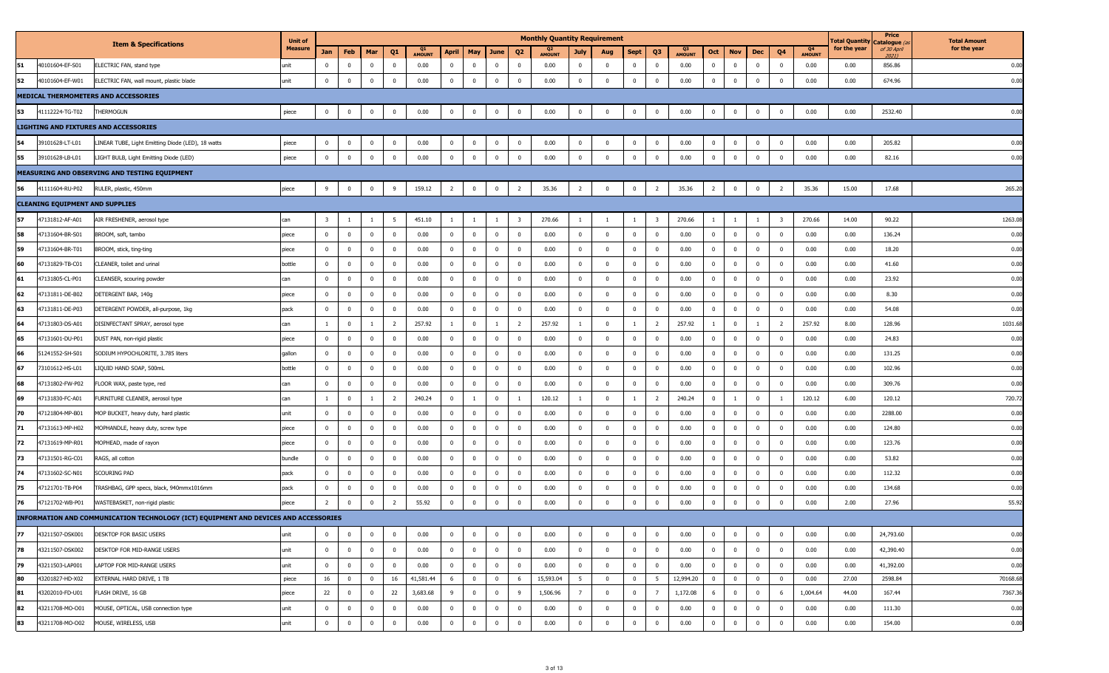|    |                                        |                                                                                      | <b>Unit of</b> |                         |                |             |                         |                     |                |                |              |                         | <b>Monthly Quantity Requirement</b> |                         |                         |                         |                         |                                 |                |                         |                |                         |                     | <b>Fotal Quantity</b> | Price<br>Catalogue (a | <b>Total Amount</b> |
|----|----------------------------------------|--------------------------------------------------------------------------------------|----------------|-------------------------|----------------|-------------|-------------------------|---------------------|----------------|----------------|--------------|-------------------------|-------------------------------------|-------------------------|-------------------------|-------------------------|-------------------------|---------------------------------|----------------|-------------------------|----------------|-------------------------|---------------------|-----------------------|-----------------------|---------------------|
|    |                                        | <b>Item &amp; Specifications</b>                                                     | <b>Measure</b> | Jan                     | Feb            | Mar         | Q1                      | Q1<br><b>AMOUNT</b> | <b>April</b>   | May            | <b>June</b>  | Q <sub>2</sub>          | <b>AMOUNT</b>                       | July                    | Aug                     | Sept                    | Q <sub>3</sub>          | Q <sub>3</sub><br><b>AMOUNT</b> | Oct            | <b>Nov</b>              | Dec            | Q <sub>4</sub>          | Q4<br><b>AMOUNT</b> | for the year          | of 30 April<br>20211  | for the year        |
| 51 | 40101604-EF-S01                        | ELECTRIC FAN, stand type                                                             | unit           | $\mathbf 0$             | $\mathbf 0$    | $\mathbf 0$ | $\mathbf 0$             | 0.00                | $\bf{0}$       | $\mathbf{0}$   | $\bf{0}$     | $\overline{0}$          | 0.00                                | $\mathbf 0$             | $\overline{\mathbf{0}}$ | $\mathbf 0$             | $\overline{0}$          | 0.00                            | $\overline{0}$ | $\overline{\mathbf{0}}$ | $\mathbf 0$    | $\mathbf{0}$            | 0.00                | 0.00                  | 856.86                | 0.00                |
| 52 | 40101604-EF-W01                        | ELECTRIC FAN, wall mount, plastic blade                                              | unit           | $\mathbf 0$             | $\overline{0}$ | $\mathbf 0$ | $\overline{0}$          | 0.00                | $\mathbf 0$    | $\mathbf 0$    | $\mathbf 0$  | $\overline{0}$          | 0.00                                | $\mathbf 0$             | $\overline{0}$          | $\overline{0}$          | $\overline{0}$          | 0.00                            | $\overline{0}$ | $\bf{0}$                | $\Omega$       | $\overline{0}$          | 0.00                | 0.00                  | 674.96                | 0.00                |
|    |                                        | MEDICAL THERMOMETERS AND ACCESSORIES                                                 |                |                         |                |             |                         |                     |                |                |              |                         |                                     |                         |                         |                         |                         |                                 |                |                         |                |                         |                     |                       |                       |                     |
| 53 | 41112224-TG-T02                        | THERMOGUN                                                                            | piece          | $\overline{0}$          | $\mathbf 0$    | $\mathbf 0$ | $\mathbf 0$             | 0.00                | $\pmb{0}$      | $\mathbf 0$    | $\mathbf 0$  | $\overline{\mathbf{0}}$ | 0.00                                | $\overline{0}$          | $\overline{\mathbf{0}}$ | $\mathbf 0$             | $\mathbf 0$             | 0.00                            | $\overline{0}$ | $\overline{\mathbf{0}}$ | $\mathbf 0$    | $\mathbf 0$             | 0.00                | 0.00                  | 2532.40               | 0.00                |
|    |                                        | <b>LIGHTING AND FIXTURES AND ACCESSORIES</b>                                         |                |                         |                |             |                         |                     |                |                |              |                         |                                     |                         |                         |                         |                         |                                 |                |                         |                |                         |                     |                       |                       |                     |
| 54 | 39101628-LT-L01                        | LINEAR TUBE, Light Emitting Diode (LED), 18 watts                                    | piece          | $\bf{0}$                | $\overline{0}$ | $\bf{0}$    | $\overline{0}$          | 0.00                | $\bf{0}$       | $\bf{0}$       | $\bf{0}$     | $\overline{\mathbf{0}}$ | 0.00                                | $\overline{0}$          | $\overline{\mathbf{0}}$ | $\mathbf{0}$            | $\overline{0}$          | 0.00                            | $\overline{0}$ | $\overline{0}$          | $\bf{0}$       | $\bf{0}$                | 0.00                | 0.00                  | 205.82                | 0.00                |
| 55 | 39101628-LB-L01                        | LIGHT BULB, Light Emitting Diode (LED)                                               | piece          | $\mathbf 0$             | $\overline{0}$ | $\mathbf 0$ | $\overline{0}$          | 0.00                | $\mathbf 0$    | $\mathbf 0$    | $\bf{0}$     | $\overline{\mathbf{0}}$ | 0.00                                | $\overline{0}$          | $\overline{0}$          | $\mathbf 0$             | $\mathbf 0$             | 0.00                            | $\mathbf 0$    | $\overline{\mathbf{0}}$ | $\mathbf 0$    | $\overline{0}$          | 0.00                | 0.00                  | 82.16                 | 0.00                |
|    |                                        | MEASURING AND OBSERVING AND TESTING EQUIPMENT                                        |                |                         |                |             |                         |                     |                |                |              |                         |                                     |                         |                         |                         |                         |                                 |                |                         |                |                         |                     |                       |                       |                     |
| 56 | 41111604-RU-P02                        | RULER, plastic, 450mm                                                                | piece          | 9                       | $\overline{0}$ | $\bf{0}$    | 9                       | 159.12              | $\overline{2}$ | $\overline{0}$ | $\bf{0}$     | $\overline{2}$          | 35.36                               | $\overline{2}$          | $\overline{\mathbf{0}}$ | $\bf{0}$                | $\overline{2}$          | 35.36                           | $\overline{2}$ | $\overline{\mathbf{0}}$ | $\bf{0}$       | $\overline{2}$          | 35.36               | 15.00                 | 17.68                 | 265.20              |
|    | <b>CLEANING EQUIPMENT AND SUPPLIES</b> |                                                                                      |                |                         |                |             |                         |                     |                |                |              |                         |                                     |                         |                         |                         |                         |                                 |                |                         |                |                         |                     |                       |                       |                     |
| 57 | 47131812-AF-A01                        | AIR FRESHENER, aerosol type                                                          | can            | $\overline{\mathbf{3}}$ | -1             | -1          | $5^{\circ}$             | 451.10              | $\mathbf{1}$   |                | -1           | $\overline{\mathbf{3}}$ | 270.66                              | $\mathbf{1}$            | -1                      | 1                       | $\overline{\mathbf{3}}$ | 270.66                          | $\mathbf{1}$   | $\overline{1}$          |                | $\overline{\mathbf{3}}$ | 270.66              | 14.00                 | 90.22                 | 1263.08             |
| 58 | 47131604-BR-S01                        | BROOM, soft, tambo                                                                   | piece          | $\mathbf 0$             | $\mathbf 0$    | $\bf{0}$    | $\overline{\mathbf{0}}$ | 0.00                | $\overline{0}$ | $\mathbf 0$    | $\bf{0}$     | $\overline{\mathbf{0}}$ | 0.00                                | $\overline{0}$          | $\overline{0}$          | $\bf{0}$                | $\overline{0}$          | 0.00                            | $\overline{0}$ | $\overline{\mathbf{0}}$ | $\overline{0}$ | $\overline{\mathbf{0}}$ | 0.00                | 0.00                  | 136.24                | 0.00                |
| 59 | 47131604-BR-T01                        | BROOM, stick, ting-ting                                                              | piece          | $\mathbf{0}$            | $\mathbf 0$    | $\bf{0}$    | $\overline{0}$          | 0.00                | $\bf{0}$       | $\mathbf{0}$   | $\bf{0}$     | $\overline{\mathbf{0}}$ | 0.00                                | $\overline{0}$          | $\mathbf{0}$            | $\mathbf 0$             | $\mathbf 0$             | 0.00                            | $\overline{0}$ | $\overline{\mathbf{0}}$ | $\overline{0}$ | $\Omega$                | 0.00                | 0.00                  | 18.20                 | 0.00                |
| 60 | 47131829-TB-C01                        | CLEANER, toilet and urinal                                                           | bottle         | $\mathbf 0$             | $\mathbf 0$    | $\bf{0}$    | $\mathbf 0$             | 0.00                | $\bf{0}$       | $\mathbf{0}$   | $\bf{0}$     | $\overline{\mathbf{0}}$ | 0.00                                | $\overline{0}$          | $\mathbf{0}$            | $\bf{0}$                | $\overline{0}$          | 0.00                            | $\overline{0}$ | $\overline{\mathbf{0}}$ | $\mathbf 0$    | $\mathbf{0}$            | 0.00                | 0.00                  | 41.60                 | 0.00                |
| 61 | 47131805-CL-P01                        | CLEANSER, scouring powder                                                            | can            | $\mathbf{0}$            | $\mathbf 0$    | $\bf{0}$    | $\mathbf{0}$            | 0.00                | $\mathbf 0$    | $\mathbf{0}$   | $\bf{0}$     | $\overline{0}$          | 0.00                                | $\mathbf 0$             | $\overline{0}$          | $\mathbf 0$             | $\overline{0}$          | 0.00                            | $\overline{0}$ | $\overline{0}$          | $\Omega$       | $\mathbf{0}$            | 0.00                | 0.00                  | 23.92                 | 0.00                |
| 62 | 47131811-DE-B02                        | DETERGENT BAR, 140g                                                                  | piece          | $\mathbf 0$             | $^{\circ}$     | $\bf{0}$    | $\overline{\mathbf{0}}$ | 0.00                | $\bf{0}$       | $\mathbf 0$    | $\bf{0}$     | $\overline{\mathbf{0}}$ | 0.00                                | $\overline{\mathbf{0}}$ | $\overline{\mathbf{0}}$ | $\bf{0}$                | $\overline{0}$          | 0.00                            | $\overline{0}$ | $\overline{\mathbf{0}}$ | $\overline{0}$ | $\mathbf{0}$            | 0.00                | 0.00                  | 8.30                  | 0.00                |
| 63 | 47131811-DE-P03                        | DETERGENT POWDER, all-purpose, 1kg                                                   | pack           | $\mathbf{0}$            | $\mathbf 0$    | $\bf{0}$    | $\overline{0}$          | 0.00                | $\bf{0}$       | $\mathbf{0}$   | $\bf{0}$     | $\overline{\mathbf{0}}$ | 0.00                                | $\overline{0}$          | $\overline{0}$          | $\bf{0}$                | $\mathbf 0$             | 0.00                            | $\overline{0}$ | $\overline{\mathbf{0}}$ | $\mathbf 0$    | $\overline{0}$          | 0.00                | 0.00                  | 54.08                 | 0.00                |
| 64 | 47131803-DS-A01                        | DISINFECTANT SPRAY, aerosol type                                                     | can            | $\mathbf{1}$            | $\overline{0}$ | -1          | $\overline{2}$          | 257.92              | $\mathbf{1}$   | $\overline{0}$ | $\mathbf{1}$ | $\overline{2}$          | 257.92                              | $\mathbf{1}$            | $\overline{0}$          | $\mathbf{1}$            | $\overline{2}$          | 257.92                          | $\mathbf{1}$   | $\overline{0}$          | 1              | $\overline{2}$          | 257.92              | 8.00                  | 128.96                | 1031.68             |
| 65 | 47131601-DU-P01                        | DUST PAN, non-rigid plastic                                                          | piece          | $\mathbf 0$             | $\mathbf 0$    | $\bf{0}$    | $\overline{0}$          | 0.00                | $\overline{0}$ | $\mathbf 0$    | $\bf{0}$     | $\overline{\mathbf{0}}$ | 0.00                                | $\overline{0}$          | $\overline{0}$          | $\mathbf 0$             | $\mathbf{0}$            | 0.00                            | $\mathbf 0$    | $\overline{\mathbf{0}}$ | $\mathbf 0$    | $\overline{0}$          | 0.00                | 0.00                  | 24.83                 | 0.00                |
| 66 | 51241552-SH-S01                        | SODIUM HYPOCHLORITE, 3.785 liters                                                    | gallon         | $\mathbf 0$             | $\mathbf 0$    | $\bf{0}$    | $\overline{\mathbf{0}}$ | 0.00                | $\overline{0}$ | $\mathbf 0$    | $\mathbf{0}$ | $\overline{\mathbf{0}}$ | 0.00                                | $\overline{0}$          | $\overline{\mathbf{0}}$ | $\bf{0}$                | $\mathbf 0$             | 0.00                            | $\overline{0}$ | $\overline{\mathbf{0}}$ | $\mathbf 0$    | $\mathbf{0}$            | 0.00                | 0.00                  | 131.25                | 0.00                |
| 67 | 73101612-HS-L01                        | LIQUID HAND SOAP, 500mL                                                              | bottle         | $\mathbf 0$             | $^{\circ}$     | $\bf{0}$    | $\mathbf 0$             | 0.00                | $\mathbf 0$    | $\Omega$       | $\bf{0}$     | $\overline{0}$          | 0.00                                | $\overline{0}$          | $\mathbf{0}$            | $\mathbf 0$             | $\mathbf 0$             | 0.00                            | $\overline{0}$ | $\overline{0}$          | $\Omega$       | $\mathbf{0}$            | 0.00                | 0.00                  | 102.96                | 0.00                |
| 68 | 47131802-FW-P02                        | FLOOR WAX, paste type, red                                                           | can            | $\mathbf 0$             | $\overline{0}$ | $\bf{0}$    | $\overline{\mathbf{0}}$ | 0.00                | $\overline{0}$ | $\mathbf 0$    | $\bf{0}$     | $\overline{\mathbf{0}}$ | 0.00                                | $\overline{0}$          | $\overline{\mathbf{0}}$ | $\overline{0}$          | $\overline{0}$          | 0.00                            | $\overline{0}$ | $\overline{0}$          | $\mathbf 0$    | $\overline{\mathbf{0}}$ | 0.00                | 0.00                  | 309.76                | 0.00                |
| 69 | 47131830-FC-A01                        | URNITURE CLEANER, aerosol type                                                       | can            | -1                      | $\mathbf 0$    | -1          | $\overline{2}$          | 240.24              | $\bf{0}$       |                | $^{\circ}$   | -1                      | 120.12                              | 1                       | $\overline{\mathbf{0}}$ |                         | - 2                     | 240.24                          | $\overline{0}$ | -1                      | $\mathbf 0$    |                         | 120.12              | 6.00                  | 120.12                | 720.72              |
| 70 | 47121804-MP-B01                        | MOP BUCKET, heavy duty, hard plastic                                                 | unit           | $\mathbf 0$             | $\mathbf 0$    | $\bf{0}$    | $\overline{\mathbf{0}}$ | 0.00                | $\overline{0}$ | $\mathbf 0$    | $\mathbf 0$  | $\overline{\mathbf{0}}$ | 0.00                                | $\overline{0}$          | $\overline{0}$          | $\mathbf{0}$            | $\mathbf{0}$            | 0.00                            | $\overline{0}$ | $\overline{\mathbf{0}}$ | $\mathbf 0$    | $\overline{\mathbf{0}}$ | 0.00                | 0.00                  | 2288.00               | 0.00                |
| 71 | 47131613-MP-H02                        | MOPHANDLE, heavy duty, screw type                                                    | piece          | $\mathbf 0$             | $\overline{0}$ | $\bf{0}$    | $\overline{0}$          | 0.00                | $\mathbf 0$    | $\mathbf 0$    | $\mathbf 0$  | $\overline{\mathbf{0}}$ | 0.00                                | $\mathbf{0}$            | $\overline{0}$          | $\bf{0}$                | $\mathbf 0$             | 0.00                            | $\mathbf 0$    | $\overline{\mathbf{0}}$ | $\mathbf 0$    | $\mathbf{0}$            | 0.00                | 0.00                  | 124.80                | 0.00                |
| 72 | 47131619-MP-R01                        | MOPHEAD, made of rayon                                                               | piece          | $\mathbf{0}$            | $\overline{0}$ | $\mathbf 0$ | $\overline{\mathbf{0}}$ | 0.00                | $\overline{0}$ | $\mathbf 0$    | $\bf{0}$     | $\overline{\mathbf{0}}$ | 0.00                                | $\overline{0}$          | $\overline{0}$          | $\overline{\mathbf{0}}$ | $\overline{0}$          | 0.00                            | $\overline{0}$ | $\overline{\mathbf{0}}$ | $\bf{0}$       | $\overline{0}$          | 0.00                | 0.00                  | 123.76                | 0.00                |
| 73 | 47131501-RG-C01                        | RAGS, all cotton                                                                     | bundle         | $\mathbf 0$             | $^{\circ}$     | $\bf{0}$    | $\overline{0}$          | 0.00                | $\bf{0}$       | $\mathbf 0$    | $\bf{0}$     | $\overline{\mathbf{0}}$ | 0.00                                | $\overline{0}$          | $\overline{0}$          | $\mathbf{0}$            | $\mathbf 0$             | 0.00                            | $\overline{0}$ | $\overline{0}$          | $\mathbf{0}$   | $\mathbf{0}$            | 0.00                | 0.00                  | 53.82                 | 0.00                |
| 74 | 47131602-SC-N01                        | SCOURING PAD                                                                         | pack           | $\mathbf{0}$            | $\mathbf 0$    | $\bf{0}$    | $\overline{0}$          | 0.00                | $\mathbf 0$    | $\mathbf 0$    | $\mathbf 0$  | $\overline{0}$          | 0.00                                | $\mathbf{0}$            | $\overline{0}$          | $\mathbf 0$             | $\mathbf 0$             | 0.00                            | $\overline{0}$ | $\overline{0}$          | $\mathbf 0$    | $\mathbf{0}$            | 0.00                | 0.00                  | 112.32                | 0.00                |
| 75 | 47121701-TB-P04                        | TRASHBAG, GPP specs, black, 940mmx1016mm                                             | pack           | $\mathbf 0$             | $\mathbf{0}$   | $\mathbf 0$ | $\overline{0}$          | 0.00                | $\mathbf 0$    | 0              | $^{\circ}$   | $\overline{\mathbf{0}}$ | 0.00                                | $\pmb{0}$               | $\mathbf{0}$            | 0                       | $\mathbf 0$             | 0.00                            | $\mathbf 0$    | $\mathbf 0$             | $^{\circ}$     | $\mathbf{0}$            | 0.00                | 0.00                  | 134.68                | 0.00                |
| 76 | 47121702-WB-P01                        | WASTEBASKET, non-rigid plastic                                                       | piece          | $\overline{2}$          | $\overline{0}$ | $\mathbf 0$ | $\overline{2}$          | 55.92               | $\mathbf 0$    | $\mathbf{0}$   | $\mathbf 0$  | $\overline{0}$          | 0.00                                | $\mathbf{0}$            | $\overline{0}$          | $\mathbf 0$             | $\mathbf 0$             | 0.00                            | $\overline{0}$ | $\overline{0}$          | $\mathbf{0}$   | $\Omega$                | 0.00                | 2.00                  | 27.96                 | 55.92               |
|    |                                        | INFORMATION AND COMMUNICATION TECHNOLOGY (ICT) EQUIPMENT AND DEVICES AND ACCESSORIES |                |                         |                |             |                         |                     |                |                |              |                         |                                     |                         |                         |                         |                         |                                 |                |                         |                |                         |                     |                       |                       |                     |
| 77 | 43211507-DSK001                        | DESKTOP FOR BASIC USERS                                                              | unit           | $\mathbf 0$             | $^{\circ}$     | $\mathbf 0$ | $\mathbf 0$             | 0.00                | $\mathbf{0}$   | $\mathbf 0$    | $\bf{0}$     | $\overline{\mathbf{0}}$ | 0.00                                | $\mathbf{0}$            | $\overline{0}$          | $\mathbf 0$             | $\mathbf 0$             | 0.00                            | $^{\circ}$     | $\overline{\mathbf{0}}$ | $\overline{0}$ | $\overline{0}$          | 0.00                | 0.00                  | 24,793.60             | 0.00                |
| 78 | 43211507-DSK002                        | DESKTOP FOR MID-RANGE USERS                                                          | unit           | $\mathbf 0$             | $\overline{0}$ | $\bf{0}$    | $\overline{0}$          | 0.00                | $\bf{0}$       | $\mathbf 0$    | $\bf{0}$     | $\overline{\mathbf{0}}$ | 0.00                                | $\overline{0}$          | $\overline{0}$          | $\mathbf 0$             | $\mathbf 0$             | 0.00                            | $\overline{0}$ | $\overline{0}$          | $\mathbf 0$    | $\mathbf 0$             | 0.00                | 0.00                  | 42,390.40             | 0.00                |
| 79 | 43211503-LAP001                        | LAPTOP FOR MID-RANGE USERS                                                           | unit           | $\bf{0}$                | $\mathbf 0$    | $\bf{0}$    | $\overline{\mathbf{0}}$ | 0.00                | $\mathbf 0$    | $\mathbf 0$    | $\bf{0}$     | $\overline{0}$          | 0.00                                | $\overline{0}$          | $\overline{0}$          | $\mathbf{0}$            | $\mathbf 0$             | 0.00                            | $\overline{0}$ | $\overline{0}$          | $\mathbf 0$    | $\overline{\mathbf{0}}$ | 0.00                | 0.00                  | 41,392.00             | 0.00                |
| 80 | 43201827-HD-X02                        | EXTERNAL HARD DRIVE, 1 TB                                                            | piece          | 16                      | $\mathbf 0$    | $\bf{0}$    | 16                      | 41,581.44           | 6              | $\mathbf 0$    | $\mathbf 0$  | 6                       | 15,593.04                           | 5 <sup>5</sup>          | $\overline{0}$          | $\mathbf{0}$            | 5                       | 12,994.20                       | $\mathbf{0}$   | $\overline{\mathbf{0}}$ | $\mathbf 0$    | $\overline{0}$          | 0.00                | 27.00                 | 2598.84               | 70168.68            |
| 81 | 43202010-FD-U01                        | FLASH DRIVE, 16 GB                                                                   | piece          | 22                      | $\overline{0}$ | $\bf{0}$    | 22                      | 3,683.68            | 9              | $\mathbf 0$    | $\bf{0}$     | 9                       | 1,506.96                            | $7^{\circ}$             | $\overline{0}$          | $\bf{0}$                | $\overline{7}$          | 1,172.08                        | 6              | $\overline{\mathbf{0}}$ | $\mathbf 0$    | - 6                     | 1,004.64            | 44.00                 | 167.44                | 7367.36             |
| 82 | 43211708-MO-O01                        | MOUSE, OPTICAL, USB connection type                                                  | unit           | $\overline{0}$          | $\overline{0}$ | $\mathbf 0$ | $\overline{0}$          | 0.00                | $\overline{0}$ | $\mathbf 0$    | $\mathbf 0$  | $\overline{0}$          | 0.00                                | $\mathbf{0}$            | $\overline{0}$          | $\mathbf 0$             | $\overline{0}$          | 0.00                            | $\overline{0}$ | $\overline{\mathbf{0}}$ | $\mathbf 0$    | $\overline{0}$          | 0.00                | 0.00                  | 111.30                | 0.00                |
| 83 | 43211708-MO-O02                        | MOUSE, WIRELESS, USB                                                                 | unit           | $\mathbf 0$             | $\overline{0}$ | $\bf{0}$    | $\overline{0}$          | 0.00                | $\bf{0}$       | $\mathbf{0}$   | $\bf{0}$     | $\overline{\mathbf{0}}$ | 0.00                                | $\bf{0}$                | $\overline{0}$          | $\mathbf 0$             | $\overline{0}$          | 0.00                            | $\overline{0}$ | $\mathbf 0$             | $\Omega$       | $\mathbf 0$             | 0.00                | 0.00                  | 154.00                | 0.00                |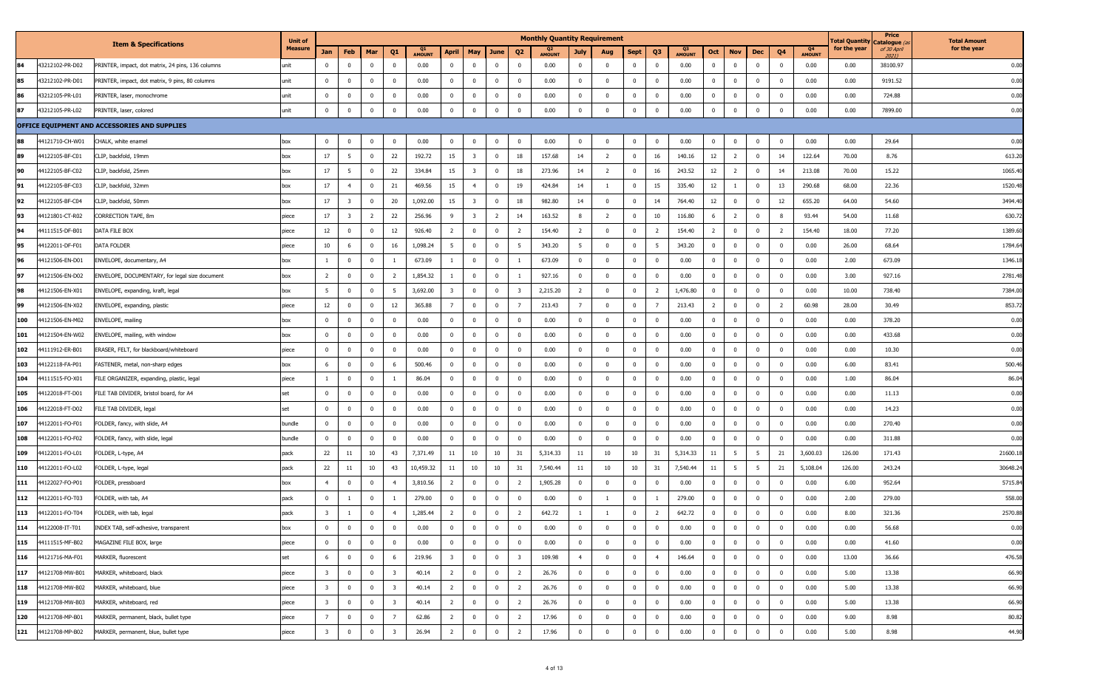|     |                 |                                                   | <b>Unit of</b> |                         |                         |                |                         |                     |                         |                |                |                         | <b>Monthly Quantity Requirement</b> |                         |                         |                |                |                     |                |                         |              |                |                     | <b>Total Quantity</b> | Price<br>، <i>) C</i> atalogue | <b>Total Amount</b> |
|-----|-----------------|---------------------------------------------------|----------------|-------------------------|-------------------------|----------------|-------------------------|---------------------|-------------------------|----------------|----------------|-------------------------|-------------------------------------|-------------------------|-------------------------|----------------|----------------|---------------------|----------------|-------------------------|--------------|----------------|---------------------|-----------------------|--------------------------------|---------------------|
|     |                 | <b>Item &amp; Specifications</b>                  | Measure        | Jan                     | Feb                     | Mar            | Q1                      | Q1<br><b>AMOUNT</b> | <b>April</b>            | May            | June           | Q <sub>2</sub>          | Q2<br><b>AMOUNT</b>                 | <b>July</b>             | Aug                     | <b>Sept</b>    | Q <sub>3</sub> | Q3<br><b>AMOUNT</b> | Oct            | <b>Nov</b>              | <b>Dec</b>   | Q <sub>4</sub> | Q4<br><b>AMOUNT</b> | for the year          | of 30 April                    | for the year        |
| 84  | 43212102-PR-D02 | PRINTER, impact, dot matrix, 24 pins, 136 columns | unit           | $\Omega$                | $\overline{0}$          | $\mathbf 0$    | $\mathbf 0$             | 0.00                | $\overline{\mathbf{0}}$ | $\Omega$       | $\mathbf 0$    | $\overline{\mathbf{0}}$ | 0.00                                | $\overline{0}$          | $\overline{0}$          | $\mathbf 0$    | $\overline{0}$ | 0.00                | $\mathbf{0}$   | $\overline{0}$          | $^{\circ}$   | $\mathbf 0$    | 0.00                | 0.00                  | 38100.97                       | 0.00                |
| 85  | 43212102-PR-D01 | PRINTER, impact, dot matrix, 9 pins, 80 columns   | unit           | $\mathbf 0$             | $\overline{\mathbf{0}}$ | $\bf{0}$       | $\mathbf 0$             | 0.00                | $\overline{0}$          | $\mathbf 0$    | $\overline{0}$ | $\overline{\mathbf{0}}$ | 0.00                                | $\mathbf{0}$            | $\overline{\mathbf{0}}$ | $\mathbf{0}$   | $\overline{0}$ | 0.00                | $\mathbf 0$    | $\mathbf{0}$            | $\mathbf{0}$ | $\mathbf{0}$   | 0.00                | 0.00                  | 9191.52                        | 0.00                |
| 86  | 43212105-PR-L01 | PRINTER, laser, monochrome                        | unit           | $\Omega$                | $\overline{0}$          | $\overline{0}$ | $\overline{\mathbf{0}}$ | 0.00                | $\overline{\mathbf{0}}$ | $\mathbf{0}$   | $\mathbf{0}$   | $\overline{\mathbf{0}}$ | 0.00                                | $\overline{0}$          | $\overline{0}$          | $\mathbf 0$    | $\Omega$       | 0.00                | $\mathbf{0}$   | $\mathbf 0$             | $^{\circ}$   | $\mathbf 0$    | 0.00                | 0.00                  | 724.88                         | 0.00                |
| 87  | 43212105-PR-L02 | PRINTER, laser, colored                           | unit           | $\mathbf 0$             | $\overline{0}$          | $\overline{0}$ | $\overline{\mathbf{0}}$ | 0.00                | $\overline{0}$          | $\mathbf 0$    | $\overline{0}$ | $\overline{\mathbf{0}}$ | 0.00                                | $\bf{0}$                | $\overline{0}$          | $\bf{0}$       | $\overline{0}$ | 0.00                | $\mathbf{0}$   | $\bf{0}$                | $\mathbf 0$  | $\mathbf{0}$   | 0.00                | 0.00                  | 7899.00                        | 0.00                |
|     |                 | OFFICE EQUIPMENT AND ACCESSORIES AND SUPPLIES     |                |                         |                         |                |                         |                     |                         |                |                |                         |                                     |                         |                         |                |                |                     |                |                         |              |                |                     |                       |                                |                     |
| 88  | 44121710-CH-W01 | CHALK, white enamel                               | box            | $\mathbf 0$             | $\overline{0}$          | $\mathbf{0}$   | $\bf{0}$                | 0.00                | $\overline{\mathbf{0}}$ | $\mathbf{0}$   | $\overline{0}$ | $\overline{\mathbf{0}}$ | 0.00                                | $\mathbf 0$             | $\overline{0}$          | 0              | $\overline{0}$ | 0.00                | $\mathbf{0}$   | $\mathbf 0$             | $\mathbf 0$  | $\mathbf 0$    | 0.00                | 0.00                  | 29.64                          | 0.00                |
| 89  | 44122105-BF-C01 | CLIP, backfold, 19mm                              | box            | 17                      | - 5                     | $\overline{0}$ | 22                      | 192.72              | 15                      | -3             | $^{\circ}$     | 18                      | 157.68                              | 14                      | $\overline{2}$          | $\mathbf 0$    | 16             | 140.16              | 12             | $\overline{2}$          | $^{\circ}$   | 14             | 122.64              | 70.00                 | 8.76                           | 613.2               |
| 90  | 44122105-BF-C02 | CLIP, backfold, 25mm                              | box            | 17                      | 5                       | $\mathbf{0}$   | 22                      | 334.84              | 15                      | -3             | $\mathbf{0}$   | 18                      | 273.96                              | 14                      | $\overline{2}$          | $\mathbf 0$    | 16             | 243.52              | 12             | $\overline{2}$          | $\mathbf{0}$ | 14             | 213.08              | 70.00                 | 15.22                          | 1065.4              |
| 91  | 44122105-BF-C03 | CLIP, backfold, 32mm                              | box            | 17                      | $\overline{4}$          | $\bf{0}$       | 21                      | 469.56              | 15                      | $\overline{4}$ | $\overline{0}$ | 19                      | 424.84                              | 14                      | - 1                     | $\mathbf{0}$   | 15             | 335.40              | 12             | -1                      | $\mathbf{0}$ | 13             | 290.68              | 68.00                 | 22.36                          | 1520.4              |
| 92  | 44122105-BF-C04 | CLIP, backfold, 50mm                              | box            | 17                      | $\overline{\mathbf{3}}$ | $\mathbf{0}$   | 20                      | 1,092.00            | 15                      | -3             | $\overline{0}$ | 18                      | 982.80                              | 14                      | $\overline{\mathbf{0}}$ | $\mathbf{0}$   | 14             | 764.40              | 12             | $\mathbf 0$             | $^{\circ}$   | 12             | 655.20              | 64.00                 | 54.60                          | 3494.4              |
| 93  | 44121801-CT-R02 | CORRECTION TAPE, 8m                               | piece          | 17                      | 3                       | $\overline{2}$ | 22                      | 256.96              | 9                       | $\overline{3}$ | $\overline{2}$ | 14                      | 163.52                              | 8                       | $\overline{2}$          | $\mathbf{0}$   | 10             | 116.80              | 6              | $\overline{2}$          | $\mathbf 0$  | 8              | 93.44               | 54.00                 | 11.68                          | 630.7               |
| 94  | 44111515-DF-B01 | DATA FILE BOX                                     | piece          | 12                      | $\mathbf 0$             | $\overline{0}$ | 12                      | 926.40              | $\overline{2}$          | $\overline{0}$ | $\overline{0}$ | $\overline{2}$          | 154.40                              | $\overline{2}$          | $\overline{0}$          | $\overline{0}$ | $\overline{2}$ | 154.40              | $\overline{2}$ | $\mathbf{0}$            | $\mathbf{0}$ | $\overline{2}$ | 154.40              | 18.00                 | 77.20                          | 1389.6              |
| 95  | 44122011-DF-F01 | DATA FOLDER                                       | piece          | 10                      | 6                       | $\overline{0}$ | 16                      | 1,098.24            | 5                       | $\overline{0}$ | $\overline{0}$ | 5                       | 343.20                              | - 5                     | $\overline{0}$          | $\bf{0}$       | 5              | 343.20              | $\mathbf 0$    | $\mathbf 0$             | $\mathbf 0$  | $\mathbf{0}$   | 0.00                | 26.00                 | 68.64                          | 1784.6              |
| 96  | 44121506-EN-D01 | ENVELOPE, documentary, A4                         | box            | $\overline{1}$          | $\overline{0}$          | $\overline{0}$ | 1                       | 673.09              | 1                       | $\overline{0}$ | $\overline{0}$ |                         | 673.09                              | $\overline{0}$          | $\Omega$                | $\mathbf{0}$   | $\Omega$       | 0.00                | $\mathbf{0}$   | $\mathbf 0$             | $^{\circ}$   | $\mathbf{0}$   | 0.00                | 2.00                  | 673.09                         | 1346.1              |
| 97  | 44121506-EN-D02 | ENVELOPE, DOCUMENTARY, for legal size document    | box            | $\overline{2}$          | $\overline{0}$          | $\bf{0}$       | $\overline{2}$          | 1,854.32            | -1                      | $\overline{0}$ | $\overline{0}$ | -1                      | 927.16                              | $\mathbf 0$             | $\overline{0}$          | $\mathbf 0$    | $\overline{0}$ | 0.00                | $\mathbf 0$    | $\overline{0}$          | $\mathbf 0$  | $\overline{0}$ | 0.00                | 3.00                  | 927.16                         | 2781.4              |
| 98  | 44121506-EN-X01 | ENVELOPE, expanding, kraft, legal                 | box            | 5                       | $\overline{0}$          | $\overline{0}$ | 5                       | 3,692.00            | $\overline{\mathbf{3}}$ | $\overline{0}$ | $\overline{0}$ | $\overline{\mathbf{3}}$ | 2,215.20                            | $\overline{2}$          | $\overline{0}$          | $\mathbf 0$    | $\overline{2}$ | 1,476.80            | $\mathbf{0}$   | $\mathbf 0$             | $\mathbf{0}$ | $\mathbf 0$    | 0.00                | 10.00                 | 738.40                         | 7384.0              |
| 99  | 44121506-EN-X02 | ENVELOPE, expanding, plastic                      | piece          | 12                      | $\overline{\mathbf{0}}$ | $\overline{0}$ | 12                      | 365.88              | $\overline{7}$          | $\overline{0}$ | $\overline{0}$ | $\overline{7}$          | 213.43                              | 7                       | $\overline{\mathbf{0}}$ | $\bf{0}$       | $\overline{7}$ | 213.43              | 2              | $\bf{0}$                | $\mathbf 0$  | $\overline{2}$ | 60.98               | 28.00                 | 30.49                          | 853.7               |
| 100 | 44121506-EN-M02 | ENVELOPE, mailing                                 | box            | $\mathbf 0$             | $\mathbf 0$             | $\overline{0}$ | $\overline{\mathbf{0}}$ | 0.00                | $\overline{\mathbf{0}}$ | $\mathbf 0$    | $\overline{0}$ | $\overline{\mathbf{0}}$ | 0.00                                | $\overline{0}$          | $\overline{0}$          | $\mathbf 0$    | $\Omega$       | 0.00                | $\mathbf{0}$   | $\mathbf 0$             | $^{\circ}$   | $\mathbf 0$    | 0.00                | 0.00                  | 378.20                         | 0.00                |
| 101 | 44121504-EN-W02 | ENVELOPE, mailing, with window                    | box            | $^{\circ}$              | $\overline{0}$          | $\overline{0}$ | $\overline{\mathbf{0}}$ | 0.00                | $\bf{0}$                | $\mathbf{0}$   | $\overline{0}$ | $\overline{\mathbf{0}}$ | 0.00                                | $\mathbf 0$             | $\overline{0}$          | $\overline{0}$ | $\overline{0}$ | 0.00                | $^{\circ}$     | $\mathbf 0$             | $\mathbf 0$  | $\mathbf 0$    | 0.00                | 0.00                  | 433.68                         | 0.00                |
| 102 | 44111912-ER-B01 | ERASER, FELT, for blackboard/whiteboard           | piece          | $\Omega$                | $\overline{0}$          | $\overline{0}$ | $\overline{\mathbf{0}}$ | 0.00                | $\overline{0}$          | $\overline{0}$ | $\overline{0}$ | $\overline{\mathbf{0}}$ | 0.00                                | $\overline{0}$          | $\Omega$                | $\mathbf 0$    | $\overline{0}$ | 0.00                | $\mathbf{0}$   | $\overline{0}$          | $\mathbf{0}$ | $\overline{0}$ | 0.00                | 0.00                  | 10.30                          | 0.00                |
| 103 | 44122118-FA-P01 | FASTENER, metal, non-sharp edges                  | box            | 6                       | $\bf{0}$                | $\mathbf 0$    | 6                       | 500.46              | $\overline{0}$          | $\overline{0}$ | $\overline{0}$ | $\overline{\mathbf{0}}$ | 0.00                                | $\bf{0}$                | $\overline{0}$          | $\overline{0}$ | $\overline{0}$ | 0.00                | $\overline{0}$ | $\bf{0}$                | $\bf{0}$     | $\bf{0}$       | 0.00                | 6.00                  | 83.41                          | 500.4               |
| 104 | 44111515-FO-X01 | FILE ORGANIZER, expanding, plastic, legal         | piece          | $\mathbf{1}$            | $\mathbf 0$             | $\overline{0}$ | 1                       | 86.04               | $\overline{0}$          | $\mathbf{0}$   | $\overline{0}$ | $\overline{\mathbf{0}}$ | 0.00                                | $\mathbf{0}$            | $\Omega$                | $^{\circ}$     | $\Omega$       | 0.00                | $\mathbf{0}$   | $\mathbf 0$             | $\Omega$     | $\mathbf 0$    | 0.00                | 1.00                  | 86.04                          | 86.04               |
| 105 | 44122018-FT-D01 | FILE TAB DIVIDER, bristol board, for A4           | set            | $\overline{\mathbf{0}}$ | $\overline{0}$          | $\overline{0}$ | $\overline{\mathbf{0}}$ | 0.00                | $\overline{\mathbf{0}}$ | $\mathbf{0}$   | $\mathbf 0$    | $\overline{\mathbf{0}}$ | 0.00                                | $\mathbf 0$             | $\overline{0}$          | $\mathbf 0$    | $\overline{0}$ | 0.00                | $\mathbf 0$    | $\mathbf 0$             | $^{\circ}$   | $\overline{0}$ | 0.00                | 0.00                  | 11.13                          | 0.00                |
| 106 | 44122018-FT-D02 | FILE TAB DIVIDER, legal                           | set            | $\mathbf 0$             | $\overline{0}$          | $\mathbf{0}$   | $\overline{\mathbf{0}}$ | 0.00                | $\overline{0}$          | $\Omega$       | $\mathbf{0}$   | $\overline{\mathbf{0}}$ | 0.00                                | $\overline{0}$          | $\Omega$                | $\mathbf 0$    | $\Omega$       | 0.00                | $\mathbf 0$    | $\mathbf 0$             | $^{\circ}$   | $\mathbf 0$    | 0.00                | 0.00                  | 14.23                          | 0.00                |
| 107 | 44122011-FO-F01 | FOLDER, fancy, with slide, A4                     | bundle         | $\mathbf 0$             | $\overline{0}$          | $\overline{0}$ | $\overline{\mathbf{0}}$ | 0.00                | $\overline{\mathbf{0}}$ | $\Omega$       | $\overline{0}$ | $\overline{\mathbf{0}}$ | 0.00                                | $\mathbf 0$             | $\overline{0}$          | $\mathbf 0$    | $\Omega$       | 0.00                | $\mathbf 0$    | $\mathbf 0$             | $^{\circ}$   | $\bf{0}$       | 0.00                | 0.00                  | 270.40                         | 0.00                |
| 108 | 44122011-FO-F02 | FOLDER, fancy, with slide, legal                  | bundle         | $\mathbf 0$             | $\mathbf 0$             | $\overline{0}$ | $\mathbf 0$             | 0.00                | $\overline{0}$          | $\mathbf{0}$   | $\mathbf{0}$   | $\overline{\mathbf{0}}$ | 0.00                                | $\overline{0}$          | $\overline{0}$          | $\mathbf 0$    | $\Omega$       | 0.00                | $\mathbf{0}$   | $\mathbf 0$             | $^{\circ}$   | $\mathbf 0$    | 0.00                | 0.00                  | 311.88                         | 0.00                |
| 109 | 44122011-FO-L01 | FOLDER, L-type, A4                                | pack           | 22                      | 11                      | 10             | 43                      | 7,371.49            | 11                      | 10             | 10             | 31                      | 5,314.33                            | 11                      | 10                      | 10             | 31             | 5,314.33            | 11             | 5                       | 5            | 21             | 3,600.03            | 126.00                | 171.43                         | 21600.1             |
| 110 | 4122011-FO-L02  | FOLDER, L-type, legal                             | pack           | 22                      | 11                      | 10             | 43                      | 10,459.32           | 11                      | 10             | 10             | 31                      | 7,540.44                            | 11                      | 10                      | 10             | 31             | 7,540.44            | 11             | 5                       | $5^{\circ}$  | 21             | 5,108.04            | 126.00                | 243.24                         | 30648.2             |
| 111 | 44122027-FO-P01 | FOLDER, pressboard                                | box            | $\overline{4}$          | $\overline{0}$          | $\overline{0}$ | $\overline{4}$          | 3,810.56            | $\overline{2}$          | $\overline{0}$ | $\overline{0}$ | $\overline{2}$          | 1,905.28                            | $\overline{\mathbf{0}}$ | $\bf{0}$                | $\mathbf{0}$   | $\overline{0}$ | 0.00                | $\mathbf{0}$   | $\mathbf{0}$            | $\mathbf{0}$ | $\mathbf{0}$   | 0.00                | 6.00                  | 952.64                         | 5715.8              |
| 112 | 44122011-FO-T03 | FOLDER, with tab, A4                              | pack           | $\Omega$                |                         | $\overline{0}$ | 1                       | 279.00              | $\overline{\mathbf{0}}$ | $\mathbf{0}$   | $\mathbf 0$    | $\overline{\mathbf{0}}$ | 0.00                                | $\overline{0}$          |                         | $^{\circ}$     |                | 279.00              | $\mathbf{0}$   | $\mathbf 0$             | $^{\circ}$   | $\mathbf 0$    | 0.00                | 2.00                  | 279.00                         | 558.0               |
| 113 | 44122011-FO-T04 | FOLDER, with tab, legal                           | pack           | 3                       |                         | $\overline{0}$ |                         | 1,285.44            | $\overline{2}$          | $\Omega$       | $\overline{0}$ | $\overline{2}$          | 642.72                              |                         |                         | $\mathbf 0$    | -2             | 642.72              | $\mathbf{0}$   | $\overline{\mathbf{0}}$ | $^{\circ}$   | $\mathbf{0}$   | 0.00                | 8.00                  | 321.36                         | 2570.8              |
| 114 | 44122008-IT-T01 | INDEX TAB, self-adhesive, transparent             | box            | $\mathbf 0$             | $\mathbf 0$             | $\overline{0}$ | $\overline{\mathbf{0}}$ | 0.00                | $\overline{0}$          | $\mathbf 0$    | $\overline{0}$ | $\overline{0}$          | 0.00                                | $\overline{0}$          | $\mathbf 0$             | $\overline{0}$ | $\overline{0}$ | 0.00                | $\mathbf{0}$   | $\mathbf{0}$            | $\mathbf{0}$ | $\mathbf{0}$   | 0.00                | 0.00                  | 56.68                          | 0.00                |
| 115 | 44111515-MF-B02 | MAGAZINE FILE BOX, large                          | piece          | $\mathbf 0$             | $\overline{0}$          | $\overline{0}$ | $\overline{0}$          | 0.00                | $\overline{0}$          | $\mathbf 0$    | $\overline{0}$ | $\overline{\mathbf{0}}$ | 0.00                                | $\overline{0}$          | $\overline{0}$          | $\overline{0}$ | $\overline{0}$ | 0.00                | $\mathbf{0}$   | $\overline{0}$          | $\mathbf 0$  | $\overline{0}$ | 0.00                | 0.00                  | 41.60                          | 0.00                |
| 116 | 44121716-MA-F01 | MARKER, fluorescent                               | set            | 6                       | $\mathbf{0}$            | $\overline{0}$ | 6                       | 219.96              | $\overline{\mathbf{3}}$ | $\overline{0}$ | $\overline{0}$ | $\overline{\mathbf{3}}$ | 109.98                              | $\overline{4}$          | $\overline{0}$          | $\bf{0}$       | $\overline{4}$ | 146.64              | $\mathbf{0}$   | $\mathbf{0}$            | $\mathbf{0}$ | $\mathbf{0}$   | 0.00                | 13.00                 | 36.66                          | 476.58              |
| 117 | 44121708-MW-B01 | MARKER, whiteboard, black                         | piece          | $\overline{\mathbf{3}}$ | $\overline{0}$          | $\overline{0}$ | $\overline{\mathbf{3}}$ | 40.14               | $\overline{2}$          | $\mathbf 0$    | $\overline{0}$ | $\overline{2}$          | 26.76                               | $\bf{0}$                | $\overline{\mathbf{0}}$ | $\bf{0}$       | $\overline{0}$ | 0.00                | $\overline{0}$ | $\bf{0}$                | $\bf{0}$     | $\overline{0}$ | 0.00                | 5.00                  | 13.38                          | 66.9                |
| 118 | 44121708-MW-B02 | MARKER, whiteboard, blue                          | piece          | $\overline{\mathbf{3}}$ | $\overline{0}$          | $\overline{0}$ | $\overline{\mathbf{3}}$ | 40.14               | $\overline{2}$          | $\overline{0}$ | $\overline{0}$ | $\overline{2}$          | 26.76                               | $\overline{0}$          | $\overline{0}$          | $\bf{0}$       | $\overline{0}$ | 0.00                | $\mathbf{0}$   | $\mathbf 0$             | $\mathbf{0}$ | $\mathbf{0}$   | 0.00                | 5.00                  | 13.38                          | 66.90               |
| 119 | 44121708-MW-B03 | MARKER, whiteboard, red                           | piece          | $\overline{\mathbf{3}}$ | $\mathbf 0$             | $\mathbf 0$    | $\overline{\mathbf{3}}$ | 40.14               | $\overline{2}$          | $\overline{0}$ | $\overline{0}$ | $\overline{2}$          | 26.76                               | $\overline{0}$          | $\overline{0}$          | $\bf{0}$       | $\overline{0}$ | 0.00                | $\mathbf{0}$   | $\mathbf 0$             | $\mathbf{0}$ | $\mathbf 0$    | 0.00                | 5.00                  | 13.38                          | 66.9                |
| 120 | 44121708-MP-B01 | MARKER, permanent, black, bullet type             | piece          | $\overline{7}$          | $\mathbf{0}$            | $\overline{0}$ | $\overline{7}$          | 62.86               | $\overline{2}$          | $\mathbf{0}$   | $\overline{0}$ | $\overline{2}$          | 17.96                               | $\mathbf 0$             | $\mathbf 0$             | 0              | $\overline{0}$ | 0.00                | $\mathbf 0$    | $\mathbf{0}$            | $^{\circ}$   | $\mathbf 0$    | 0.00                | 9.00                  | 8.98                           | 80.8                |
| 121 | 44121708-MP-B02 | MARKER, permanent, blue, bullet type              | piece          | $\overline{\mathbf{3}}$ | $\overline{0}$          | $\overline{0}$ | $\overline{\mathbf{3}}$ | 26.94               | $\overline{2}$          | $\overline{0}$ | $\overline{0}$ | $\overline{2}$          | 17.96                               | $\overline{0}$          | $\overline{0}$          | $\mathbf 0$    | $\overline{0}$ | 0.00                | $\overline{0}$ | $\bf{0}$                | $\mathbf{0}$ | $\bf{0}$       | 0.00                | 5.00                  | 8.98                           | 44.90               |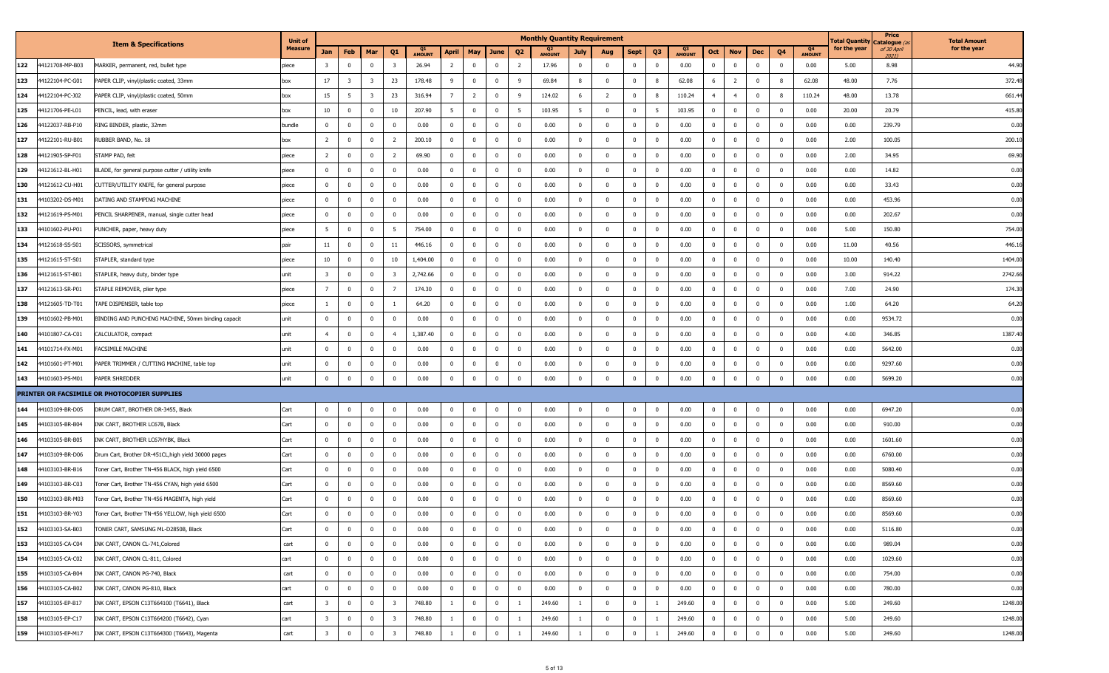|     |                 |                                                     | <b>Unit of</b> |                         |                         |                         |                         |                     |                         |                |                |                          | <b>Monthly Quantity Requirement</b> |                |                         |                |                         |                                 |                |                         |                |                         |                     | otal Quantity | Price<br>Catalogue <i>(a</i> | <b>Total Amount</b> |
|-----|-----------------|-----------------------------------------------------|----------------|-------------------------|-------------------------|-------------------------|-------------------------|---------------------|-------------------------|----------------|----------------|--------------------------|-------------------------------------|----------------|-------------------------|----------------|-------------------------|---------------------------------|----------------|-------------------------|----------------|-------------------------|---------------------|---------------|------------------------------|---------------------|
|     |                 | <b>Item &amp; Specifications</b>                    | <b>Measure</b> | Jan                     | Feb                     | Mar                     | Q <sub>1</sub>          | Q1<br><b>AMOUNT</b> | April                   | May            | June           | Q <sub>2</sub>           | <b>AMOUNT</b>                       | July           | Aug                     | Sept           | Q <sub>3</sub>          | Q <sub>3</sub><br><b>AMOUNT</b> | Oct            | <b>Nov</b>              | Dec            | Q4                      | Q4<br><b>AMOUNT</b> | for the year  | of 30 April<br>20211         | for the year        |
| 122 | 44121708-MP-B03 | MARKER, permanent, red, bullet type                 | piece          | $\overline{\mathbf{3}}$ | $\overline{0}$          | $\mathbf 0$             | $\overline{\mathbf{3}}$ | 26.94               | $\overline{2}$          | $\overline{0}$ | $\mathbf 0$    | $\overline{2}$           | 17.96                               | $\mathbf{0}$   | $\overline{0}$          | $\mathbf 0$    | $\mathbf{0}$            | 0.00                            | $\mathbf{0}$   | $\overline{\mathbf{0}}$ | $\mathbf 0$    | $\mathbf{0}$            | 0.00                | 5.00          | 8.98                         | 44.90               |
| 123 | 44122104-PC-G01 | PAPER CLIP, vinyl/plastic coated, 33mm              | box            | 17                      | $\overline{\mathbf{3}}$ | $\overline{\mathbf{3}}$ | 23                      | 178.48              | 9                       | $\overline{0}$ | $^{\circ}$     | 9                        | 69.84                               | 8              | $\overline{\mathbf{0}}$ | $\bf{0}$       | - 8                     | 62.08                           | 6              | $\overline{2}$          | $\mathbf 0$    | - 8                     | 62.08               | 48.00         | 7.76                         | 372.48              |
| 124 | 44122104-PC-J02 | PAPER CLIP, vinyl/plastic coated, 50mm              | box            | 15                      | 5                       | $\overline{\mathbf{3}}$ | 23                      | 316.94              | $\overline{7}$          | $\overline{2}$ | $^{\circ}$     | - 9                      | 124.02                              | 6              | $\overline{2}$          | $^{\circ}$     | - 8                     | 110.24                          | $\overline{4}$ | $\overline{4}$          | $\mathbf 0$    |                         | 110.24              | 48.00         | 13.78                        | 661.44              |
| 125 | 44121706-PE-L01 | PENCIL, lead, with eraser                           | box            | 10                      | $\overline{0}$          | $^{\circ}$              | 10                      | 207.90              | $5^{\circ}$             | $\mathbf 0$    | $\mathbf 0$    | 5                        | 103.95                              | 5 <sup>5</sup> | $\mathbf{0}$            | $\mathbf{0}$   | -5                      | 103.95                          | $\mathbf 0$    | $\overline{\mathbf{0}}$ | $\mathbf 0$    | $\mathbf{0}$            | 0.00                | 20.00         | 20.79                        | 415.80              |
| 126 | 44122037-RB-P10 | RING BINDER, plastic, 32mm                          | bundle         | $\mathbf{0}$            | $\overline{0}$          | $^{\circ}$              | $\overline{0}$          | 0.00                | $\overline{0}$          | $\overline{0}$ | $\mathbf 0$    | $\overline{\mathbf{0}}$  | 0.00                                | $\mathbf{0}$   | $\overline{0}$          | $\mathbf{0}$   | $\mathbf 0$             | 0.00                            | $\mathbf{0}$   | $\overline{\mathbf{0}}$ | $\mathbf 0$    | $\Omega$                | 0.00                | 0.00          | 239.79                       | 0.00                |
| 127 | 44122101-RU-B01 | RUBBER BAND, No. 18                                 | box            | $\overline{2}$          | $\overline{0}$          | $\Omega$                | $\overline{2}$          | 200.10              | $\overline{0}$          | $\overline{0}$ | $^{\circ}$     | $\overline{\mathbf{0}}$  | 0.00                                | $\mathbf{0}$   | $\overline{0}$          | $\mathbf{0}$   | $\mathbf{0}$            | 0.00                            | $\overline{0}$ | $\bf{0}$                | $\mathbf 0$    | $\mathbf{0}$            | 0.00                | 2.00          | 100.05                       | 200.10              |
| 128 | 44121905-SP-F01 | STAMP PAD, felt                                     | piece          | $\overline{2}$          | $\mathbf{0}$            | $\Omega$                | $\overline{2}$          | 69.90               | $\overline{\mathbf{0}}$ | $\mathbf{0}$   | $^{\circ}$     | $^{\circ}$               | 0.00                                | $\mathbf 0$    | $\overline{0}$          | $^{\circ}$     | $\mathbf 0$             | 0.00                            | $\mathbf 0$    | $\overline{\mathbf{0}}$ | $\mathbf{0}$   | $\mathbf{0}$            | 0.00                | 2.00          | 34.95                        | 69.90               |
| 129 | 44121612-BL-H01 | BLADE, for general purpose cutter / utility knife   | piece          | $\overline{0}$          | $^{\circ}$              | $\Omega$                | $\overline{0}$          | 0.00                | $\overline{0}$          | $\overline{0}$ | $\Omega$       | $\overline{\mathbf{0}}$  | 0.00                                | $\overline{0}$ | $\overline{0}$          | $\mathbf 0$    | $\mathbf{0}$            | 0.00                            | $\overline{0}$ | $\overline{\mathbf{0}}$ | $\mathbf 0$    | $\Omega$                | 0.00                | 0.00          | 14.82                        | 0.00                |
| 130 | 44121612-CU-H01 | CUTTER/UTILITY KNIFE, for general purpose           | piece          | $\overline{0}$          | $\mathbf 0$             | $\mathbf 0$             | $\overline{0}$          | 0.00                | $\overline{\mathbf{0}}$ | $\overline{0}$ | $\mathbf 0$    | $\overline{\phantom{0}}$ | 0.00                                | $\bf{0}$       | $\overline{0}$          | $^{\circ}$     | $\mathbf{0}$            | 0.00                            | $\mathbf 0$    | $\overline{\mathbf{0}}$ | $\mathbf 0$    | $\mathbf{0}$            | 0.00                | 0.00          | 33.43                        | 0.00                |
| 131 | 44103202-DS-M01 | DATING AND STAMPING MACHINE                         | piece          | $\mathbf{0}$            | $^{\circ}$              | $\Omega$                | $\overline{\mathbf{0}}$ | 0.00                | $\overline{0}$          | $\overline{0}$ | $^{\circ}$     | $\overline{\mathbf{0}}$  | 0.00                                | $\bf{0}$       | $\overline{0}$          | $\mathbf{0}$   | $\overline{0}$          | 0.00                            | $\mathbf 0$    | $\overline{\mathbf{0}}$ | $\mathbf 0$    | $\mathbf{0}$            | 0.00                | 0.00          | 453.96                       | 0.00                |
| 132 | 44121619-PS-M01 | PENCIL SHARPENER, manual, single cutter head        | piece          | $\overline{0}$          | $\mathbf 0$             | $\Omega$                | $\overline{0}$          | 0.00                | $\overline{0}$          | $^{\circ}$     | $^{\circ}$     | $^{\circ}$               | 0.00                                | $\bf{0}$       | $\overline{0}$          | $^{\circ}$     | $\overline{\mathbf{0}}$ | 0.00                            | $\mathbf 0$    | 0                       | $\mathbf{0}$   | $^{\circ}$              | 0.00                | 0.00          | 202.67                       | 0.00                |
| 133 | 44101602-PU-P01 | PUNCHER, paper, heavy duty                          | piece          | 5 <sup>5</sup>          | $\overline{0}$          | $\Omega$                | $5\overline{5}$         | 754.00              | $\overline{0}$          | $\overline{0}$ | $\Omega$       | $\overline{\mathbf{0}}$  | 0.00                                | $\mathbf{0}$   | $\Omega$                | $\mathbf 0$    | $\overline{0}$          | 0.00                            | $\mathbf{0}$   | $\overline{\mathbf{0}}$ | $\Omega$       | $\Omega$                | 0.00                | 5.00          | 150.80                       | 754.00              |
| 134 | 44121618-SS-S01 | SCISSORS, symmetrical                               | pair           | 11                      | $\overline{0}$          | $\mathbf 0$             | 11                      | 446.16              | $\overline{0}$          | $\overline{0}$ | $\mathbf 0$    | $\overline{\mathbf{0}}$  | 0.00                                | $\bf{0}$       | $\overline{0}$          | $\mathbf 0$    | $\overline{0}$          | 0.00                            | $\overline{0}$ | $\overline{0}$          | $\mathbf 0$    | $\mathbf{0}$            | 0.00                | 11.00         | 40.56                        | 446.16              |
| 135 | 44121615-ST-S01 | STAPLER, standard type                              | piece          | 10                      | $\overline{0}$          | $\Omega$                | 10                      | 1,404.00            | $\overline{0}$          | $\overline{0}$ | $^{\circ}$     | $\overline{\mathbf{0}}$  | 0.00                                | $\mathbf{0}$   | $\Omega$                | $\mathbf 0$    | $\overline{0}$          | 0.00                            | $\mathbf{0}$   | $\overline{\mathbf{0}}$ | $\Omega$       | $\Omega$                | 0.00                | 10.00         | 140.40                       | 1404.00             |
| 136 | 44121615-ST-B01 | STAPLER, heavy duty, binder type                    | unit           | $\overline{\mathbf{3}}$ | $\overline{0}$          | $\mathbf 0$             | $\overline{\mathbf{3}}$ | 2,742.66            | $\overline{0}$          | $\overline{0}$ | $^{\circ}$     | $\overline{\mathbf{0}}$  | 0.00                                | $\overline{0}$ | $\overline{\mathbf{0}}$ | $\bf{0}$       | $\overline{0}$          | 0.00                            | $\mathbf 0$    | $\overline{\mathbf{0}}$ | $\Omega$       | $\mathbf{0}$            | 0.00                | 3.00          | 914.22                       | 2742.66             |
| 137 | 44121613-SR-P01 | STAPLE REMOVER, plier type                          | piece          | $\overline{7}$          | $\mathbf{0}$            | $\Omega$                | $\overline{7}$          | 174.30              | $\overline{\mathbf{0}}$ | $\mathbf{0}$   | $\Omega$       | $\overline{\mathbf{0}}$  | 0.00                                | $\overline{0}$ | $\Omega$                | $\mathbf 0$    | $\mathbf{0}$            | 0.00                            | $\mathbf 0$    | $\overline{\mathbf{0}}$ | $\Omega$       | $\Omega$                | 0.00                | 7.00          | 24.90                        | 174.30              |
| 138 | 44121605-TD-T01 | TAPE DISPENSER, table top                           | piece          | 1                       | $\overline{0}$          | $\mathbf 0$             | -1                      | 64.20               | $\overline{0}$          | $\overline{0}$ | $\mathbf 0$    | $\overline{\mathbf{0}}$  | 0.00                                | $\bf{0}$       | $\overline{0}$          | $\mathbf 0$    | $\overline{0}$          | 0.00                            | $\overline{0}$ | $\overline{0}$          | $\mathbf 0$    | $\mathbf{0}$            | 0.00                | 1.00          | 64.20                        | 64.20               |
| 139 | 44101602-PB-M01 | BINDING AND PUNCHING MACHINE, 50mm binding capacit  | unit           | $\overline{0}$          | $\overline{0}$          | $\Omega$                | $\overline{0}$          | 0.00                | $\overline{\mathbf{0}}$ | $\mathbf 0$    | $\Omega$       | $\overline{\mathbf{0}}$  | 0.00                                | $\mathbf{0}$   | $\Omega$                | $\mathbf{0}$   | $\overline{0}$          | 0.00                            | $\mathbf 0$    | $\overline{\mathbf{0}}$ | $\mathbf{0}$   | $^{\circ}$              | 0.00                | 0.00          | 9534.72                      | 0.00                |
| 140 | 44101807-CA-C01 | CALCULATOR, compact                                 | unit           | $\overline{4}$          | $\overline{0}$          | $\mathbf 0$             | $\overline{4}$          | 1,387.40            | $\overline{0}$          | $\overline{0}$ | $^{\circ}$     | $\overline{\mathbf{0}}$  | 0.00                                | $\bf{0}$       | $\overline{\mathbf{0}}$ | $\mathbf{0}$   | $\overline{0}$          | 0.00                            | $\mathbf 0$    | $\overline{\mathbf{0}}$ | $\mathbf 0$    | $\mathbf{0}$            | 0.00                | 4.00          | 346.85                       | 1387.40             |
| 141 | 44101714-FX-M01 | FACSIMILE MACHINE                                   | unit           | $\mathbf{0}$            | $\overline{0}$          |                         | $\overline{0}$          | 0.00                | $\overline{0}$          | $\overline{0}$ | $^{\circ}$     | $\overline{\mathbf{0}}$  | 0.00                                | $\overline{0}$ | $\overline{0}$          | $\mathbf 0$    | $\mathbf 0$             | 0.00                            | $\mathbf{0}$   | $\overline{\mathbf{0}}$ | $\mathbf 0$    | $\Omega$                | 0.00                | 0.00          | 5642.00                      | 0.00                |
| 142 | 44101601-PT-M01 | PAPER TRIMMER / CUTTING MACHINE, table top          | unit           | $\mathbf{0}$            | $\overline{0}$          | $\overline{0}$          | $\overline{\mathbf{0}}$ | 0.00                | $\overline{0}$          | $\mathbf 0$    | $\overline{0}$ | $\overline{\mathbf{0}}$  | 0.00                                | $\overline{0}$ | $\overline{0}$          | $\mathbf{0}$   | $\mathbf{0}$            | 0.00                            | $\mathbf 0$    | $\overline{0}$          | $\mathbf{0}$   | $\mathbf 0$             | 0.00                | 0.00          | 9297.60                      | 0.00                |
| 143 | 44101603-PS-M01 | PAPER SHREDDER                                      | unit           | $\mathbf 0$             | $\overline{0}$          | $^{\circ}$              | $\overline{0}$          | 0.00                | $\mathbf 0$             | $\mathbf{0}$   | $^{\circ}$     | $\overline{\mathbf{0}}$  | 0.00                                | $\mathbf 0$    | $\Omega$                | $\mathbf 0$    | $\mathbf 0$             | 0.00                            | $\overline{0}$ | $\overline{\mathbf{0}}$ | $\Omega$       | $\mathbf{0}$            | 0.00                | 0.00          | 5699.20                      | 0.00                |
|     |                 | PRINTER OR FACSIMILE OR PHOTOCOPIER SUPPLIES        |                |                         |                         |                         |                         |                     |                         |                |                |                          |                                     |                |                         |                |                         |                                 |                |                         |                |                         |                     |               |                              |                     |
| 144 | 44103109-BR-D05 | DRUM CART, BROTHER DR-3455, Black                   | Cart           | $\overline{0}$          | $\mathbf 0$             | $\mathbf 0$             | $\overline{\mathbf{0}}$ | 0.00                | $\overline{0}$          | $\overline{0}$ | $\mathbf{0}$   | $\overline{\mathbf{0}}$  | 0.00                                | $\overline{0}$ | $^{\circ}$              | $^{\circ}$     | $\mathbf{0}$            | 0.00                            | $\mathbf 0$    | $\bf{0}$                | $\mathbf 0$    | $\mathbf 0$             | 0.00                | 0.00          | 6947.20                      | 0.00                |
| 145 | 44103105-BR-B04 | INK CART, BROTHER LC67B, Black                      | Cart           | $\mathbf{0}$            | $\overline{0}$          | $\Omega$                | $\overline{0}$          | 0.00                | $\overline{0}$          | $\overline{0}$ | $\Omega$       | $\overline{\mathbf{0}}$  | 0.00                                | $\mathbf 0$    | $^{\circ}$              | $^{\circ}$     | $\mathbf{0}$            | 0.00                            | $\mathbf{0}$   | $\overline{\mathbf{0}}$ | $\mathbf{0}$   | $\mathbf{0}$            | 0.00                | 0.00          | 910.00                       | 0.00                |
| 146 | 44103105-BR-B05 | INK CART, BROTHER LC67HYBK, Black                   | Cart           | $\overline{0}$          | $\overline{0}$          | $^{\circ}$              | $\overline{0}$          | 0.00                | $\overline{0}$          | $\overline{0}$ | $\bf{0}$       | $\overline{\mathbf{0}}$  | 0.00                                | $\bf{0}$       | $\overline{0}$          | $\mathbf 0$    | $\overline{0}$          | 0.00                            | $\mathbf 0$    | $\overline{\mathbf{0}}$ | $\overline{0}$ | $\mathbf{0}$            | 0.00                | 0.00          | 1601.60                      | 0.00                |
| 147 | 44103109-BR-D06 | Drum Cart, Brother DR-451CL, high yield 30000 pages | Cart           | $\mathbf{0}$            | $\overline{0}$          |                         | $\overline{0}$          | 0.00                | $\overline{0}$          | $\mathbf 0$    | $^{\circ}$     | $\overline{\mathbf{0}}$  | 0.00                                | $\overline{0}$ | $\overline{0}$          | $\mathbf 0$    | $\mathbf 0$             | 0.00                            | $\mathbf{0}$   | $\overline{\mathbf{0}}$ | $\mathbf 0$    | $\overline{0}$          | 0.00                | 0.00          | 6760.00                      | 0.00                |
| 148 | 44103103-BR-B16 | Toner Cart, Brother TN-456 BLACK, high yield 6500   | Cart           | $\overline{0}$          | $\overline{0}$          | $\mathbf{0}$            | $\overline{\mathbf{0}}$ | 0.00                | $\overline{0}$          | $\overline{0}$ | $\overline{0}$ | $\overline{\mathbf{0}}$  | 0.00                                | $\overline{0}$ | $\overline{\mathbf{0}}$ | $\mathbf{0}$   | $\overline{0}$          | 0.00                            | $\overline{0}$ | $\overline{0}$          | $\mathbf{0}$   | $\mathbf{0}$            | 0.00                | 0.00          | 5080.40                      | 0.00                |
| 149 | 44103103-BR-C03 | Toner Cart, Brother TN-456 CYAN, high yield 6500    | Cart           | $\mathbf{0}$            | $\overline{0}$          | $\Omega$                | $\overline{0}$          | 0.00                | $\overline{0}$          | $\overline{0}$ | $^{\circ}$     | $\overline{\mathbf{0}}$  | 0.00                                | $\mathbf{0}$   | $^{\circ}$              | $^{\circ}$     | $\mathbf{0}$            | 0.00                            | $\overline{0}$ | $\overline{\mathbf{0}}$ | $\mathbf{0}$   | $^{\circ}$              | 0.00                | 0.00          | 8569.60                      | 0.00                |
| 150 | 44103103-BR-M03 | Toner Cart, Brother TN-456 MAGENTA, high yield      | Cart           | $\overline{0}$          | $\overline{0}$          | $^{\circ}$              | $\overline{\mathbf{0}}$ | 0.00                | $\overline{0}$          | $\overline{0}$ | $^{\circ}$     | $\overline{\mathbf{0}}$  | 0.00                                | $\bf{0}$       | $\overline{0}$          | $^{\circ}$     | $\mathbf{0}$            | 0.00                            | $\mathbf 0$    | 0                       | $\mathbf 0$    | $\mathbf{0}$            | 0.00                | 0.00          | 8569.60                      | 0.00                |
| 151 | 44103103-BR-Y03 | Toner Cart, Brother TN-456 YELLOW, high yield 6500  | Cart           | $\mathbf{0}$            | $\mathbf{0}$            | $\Omega$                | $\overline{\mathbf{0}}$ | 0.00                | $\overline{0}$          | $\mathbf{0}$   | $^{\circ}$     | $\overline{\mathbf{0}}$  | 0.00                                | $\mathbf{0}$   | $\Omega$                | $\mathbf 0$    | $\mathbf 0$             | 0.00                            | $\overline{0}$ | $\overline{\mathbf{0}}$ | $\mathbf{0}$   | $\Omega$                | 0.00                | 0.00          | 8569.60                      | 0.00                |
| 152 | 44103103-SA-B03 | TONER CART, SAMSUNG ML-D2850B, Black                | Cart           | $\overline{0}$          | $\bf{0}$                | $\mathbf{0}$            | $\overline{\mathbf{0}}$ | 0.00                | $\mathbf{0}$            | $\overline{0}$ | $\mathbf 0$    | $\bf{0}$                 | 0.00                                | $\bf{0}$       | 0                       | $\bf{0}$       | $\overline{0}$          | 0.00                            | $\mathbf 0$    | $\bf{0}$                | $\bf{0}$       | $\mathbf 0$             | 0.00                | 0.00          | 5116.80                      | 0.00                |
| 153 | 44103105-CA-C04 | INK CART, CANON CL-741, Colored                     | cart           | $\mathbf 0$             | $\bf{0}$                | $^{\circ}$              | $\overline{0}$          | 0.00                | $\overline{0}$          | $\overline{0}$ | $^{\circ}$     | $\overline{\mathbf{0}}$  | 0.00                                | $\bf{0}$       | $\mathbf{0}$            | $^{\circ}$     | $\mathbf{0}$            | 0.00                            | $\mathbf{0}$   | $\overline{\mathbf{0}}$ | $\bf{0}$       | $\mathbf{0}$            | 0.00                | 0.00          | 989.04                       | 0.00                |
| 154 | 44103105-CA-C02 | INK CART, CANON CL-811, Colored                     | cart           | $\overline{0}$          | $\bf{0}$                | $\overline{0}$          | $\overline{0}$          | 0.00                | $\overline{0}$          | $\mathbf 0$    | $\mathbf 0$    | $\overline{\mathbf{0}}$  | 0.00                                | $\bf{0}$       | $\overline{0}$          | $\overline{0}$ | $\mathbf 0$             | 0.00                            | $\overline{0}$ | $\overline{0}$          | $\bf{0}$       | $\overline{\mathbf{0}}$ | 0.00                | 0.00          | 1029.60                      | 0.00                |
| 155 | 44103105-CA-B04 | INK CART, CANON PG-740, Black                       | cart           | $\mathbf{0}$            | $\bf{0}$                | $\mathbf 0$             | $\overline{0}$          | 0.00                | $\overline{0}$          | $\overline{0}$ | $\mathbf 0$    | $\overline{\mathbf{0}}$  | 0.00                                | $\bf{0}$       | $\overline{0}$          | $\mathbf{0}$   | $\mathbf 0$             | 0.00                            | $\mathbf{0}$   | $\overline{\mathbf{0}}$ | $\mathbf 0$    | $\overline{0}$          | 0.00                | 0.00          | 754.00                       | 0.00                |
| 156 | 44103105-CA-B02 | INK CART, CANON PG-810, Black                       | cart           | $\overline{0}$          | $\overline{0}$          | $\bf{0}$                | $\overline{0}$          | 0.00                | $\overline{0}$          | $\bf{0}$       | $\bf{0}$       | $\overline{\mathbf{0}}$  | 0.00                                | $\bf{0}$       | $\mathbf{0}$            | $\overline{0}$ | $\overline{0}$          | 0.00                            | $\overline{0}$ | $\overline{0}$          | $\bf{0}$       | $\overline{0}$          | 0.00                | 0.00          | 780.00                       | 0.00                |
| 157 | 44103105-EP-B17 | INK CART, EPSON C13T664100 (T6641), Black           | cart           | $\overline{\mathbf{3}}$ | $\overline{0}$          | $\mathbf 0$             | $\overline{\mathbf{3}}$ | 748.80              | $\overline{1}$          | $\overline{0}$ | $^{\circ}$     | -1                       | 249.60                              | 1              | $\overline{0}$          | $\bf{0}$       |                         | 249.60                          | $\mathbf 0$    | $\overline{\mathbf{0}}$ | $\mathbf 0$    | $\mathbf 0$             | 0.00                | 5.00          | 249.60                       | 1248.00             |
| 158 | 44103105-EP-C17 | INK CART, EPSON C13T664200 (T6642), Cyan            | cart           | $\overline{\mathbf{3}}$ | $\bf{0}$                | $\mathbf 0$             | $\overline{\mathbf{3}}$ | 748.80              | $\mathbf{1}$            | $\overline{0}$ | $\mathbf 0$    | $\overline{1}$           | 249.60                              | $\mathbf{1}$   | $\overline{0}$          | $\mathbf{0}$   | -1                      | 249.60                          | $\mathbf{0}$   | $\bf{0}$                | $\bf{0}$       | $\mathbf 0$             | 0.00                | 5.00          | 249.60                       | 1248.00             |
| 159 | 44103105-EP-M17 | INK CART, EPSON C13T664300 (T6643), Magenta         | cart           | $\overline{3}$          | $\mathbf 0$             | $\mathbf 0$             | $\overline{\mathbf{3}}$ | 748.80              | -1                      | $\overline{0}$ | $\mathbf 0$    |                          | 249.60                              |                | $\mathbf 0$             | $\pmb{0}$      |                         | 249.60                          | $\mathbf 0$    | $\mathbf 0$             | $\mathbf 0$    | $\overline{0}$          | 0.00                | 5.00          | 249.60                       | 1248.00             |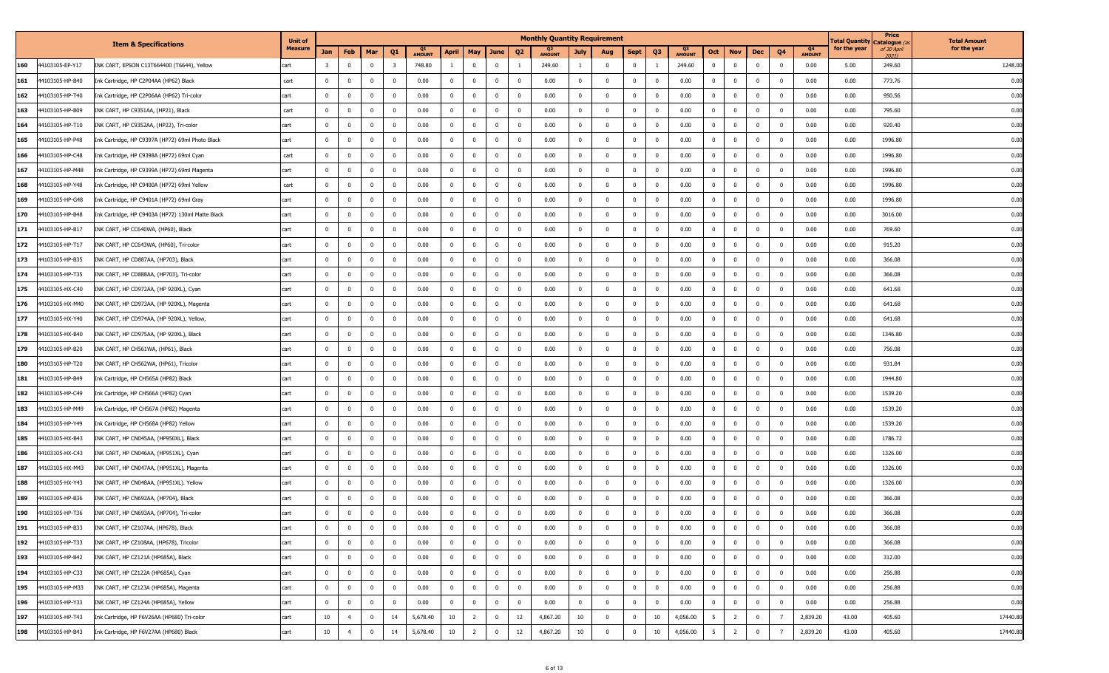|     |                 |                                                   | <b>Unit of</b> |                         |                |             |                         |                     |                         |                |              |                         | <b>Monthly Quantity Requirement</b> |                |                |              |                         |               |                 |                         |              |                |                     | l otal Quantity | Price<br>Catalogue ( | <b>Total Amount</b> |
|-----|-----------------|---------------------------------------------------|----------------|-------------------------|----------------|-------------|-------------------------|---------------------|-------------------------|----------------|--------------|-------------------------|-------------------------------------|----------------|----------------|--------------|-------------------------|---------------|-----------------|-------------------------|--------------|----------------|---------------------|-----------------|----------------------|---------------------|
|     |                 | <b>Item &amp; Specifications</b>                  | Measure        | Jan                     | Feb            | Mar         | Q <sub>1</sub>          | Q1<br><b>AMOUNT</b> | <b>April</b>            | May            | June         | Q <sub>2</sub>          | Q2<br><b>AMOUNT</b>                 | July           | Aug            | <b>Sept</b>  | Q <sub>3</sub>          | <b>AMOUNT</b> | Oct             | <b>Nov</b>              | Dec          | Q <sub>4</sub> | Q4<br><b>AMOUNT</b> | for the year    | of 30 April<br>2021) | for the year        |
| 160 | 44103105-EP-Y17 | INK CART, EPSON C13T664400 (T6644), Yellow        | cart           | $\overline{\mathbf{3}}$ | $\overline{0}$ | $^{\circ}$  | $\overline{\mathbf{3}}$ | 748.80              | $\overline{1}$          | $\mathbf 0$    | $\mathbf 0$  |                         | 249.60                              |                | $^{\circ}$     | $\mathbf 0$  |                         | 249.60        | $\mathbf 0$     | $\overline{0}$          | $\mathbf 0$  | $^{\circ}$     | 0.00                | 5.00            | 249.60               | 1248.0              |
| 161 | 44103105-HP-B40 | Ink Cartridge, HP C2P04AA (HP62) Black            | cart           | $\overline{0}$          | $\bf{0}$       | $^{\circ}$  | $\overline{\mathbf{0}}$ | 0.00                | $\overline{0}$          | $\mathbf 0$    | $\mathbf 0$  | $\overline{\mathbf{0}}$ | 0.00                                | $\mathbf{0}$   | $\mathbf{0}$   | $\mathbf{0}$ | $^{\circ}$              | 0.00          | $^{\circ}$      | $\overline{0}$          | $^{\circ}$   | $\overline{0}$ | 0.00                | 0.00            | 773.76               | 0.00                |
| 162 | 44103105-HP-T40 | Ink Cartridge, HP C2P06AA (HP62) Tri-color        | cart           | $\mathbf 0$             | $\overline{0}$ | $\Omega$    | $\overline{\mathbf{0}}$ | 0.00                | $\overline{0}$          | $\mathbf 0$    | $^{\circ}$   | $\overline{\mathbf{0}}$ | 0.00                                | 0              | $^{\circ}$     | $^{\circ}$   | $\Omega$                | 0.00          | $^{\circ}$      | $\mathbf{0}$            | $\Omega$     | 0              | 0.00                | 0.00            | 950.56               | 0.00                |
| 163 | 44103105-HP-B09 | INK CART, HP C9351AA, (HP21), Black               | cart           | $\mathbf{0}$            | $\overline{0}$ | $\Omega$    | $\overline{\mathbf{0}}$ | 0.00                | $\overline{0}$          | $\mathbf 0$    | $\bf{0}$     | $\overline{\mathbf{0}}$ | 0.00                                | $\mathbf{0}$   | $\mathbf{0}$   | $\mathbf{0}$ | $^{\circ}$              | 0.00          | $^{\circ}$      | $\bf{0}$                | $\mathbf 0$  | $\overline{0}$ | 0.00                | 0.00            | 795.60               | 0.00                |
| 164 | 44103105-HP-T10 | INK CART, HP C9352AA, (HP22), Tri-color           | cart           | $\mathbf 0$             | $\overline{0}$ | $\Omega$    | $\overline{0}$          | 0.00                | $\overline{0}$          | $\mathbf 0$    | $\mathbf 0$  | $\overline{\mathbf{0}}$ | 0.00                                | $\mathbf{0}$   | $\mathbf{0}$   | $\mathbf 0$  | $^{\circ}$              | 0.00          | $\mathbf 0$     | $\overline{0}$          | $\mathbf 0$  | $\overline{0}$ | 0.00                | 0.00            | 920.40               | 0.00                |
| 165 | 44103105-HP-P48 | Ink Cartridge, HP C9397A (HP72) 69ml Photo Black  | cart           | $\overline{0}$          | $\overline{0}$ | $^{\circ}$  | $\overline{0}$          | 0.00                | $\overline{0}$          | $\mathbf 0$    | $\bf{0}$     | $\overline{\mathbf{0}}$ | 0.00                                | $^{\circ}$     | $\mathbf{0}$   | $^{\circ}$   | $^{\circ}$              | 0.00          | $^{\circ}$      | $\mathbf{0}$            | $^{\circ}$   | $\mathbf 0$    | 0.00                | 0.00            | 1996.80              | 0.00                |
| 166 | 44103105-HP-C48 | Ink Cartridge, HP C9398A (HP72) 69ml Cyan         | cart           | $\Omega$                | $\mathbf 0$    |             | 0                       | 0.00                | $\mathbf{0}$            | $^{\circ}$     | $^{\circ}$   | $\overline{\mathbf{0}}$ | 0.00                                | 0              | $\mathbf 0$    | 0            | $^{\circ}$              | 0.00          | $\Omega$        | $^{\circ}$              |              |                | 0.00                | 0.00            | 1996.80              | 0.00                |
| 167 | 44103105-HP-M48 | Ink Cartridge, HP C9399A (HP72) 69ml Magenta      | cart           | $\mathbf 0$             | $\overline{0}$ | $\Omega$    | $\overline{0}$          | 0.00                | $\overline{0}$          | $\mathbf 0$    | $\bf{0}$     | $\overline{\mathbf{0}}$ | 0.00                                | $\mathbf{0}$   | $\mathbf 0$    | $^{\circ}$   | $^{\circ}$              | 0.00          | $^{\circ}$      | $^{\circ}$              | $^{\circ}$   | $\Omega$       | 0.00                | 0.00            | 1996.80              | 0.00                |
| 168 | 44103105-HP-Y48 | Ink Cartridge, HP C9400A (HP72) 69ml Yellow       | cart           | $\Omega$                | $\overline{0}$ |             | $\overline{\mathbf{0}}$ | 0.00                | $\overline{0}$          | $\mathbf{0}$   | $\bf{0}$     | $\overline{0}$          | 0.00                                | $^{\circ}$     | $\mathbf 0$    | $^{\circ}$   | $^{\circ}$              | 0.00          | $\bf{0}$        | $\overline{0}$          | $\Omega$     | $\mathbf{0}$   | 0.00                | 0.00            | 1996.80              | 0.00                |
| 169 | 44103105-HP-G48 | Ink Cartridge, HP C9401A (HP72) 69ml Gray         | cart           | $\mathbf 0$             | $\mathbf 0$    | $\Omega$    | $\overline{0}$          | 0.00                | $\overline{0}$          | $\mathbf 0$    | $^{\circ}$   | $\overline{\mathbf{0}}$ | 0.00                                | $^{\circ}$     | $\mathbf 0$    | $^{\circ}$   | $^{\circ}$              | 0.00          | $^{\circ}$      | $\mathbf{0}$            | $\Omega$     | $\mathbf{0}$   | 0.00                | 0.00            | 1996.80              | 0.00                |
| 170 | 44103105-HP-B48 | Ink Cartridge, HP C9403A (HP72) 130ml Matte Black | cart           | $\mathbf{0}$            | $\overline{0}$ |             | $\mathbf{0}$            | 0.00                | $\overline{0}$          | $\mathbf{0}$   | $^{\circ}$   | $\overline{\mathbf{0}}$ | 0.00                                | 0              | $\mathbf 0$    | $^{\circ}$   | 0                       | 0.00          | $^{\circ}$      | $^{\circ}$              | $\Omega$     | 0              | 0.00                | 0.00            | 3016.00              | 0.00                |
| 171 | 44103105-HP-B17 | INK CART, HP CC640WA, (HP60), Black               | cart           | $\mathbf 0$             | $\mathbf 0$    | $^{\circ}$  | $\bf{0}$                | 0.00                | $\overline{0}$          | $\mathbf 0$    | $\bf{0}$     | $\overline{0}$          | 0.00                                | $\mathbf{0}$   | $\mathbf{0}$   | $^{\circ}$   | $\mathbf 0$             | 0.00          | $\mathbf{0}$    | $\mathbf{0}$            | $^{\circ}$   | $\mathbf 0$    | 0.00                | 0.00            | 769.60               | 0.00                |
| 172 | 44103105-HP-T17 | INK CART, HP CC643WA, (HP60), Tri-color           | cart           | $\Omega$                | $\overline{0}$ |             | $\overline{\mathbf{0}}$ | 0.00                | $\overline{0}$          | $\mathbf 0$    | $^{\circ}$   | $\overline{\mathbf{0}}$ | 0.00                                | 0              | $\mathbf 0$    | $\bf{0}$     | $\Omega$                | 0.00          | $^{\circ}$      | $\mathbf 0$             | $\Omega$     | $\mathbf{0}$   | 0.00                | 0.00            | 915.20               | 0.00                |
| 173 | 44103105-HP-B35 | INK CART, HP CD887AA, (HP703), Black              | cart           | $\mathbf{0}$            | $\mathbf{0}$   | $\Omega$    | $\overline{0}$          | 0.00                | $\overline{0}$          | $\mathbf 0$    | $\mathbf 0$  | $\overline{0}$          | 0.00                                | $^{\circ}$     | $\Omega$       | $\mathbf 0$  | $\Omega$                | 0.00          | $\mathbf 0$     | $\mathbf{0}$            | $\Omega$     | $\mathbf{0}$   | 0.00                | 0.00            | 366.08               | 0.00                |
| 174 | 44103105-HP-T35 | INK CART, HP CD888AA, (HP703), Tri-color          | cart           | $\overline{0}$          | $\overline{0}$ |             | $\overline{0}$          | 0.00                | $\overline{0}$          | $\mathbf{0}$   | $^{\circ}$   | $\overline{\mathbf{0}}$ | 0.00                                | $\mathbf 0$    | 0              | 0            | 0                       | 0.00          | $^{\circ}$      | $\mathbf 0$             | $^{\circ}$   | 0              | 0.00                | 0.00            | 366.08               | 0.00                |
| 175 | 44103105-HX-C40 | INK CART, HP CD972AA, (HP 920XL), Cyan            | cart           | $\Omega$                | $\mathbf{0}$   | $\Omega$    | $\overline{0}$          | 0.00                | $\overline{0}$          | $\mathbf 0$    | $\mathbf 0$  | $\overline{\mathbf{0}}$ | 0.00                                | $\mathbf{0}$   | $^{\circ}$     | $^{\circ}$   | $\Omega$                | 0.00          | $\mathbf 0$     | $^{\circ}$              | $\Omega$     | $\Omega$       | 0.00                | 0.00            | 641.68               | 0.00                |
| 176 | 44103105-HX-M40 | INK CART, HP CD973AA, (HP 920XL), Magenta         | cart           | $\mathbf{0}$            | $\overline{0}$ | $\Omega$    | $\overline{\mathbf{0}}$ | 0.00                | $\overline{0}$          | $^{\circ}$     | $\mathbf 0$  | $\overline{\mathbf{0}}$ | 0.00                                | 0              | $\mathbf 0$    | 0            | $\Omega$                | 0.00          | $\mathbf 0$     | $\overline{\mathbf{0}}$ | $^{\circ}$   | $^{\circ}$     | 0.00                | 0.00            | 641.68               | 0.00                |
| 177 | 44103105-HX-Y40 | INK CART, HP CD974AA, (HP 920XL), Yellow,         | cart           | $\mathbf 0$             | $\mathbf{0}$   |             | $\overline{0}$          | 0.00                | $\mathbf{0}$            | $\mathbf 0$    | $^{\circ}$   | $\overline{0}$          | 0.00                                | 0              | $\Omega$       | $^{\circ}$   | $\Omega$                | 0.00          | $^{\circ}$      | $\overline{\mathbf{0}}$ | $\Omega$     | - 0            | 0.00                | 0.00            | 641.68               | 0.00                |
| 178 | 44103105-HX-B40 | INK CART, HP CD975AA, (HP 920XL), Black           | cart           | $\mathbf{0}$            | $\overline{0}$ |             | $^{\circ}$              | 0.00                | $\mathbf{0}$            | $^{\circ}$     | $^{\circ}$   | $\overline{\mathbf{0}}$ | 0.00                                | 0              | $\mathbf 0$    | $\mathbf 0$  | $^{\circ}$              | 0.00          | $^{\circ}$      | $\bf{0}$                | $\Omega$     | $^{\circ}$     | 0.00                | 0.00            | 1346.80              | 0.00                |
| 179 | 44103105-HP-B20 | INK CART, HP CH561WA, (HP61), Black               | cart           | $\mathbf 0$             | $\mathbf 0$    | $\Omega$    | $\overline{0}$          | 0.00                | $\overline{0}$          | $\mathbf 0$    | $\mathbf 0$  | $\overline{0}$          | 0.00                                | $\mathbf{0}$   | $\overline{0}$ | $^{\circ}$   | $^{\circ}$              | 0.00          | $\mathbf 0$     | $\bf{0}$                | $\mathbf 0$  | $\mathbf{0}$   | 0.00                | 0.00            | 756.08               | 0.00                |
| 180 | 44103105-HP-T20 | INK CART, HP CH562WA, (HP61), Tricolor            | cart           | $\mathbf 0$             | $\bf{0}$       | $^{\circ}$  | $\overline{\mathbf{0}}$ | 0.00                | $\mathbf{0}$            | $\overline{0}$ | $\mathbf{0}$ | $\overline{\mathbf{0}}$ | 0.00                                | $\overline{0}$ | $\bf{0}$       | $\mathbf{0}$ | $^{\circ}$              | 0.00          | $^{\circ}$      | $\overline{0}$          | $^{\circ}$   | $\mathbf{0}$   | 0.00                | 0.00            | 931.84               | 0.00                |
| 181 | 44103105-HP-B49 | Ink Cartridge, HP CH565A (HP82) Black             | cart           | $\mathbf 0$             | $\overline{0}$ | $\Omega$    | $\overline{\mathbf{0}}$ | 0.00                | $\overline{\mathbf{0}}$ | $\mathbf 0$    | $\mathbf 0$  | $\overline{0}$          | 0.00                                | $^{\circ}$     | $^{\circ}$     | $^{\circ}$   | $\Omega$                | 0.00          | $^{\circ}$      | $\mathbf{0}$            | $\Omega$     | $\mathbf{0}$   | 0.00                | 0.00            | 1944.80              | 0.00                |
| 182 | 44103105-HP-C49 | Ink Cartridge, HP CH566A (HP82) Cyan              | cart           | $\mathbf{0}$            | $\overline{0}$ | $\Omega$    | $\overline{\mathbf{0}}$ | 0.00                | $\overline{0}$          | $\mathbf 0$    | $\bf{0}$     | $\overline{\mathbf{0}}$ | 0.00                                | $\mathbf 0$    | $\mathbf 0$    | $\mathbf 0$  | $^{\circ}$              | 0.00          | $^{\circ}$      | $\mathbf 0$             | $^{\circ}$   | $\mathbf{0}$   | 0.00                | 0.00            | 1539.20              | 0.00                |
| 183 | 44103105-HP-M49 | Ink Cartridge, HP CH567A (HP82) Magenta           | cart           | $\mathbf{0}$            | $\mathbf 0$    | $\Omega$    | $\overline{0}$          | 0.00                | $\overline{0}$          | $\mathbf 0$    | $\mathbf 0$  | $\overline{0}$          | 0.00                                | $\mathbf{0}$   | $\mathbf{0}$   | $^{\circ}$   | $^{\circ}$              | 0.00          | $\mathbf 0$     | $\mathbf{0}$            | $^{\circ}$   | $\overline{0}$ | 0.00                | 0.00            | 1539.20              | 0.00                |
| 184 | 44103105-HP-Y49 | Ink Cartridge, HP CH568A (HP82) Yellow            | cart           | $\overline{0}$          | $\overline{0}$ | $^{\circ}$  | $\overline{\mathbf{0}}$ | 0.00                | $\overline{0}$          | $\mathbf 0$    | $\mathbf 0$  | $\overline{\mathbf{0}}$ | 0.00                                | $^{\circ}$     | $^{\circ}$     | $^{\circ}$   | $\Omega$                | 0.00          | $^{\circ}$      | $\mathbf{0}$            | $^{\circ}$   | $\overline{0}$ | 0.00                | 0.00            | 1539.20              | 0.00                |
| 185 | 44103105-HX-B43 | INK CART, HP CN045AA, (HP950XL), Black            | cart           | $\mathbf 0$             | $\overline{0}$ |             | 0                       | 0.00                | $\mathbf{0}$            | $^{\circ}$     | $^{\circ}$   | $\overline{\mathbf{0}}$ | 0.00                                | 0              | 0              | $^{\circ}$   | $\Omega$                | 0.00          | $^{\circ}$      | $\mathbf{0}$            | $\Omega$     | $\Omega$       | 0.00                | 0.00            | 1786.72              | 0.00                |
| 186 | 44103105-HX-C43 | INK CART, HP CN046AA, (HP951XL), Cyan             | cart           | $\overline{0}$          | $\mathbf{0}$   | $^{\circ}$  | $\overline{\mathbf{0}}$ | 0.00                | $\overline{0}$          | $\mathbf 0$    | $\mathbf 0$  | $\overline{\mathbf{0}}$ | 0.00                                | $\mathbf{0}$   | $\mathbf{0}$   | $\mathbf 0$  | $^{\circ}$              | 0.00          | $\mathbf 0$     | $\overline{\mathbf{0}}$ | $^{\circ}$   | $^{\circ}$     | 0.00                | 0.00            | 1326.00              | 0.00                |
| 187 | 44103105-HX-M43 | INK CART, HP CN047AA, (HP951XL), Magenta          | cart           | $\Omega$                | $\mathbf 0$    |             | $\overline{\mathbf{0}}$ | 0.00                | $\mathbf 0$             | $\mathbf 0$    | $\bf{0}$     | $\overline{\mathbf{0}}$ | 0.00                                | $^{\circ}$     | $\mathbf{0}$   | $\mathbf{0}$ | $\Omega$                | 0.00          | $\bf{0}$        | $\overline{0}$          | $\Omega$     | $\mathbf{0}$   | 0.00                | 0.00            | 1326.00              | 0.00                |
| 188 | 44103105-HX-Y43 | INK CART, HP CN048AA, (HP951XL). Yellow           | cart           | $\overline{0}$          | $\overline{0}$ | $^{\circ}$  | $\overline{0}$          | 0.00                | $\overline{0}$          | $\mathbf 0$    | $\mathbf 0$  | $\overline{\mathbf{0}}$ | 0.00                                | $\mathbf{0}$   | $\mathbf{0}$   | $\mathbf 0$  | $^{\circ}$              | 0.00          | $\mathbf 0$     | $\mathbf 0$             | $^{\circ}$   | $\overline{0}$ | 0.00                | 0.00            | 1326.00              | 0.00                |
| 189 | 44103105-HP-B36 | INK CART, HP CN692AA, (HP704), Black              | cart           | $^{\circ}$              | $\mathbf{0}$   |             | $\overline{0}$          | 0.00                | $\mathbf{0}$            | $\mathbf 0$    | $^{\circ}$   | $\overline{\mathbf{0}}$ | 0.00                                | 0              | $\mathbf 0$    | $\mathbf 0$  | $\Omega$                | 0.00          | $^{\circ}$      | $\mathbf{0}$            |              | 0              | 0.00                | 0.00            | 366.08               | 0.00                |
| 190 | 44103105-HP-T36 | INK CART, HP CN693AA, (HP704), Tri-color          | cart           | $\mathbf{0}$            | $\mathbf{0}$   | $\Omega$    | $\overline{0}$          | 0.00                | $\mathbf{0}$            | $\mathbf{0}$   | $\Omega$     | $\overline{0}$          | 0.00                                | $^{\circ}$     | $\mathbf 0$    | $^{\circ}$   | $^{\circ}$              | 0.00          | $\Omega$        | $^{\circ}$              | $\Omega$     | $\Omega$       | 0.00                | 0.00            | 366.08               | 0.00                |
| 191 | 44103105-HP-B33 | INK CART, HP CZ107AA, (HP678), Black              | cart           | $\mathbf 0$             | $\mathbf 0$    | $\mathbf 0$ | $\mathbf 0$             | 0.00                | $\mathbf 0$             | $\overline{0}$ | $\mathbf{0}$ | $\overline{\mathbf{0}}$ | 0.00                                | $\mathbf 0$    | $\mathbf 0$    | $\mathbf 0$  | $\overline{0}$          | 0.00          | $\mathbf{0}$    | $\mathbf 0$             | $\mathbf 0$  | $\mathbf{0}$   | 0.00                | 0.00            | 366.08               | 0.00                |
| 192 | 44103105-HP-T33 | INK CART, HP CZ108AA, (HP678), Tricolor           | cart           | $\overline{0}$          | $\bf{0}$       | $\mathbf 0$ | $\overline{0}$          | 0.00                | $\overline{0}$          | $\mathbf 0$    | $\mathbf 0$  | $\overline{\mathbf{0}}$ | 0.00                                | $\mathbf{0}$   | $\mathbf{0}$   | $\mathbf{0}$ | $\mathbf 0$             | 0.00          | $\mathbf 0$     | $\mathbf 0$             | $\mathbf 0$  | $\overline{0}$ | 0.00                | 0.00            | 366.08               | 0.00                |
| 193 | 44103105-HP-B42 | INK CART, HP CZ121A (HP685A), Black               | cart           | $\bf{0}$                | $\mathbf 0$    | $^{\circ}$  | $\overline{0}$          | 0.00                | $\overline{0}$          | $\mathbf 0$    | $\bf{0}$     | $\overline{\mathbf{0}}$ | 0.00                                | $\bf{0}$       | $\bf{0}$       | $\mathbf 0$  | $\overline{\mathbf{0}}$ | 0.00          | $^{\circ}$      | $\overline{\mathbf{0}}$ | $\mathbf 0$  | $\mathbf 0$    | 0.00                | 0.00            | 312.00               | 0.00                |
| 194 | 44103105-HP-C33 | INK CART, HP CZ122A (HP685A), Cyan                | cart           | $\mathbf 0$             | $\bf{0}$       | $^{\circ}$  | $\overline{0}$          | 0.00                | $\overline{0}$          | $\mathbf 0$    | $\mathbf 0$  | $\overline{\mathbf{0}}$ | 0.00                                | $\overline{0}$ | $\overline{0}$ | $\mathbf 0$  | $\mathbf 0$             | 0.00          | $\overline{0}$  | $\bf{0}$                | $\mathbf{0}$ | $\mathbf 0$    | 0.00                | 0.00            | 256.88               | 0.00                |
| 195 | 44103105-HP-M33 | INK CART, HP CZ123A (HP685A), Magenta             | cart           | $\bf{0}$                | $\bf{0}$       | $^{\circ}$  | $\overline{0}$          | 0.00                | $\overline{0}$          | $\mathbf 0$    | $\mathbf{0}$ | $\overline{\mathbf{0}}$ | 0.00                                | $\overline{0}$ | $\pmb{0}$      | $\mathbf 0$  | $\mathbf 0$             | 0.00          | $\mathbf 0$     | $\pmb{0}$               | $\mathbf 0$  | $\bf{0}$       | 0.00                | 0.00            | 256.88               | 0.00                |
| 196 | 44103105-HP-Y33 | INK CART, HP CZ124A (HP685A), Yellow              | cart           | $\mathbf 0$             | $\bf{0}$       | $^{\circ}$  | $\mathbf 0$             | 0.00                | $\overline{0}$          | $\mathbf 0$    | $\mathbf 0$  | $\overline{\mathbf{0}}$ | 0.00                                | $\mathbf{0}$   | $\mathbf 0$    | $\bf{0}$     | $\overline{0}$          | 0.00          | $\overline{0}$  | $\bf{0}$                | $\bf{0}$     | $\mathbf 0$    | 0.00                | 0.00            | 256.88               | 0.00                |
| 197 | 44103105-HP-T43 | Ink Cartridge, HP F6V26AA (HP680) Tri-color       | cart           | 10                      | $\overline{4}$ | $^{\circ}$  | 14                      | 5,678.40            | 10                      | $\overline{2}$ | $^{\circ}$   | 12                      | 4,867.20                            | 10             | $\mathbf 0$    | $\bf{0}$     | 10                      | 4,056.00      | 5               | $\overline{2}$          | $\bf{0}$     | $\overline{7}$ | 2,839.20            | 43.00           | 405.60               | 17440.80            |
| 198 | 44103105-HP-B43 | Ink Cartridge, HP F6V27AA (HP680) Black           | cart           | $10\,$                  | $\overline{4}$ | $\mathbf 0$ | 14                      | 5,678.40            | 10                      | $\overline{2}$ | $\mathbf 0$  | 12                      | 4,867.20                            | 10             | $\overline{0}$ | $\mathbf 0$  | $10\,$                  | 4,056.00      | $5\overline{5}$ | $\overline{2}$          | $\mathbf 0$  | $\overline{7}$ | 2,839.20            | 43.00           | 405.60               | 17440.80            |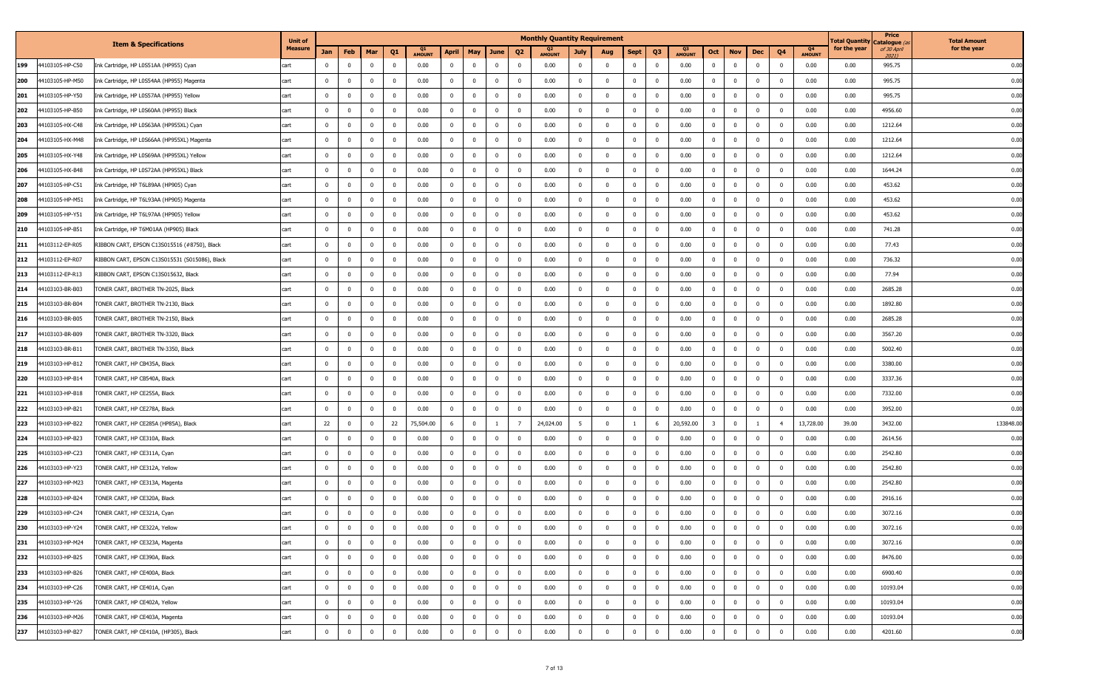|                        |                                                | <b>Unit of</b> |                |                         |                |                |                     |                                           |                |                          | <b>Monthly Quantity Requirement</b> |                |                         |                |                         |                                 |                         |                         |                |                |                     | <b>Total Quantity</b> | Price<br>Catalogue ( | <b>Total Amount</b> |
|------------------------|------------------------------------------------|----------------|----------------|-------------------------|----------------|----------------|---------------------|-------------------------------------------|----------------|--------------------------|-------------------------------------|----------------|-------------------------|----------------|-------------------------|---------------------------------|-------------------------|-------------------------|----------------|----------------|---------------------|-----------------------|----------------------|---------------------|
|                        | <b>Item &amp; Specifications</b>               | Measure        | Jan            | Feb                     | Mar            | Q <sub>1</sub> | Q1<br><b>AMOUNT</b> | May<br><b>April</b>                       | June           | Q <sub>2</sub>           | Q <sub>2</sub><br><b>AMOUNT</b>     | July           | Aug                     | <b>Sept</b>    | Q <sub>3</sub>          | Q <sub>3</sub><br><b>AMOUNT</b> | Oct                     | <b>Nov</b>              | Dec            | Q <sub>4</sub> | Q4<br><b>AMOUNT</b> | for the year          | of 30 April<br>20211 | for the year        |
| 44103105-HP-C50<br>199 | Ink Cartridge, HP L0S51AA (HP955) Cyan         | cart           | $\mathbf{0}$   | $\overline{0}$          | $^{\circ}$     | $\mathbf{0}$   | 0.00                | $\mathbf 0$<br>$\overline{0}$             | $\overline{0}$ | $\overline{\mathbf{0}}$  | 0.00                                | $\mathbf{0}$   | $\mathbf{0}$            | $\mathbf{0}$   | $\overline{0}$          | 0.00                            | $^{\circ}$              | $\mathbf 0$             | $\mathbf{0}$   | $\mathbf{0}$   | 0.00                | 0.00                  | 995.75               | 0.00                |
| 200<br>44103105-HP-M50 | Ink Cartridge, HP L0S54AA (HP955) Magenta      | cart           | $\mathbf{0}$   | $\overline{0}$          | $^{\circ}$     | $\mathbf 0$    | 0.00                | $\mathbf{0}$<br>$\bf{0}$                  | $^{\circ}$     | $\overline{\mathbf{0}}$  | 0.00                                | $\overline{0}$ | $\mathbf{0}$            | $\bf{0}$       | $\overline{0}$          | 0.00                            | $^{\circ}$              | $\overline{0}$          | $\mathbf 0$    | $\mathbf{0}$   | 0.00                | 0.00                  | 995.75               | 0.00                |
| 4103105-HP-Y50<br>201  | Ink Cartridge, HP L0S57AA (HP955) Yellow       | cart           | $\mathbf{0}$   | $\overline{\mathbf{0}}$ | $^{\circ}$     | $^{\circ}$     | 0.00                | $\overline{0}$<br>$\overline{\mathbf{0}}$ | $^{\circ}$     | $\overline{\phantom{0}}$ | 0.00                                | $\mathbf{0}$   | $\overline{\mathbf{0}}$ | $\mathbf{0}$   | $\overline{\mathbf{0}}$ | 0.00                            | $^{\circ}$              | $\mathbf 0$             | $^{\circ}$     | 0              | 0.00                | 0.00                  | 995.75               | 0.00                |
| 202<br>4103105-HP-B50  | Ink Cartridge, HP L0S60AA (HP955) Black        | cart           | $\mathbf 0$    | $\mathbf 0$             | $^{\circ}$     | $\mathbf 0$    | 0.00                | $\mathbf 0$<br>$\overline{0}$             | $^{\circ}$     | $\overline{\mathbf{0}}$  | 0.00                                | $\overline{0}$ | $\overline{0}$          | $\overline{0}$ | $\overline{\mathbf{0}}$ | 0.00                            | $^{\circ}$              | $\mathbf 0$             | $\mathbf 0$    | $\mathbf{0}$   | 0.00                | 0.00                  | 4956.60              | 0.00                |
| 4103105-HX-C48<br>203  | Ink Cartridge, HP L0S63AA (HP955XL) Cyan       | cart           | $\mathbf{0}$   | $\overline{0}$          | $\mathbf 0$    | $\mathbf{0}$   | 0.00                | $\overline{0}$<br>$\mathbf 0$             | $\overline{0}$ | $\overline{\mathbf{0}}$  | 0.00                                | $\overline{0}$ | $\overline{0}$          | $\mathbf{0}$   | $\overline{0}$          | 0.00                            | $^{\circ}$              | $\overline{0}$          | $\mathbf 0$    | $^{\circ}$     | 0.00                | 0.00                  | 1212.64              | 0.00                |
| 44103105-HX-M48<br>204 | Ink Cartridge, HP L0S66AA (HP955XL) Magenta    | cart           | $\mathbf{0}$   | $\overline{0}$          | $^{\circ}$     | $\overline{0}$ | 0.00                | $\mathbf 0$<br>$\overline{0}$             | $^{\circ}$     | $\overline{\mathbf{0}}$  | 0.00                                | $\mathbf 0$    | $\bf{0}$                | $\mathbf{0}$   | $\overline{0}$          | 0.00                            | $^{\circ}$              | $\overline{0}$          | $\mathbf 0$    | $^{\circ}$     | 0.00                | 0.00                  | 1212.64              | 0.00                |
| 205<br>4103105-HX-Y48  | Ink Cartridge, HP L0S69AA (HP955XL) Yellow     | cart           | $\mathbf 0$    | $\overline{0}$          | $\Omega$       | $\mathbf{0}$   | 0.00                | $\mathbf{0}$<br>$\overline{0}$            | $^{\circ}$     | $\overline{\mathbf{0}}$  | 0.00                                | 0              | $\overline{0}$          | 0              | $\overline{0}$          | 0.00                            | $\Omega$                | $\bf{0}$                | $\Omega$       |                | 0.00                | 0.00                  | 1212.64              | 0.00                |
| 206<br>4103105-HX-B48  | Ink Cartridge, HP L0S72AA (HP955XL) Black      | cart           | $^{\circ}$     | $\mathbf 0$             | $^{\circ}$     | $^{\circ}$     | 0.00                | $\mathbf 0$<br>$\overline{0}$             | $^{\circ}$     | $\overline{\mathbf{0}}$  | 0.00                                | $\mathbf{0}$   | $\mathbf{0}$            | $\mathbf 0$    | $\overline{\mathbf{0}}$ | 0.00                            | $^{\circ}$              | $\mathbf{0}$            | $^{\circ}$     | $^{\circ}$     | 0.00                | 0.00                  | 1644.24              | 0.00                |
| 207<br>14103105-HP-C51 | Ink Cartridge, HP T6L89AA (HP905) Cyan         | cart           | $^{\circ}$     | $\overline{0}$          | $^{\circ}$     | $\mathbf 0$    | 0.00                | $\overline{0}$<br>$\overline{\mathbf{0}}$ | $^{\circ}$     | $\overline{\phantom{0}}$ | 0.00                                | $\mathbf 0$    | $\overline{0}$          | $\mathbf 0$    | $\overline{0}$          | 0.00                            | $^{\circ}$              | $\bf{0}$                | $^{\circ}$     | $\mathbf{0}$   | 0.00                | 0.00                  | 453.62               | 0.00                |
| 208<br>4103105-HP-M51  | Ink Cartridge, HP T6L93AA (HP905) Magenta      | cart           | $\mathbf{0}$   | $\overline{0}$          | $^{\circ}$     | $\mathbf 0$    | 0.00                | $\overline{0}$<br>$\overline{0}$          | $^{\circ}$     | $\overline{\mathbf{0}}$  | 0.00                                | $\mathbf 0$    | $\mathbf{0}$            | $\mathbf{0}$   | $\overline{0}$          | 0.00                            | $^{\circ}$              | $\mathbf 0$             | $^{\circ}$     | $\Omega$       | 0.00                | 0.00                  | 453.62               | 0.00                |
| 209<br>4103105-HP-Y51  | Ink Cartridge, HP T6L97AA (HP905) Yellow       | cart           | $^{\circ}$     | $\overline{\mathbf{0}}$ | $\Omega$       | $^{\circ}$     | 0.00                | $\overline{0}$<br>$\overline{\mathbf{0}}$ | $^{\circ}$     | $^{\circ}$               | 0.00                                | $\mathbf 0$    | $\mathbf{0}$            | $\mathbf 0$    | $\overline{0}$          | 0.00                            | $^{\circ}$              | $\bf{0}$                | $^{\circ}$     | $\Omega$       | 0.00                | 0.00                  | 453.62               | 0.00                |
| 4103105-HP-B51<br>210  | Ink Cartridge, HP T6M01AA (HP905) Black        | cart           | $\mathbf{0}$   | $\overline{\mathbf{0}}$ | $\mathbf{0}$   | $\mathbf{0}$   | 0.00                | $\mathbf 0$<br>$\overline{0}$             | $\mathbf{0}$   | $\overline{\mathbf{0}}$  | 0.00                                | $\overline{0}$ | $\overline{\mathbf{0}}$ | $\mathbf 0$    | $\overline{0}$          | 0.00                            | $^{\circ}$              | $\bf{0}$                | $\mathbf{0}$   | $\mathbf 0$    | 0.00                | 0.00                  | 741.28               | 0.00                |
| 4103112-EP-R05<br>211  | RIBBON CART, EPSON C13S015516 (#8750), Black   | cart           | $\mathbf 0$    | $\overline{\mathbf{0}}$ | $^{\circ}$     | $\mathbf 0$    | 0.00                | $\overline{0}$<br>$\overline{0}$          | $\mathbf 0$    | $\overline{\mathbf{0}}$  | 0.00                                | $\overline{0}$ | $\overline{0}$          | $\mathbf 0$    | $\overline{0}$          | 0.00                            | $^{\circ}$              | $\bf{0}$                | $^{\circ}$     | $\mathbf{0}$   | 0.00                | 0.00                  | 77.43                | 0.00                |
| 4103112-EP-R07<br>212  | RIBBON CART, EPSON C13S015531 (S015086), Black | cart           | $\overline{0}$ | $\overline{0}$          | $^{\circ}$     | $\mathbf{0}$   | 0.00                | $\overline{0}$<br>$\overline{\mathbf{0}}$ | $^{\circ}$     | $\overline{\mathbf{0}}$  | 0.00                                | $\mathbf{0}$   | $\mathbf{0}$            | $\mathbf{0}$   | $\overline{0}$          | 0.00                            | $^{\circ}$              | $\mathbf 0$             | $\Omega$       | $\mathbf{0}$   | 0.00                | 0.00                  | 736.32               | 0.00                |
| 4103112-EP-R13<br>213  | RIBBON CART, EPSON C13S015632, Black           | cart           | $^{\circ}$     | $\mathbf 0$             | $^{\circ}$     | $^{\circ}$     | 0.00                | $\overline{0}$<br>$\overline{0}$          | $^{\circ}$     | $\overline{\mathbf{0}}$  | 0.00                                | $\bf{0}$       | $\overline{\mathbf{0}}$ | $\mathbf 0$    | $\overline{0}$          | 0.00                            | $\Omega$                | $\bf{0}$                | $^{\circ}$     | $\mathbf{0}$   | 0.00                | 0.00                  | 77.94                | 0.00                |
| 4103103-BR-B03<br>214  | TONER CART, BROTHER TN-2025, Black             | cart           | $\mathbf{0}$   | $\overline{\mathbf{0}}$ | $^{\circ}$     | $\mathbf{0}$   | 0.00                | $\overline{0}$<br>$\overline{0}$          | $^{\circ}$     | $\overline{\mathbf{0}}$  | 0.00                                | $\overline{0}$ | $\mathbf{0}$            | $\mathbf{0}$   | $\overline{0}$          | 0.00                            | $\Omega$                | $\mathbf 0$             | $\Omega$       | $\mathbf{0}$   | 0.00                | 0.00                  | 2685.28              | 0.00                |
| 215<br>4103103-BR-B04  | TONER CART, BROTHER TN-2130, Black             | cart           | $^{\circ}$     | $\overline{\mathbf{0}}$ | $^{\circ}$     | $\mathbf 0$    | 0.00                | $\overline{0}$<br>$\overline{0}$          | $\mathbf 0$    | $\overline{\mathbf{0}}$  | 0.00                                | $\bf{0}$       | $\overline{\mathbf{0}}$ | $\mathbf 0$    | $\overline{\mathbf{0}}$ | 0.00                            | $^{\circ}$              | $\bf{0}$                | $^{\circ}$     | $\mathbf{0}$   | 0.00                | 0.00                  | 1892.80              | 0.00                |
| 4103103-BR-B05<br>216  | TONER CART, BROTHER TN-2150, Black             | cart           | $\overline{0}$ | $\overline{\mathbf{0}}$ | $^{\circ}$     | $\mathbf{0}$   | 0.00                | $\overline{0}$<br>$\overline{\mathbf{0}}$ | $^{\circ}$     | $^{\circ}$               | 0.00                                | $^{\circ}$     | $\overline{0}$          | $\mathbf{0}$   | $\overline{\mathbf{0}}$ | 0.00                            | $^{\circ}$              | $\mathbf 0$             | $\Omega$       | $\Omega$       | 0.00                | 0.00                  | 2685.28              | 0.00                |
| 217<br>4103103-BR-B09  | TONER CART, BROTHER TN-3320, Black             | cart           | $^{\circ}$     | $\mathbf 0$             | $\Omega$       | $^{\circ}$     | 0.00                | $\overline{0}$<br>$\overline{0}$          | $^{\circ}$     | $\overline{\mathbf{0}}$  | 0.00                                | $\bf{0}$       | $\overline{0}$          | $\mathbf 0$    | $\overline{\mathbf{0}}$ | 0.00                            | $^{\circ}$              | $\bf{0}$                | $^{\circ}$     | $^{\circ}$     | 0.00                | 0.00                  | 3567.20              | 0.00                |
| 4103103-BR-B1:<br>218  | TONER CART, BROTHER TN-3350, Black             | cart           | $\mathbf{0}$   | $\overline{\mathbf{0}}$ | $^{\circ}$     | $\mathbf{0}$   | 0.00                | $\overline{0}$<br>$\overline{0}$          | $^{\circ}$     | $\overline{\mathbf{0}}$  | 0.00                                | $\overline{0}$ | $\overline{0}$          | $\mathbf{0}$   | $\overline{0}$          | 0.00                            | $^{\circ}$              | $\bf{0}$                | $\mathbf 0$    | $^{\circ}$     | 0.00                | 0.00                  | 5002.40              | 0.00                |
| 219<br>4103103-HP-B12  | TONER CART, HP CB435A, Black                   | cart           | $\overline{0}$ | $\overline{0}$          | $^{\circ}$     | $\bf{0}$       | 0.00                | $\bf{0}$<br>$\mathbf{0}$                  | $\mathbf{0}$   | $\overline{\mathbf{0}}$  | 0.00                                | $\overline{0}$ | $\overline{0}$          | $\bf{0}$       | $\overline{0}$          | 0.00                            | $^{\circ}$              | $\overline{0}$          | $\mathbf 0$    | $\mathbf{0}$   | 0.00                | 0.00                  | 3380.00              | 0.00                |
| 4103103-HP-B14<br>220  | TONER CART, HP CB540A, Black                   | cart           | $\mathbf{0}$   | $\overline{\mathbf{0}}$ | $^{\circ}$     | $\mathbf 0$    | 0.00                | $\overline{0}$<br>$\overline{0}$          | $^{\circ}$     | $\overline{\phantom{0}}$ | 0.00                                | $\mathbf{0}$   | $\overline{\mathbf{0}}$ | $\mathbf{0}$   | $\overline{\mathbf{0}}$ | 0.00                            | $^{\circ}$              | $\mathbf 0$             | $\Omega$       | $^{\circ}$     | 0.00                | 0.00                  | 3337.36              | 0.00                |
| 221<br>4103103-HP-B18  | TONER CART, HP CE255A, Black                   | cart           | $^{\circ}$     | $\mathbf 0$             | $^{\circ}$     | $\mathbf{0}$   | 0.00                | $\mathbf{0}$<br>$\overline{0}$            | $^{\circ}$     | $\overline{\mathbf{0}}$  | 0.00                                | $\bf{0}$       | $\overline{\mathbf{0}}$ | $\bf{0}$       | $\overline{\mathbf{0}}$ | 0.00                            | $\Omega$                | $\mathbf 0$             | $^{\circ}$     | $^{\circ}$     | 0.00                | 0.00                  | 7332.00              | 0.00                |
| 222<br>4103103-HP-B21  | TONER CART, HP CE278A, Black                   | cart           | $\mathbf{0}$   | $\overline{0}$          | $^{\circ}$     | $\mathbf 0$    | 0.00                | $\overline{0}$<br>$\overline{0}$          | $\mathbf 0$    | $\overline{\mathbf{0}}$  | 0.00                                | $\overline{0}$ | $\overline{\mathbf{0}}$ | $\mathbf 0$    | $\overline{0}$          | 0.00                            | $^{\circ}$              | $\mathbf 0$             | $\Omega$       | $\mathbf 0$    | 0.00                | 0.00                  | 3952.00              | 0.00                |
| 223<br>4103103-HP-B22  | TONER CART, HP CE285A (HP85A), Black           | cart           | 22             | $\overline{0}$          | $^{\circ}$     | 22             | 75,504.00           | 6<br>$\overline{0}$                       | -1             | - 7                      | 24,024.00                           | 5              | $\overline{0}$          | 1              | 6                       | 20,592.00                       | $\overline{\mathbf{3}}$ | $\overline{0}$          | $\overline{1}$ | $\overline{4}$ | 13,728.00           | 39.00                 | 3432.00              | 133848.0            |
| 224<br>4103103-HP-B23  | TONER CART, HP CE310A, Black                   | cart           | $^{\circ}$     | $\mathbf 0$             | $^{\circ}$     | $\mathbf{0}$   | 0.00                | $\overline{0}$<br>$\overline{0}$          | $^{\circ}$     | $^{\circ}$               | 0.00                                | $^{\circ}$     | $\overline{0}$          | $\mathbf 0$    | $^{\circ}$              | 0.00                            | $\Omega$                | $\bf{0}$                |                |                | 0.00                | 0.00                  | 2614.56              | 0.00                |
| 225<br>4103103-HP-C23  | TONER CART, HP CE311A, Cyan                    | cart           | $\mathbf{0}$   | $\overline{\mathbf{0}}$ | $^{\circ}$     | $\overline{0}$ | 0.00                | $\overline{0}$<br>$\overline{\mathbf{0}}$ | $^{\circ}$     | $\overline{\mathbf{0}}$  | 0.00                                | $\overline{0}$ | $\overline{0}$          | $\overline{0}$ | $\overline{0}$          | 0.00                            | $^{\circ}$              | $\bf{0}$                | $^{\circ}$     | $\mathbf 0$    | 0.00                | 0.00                  | 2542.80              | 0.00                |
| 4103103-HP-Y23<br>226  | TONER CART, HP CE312A, Yellow                  | cart           | $\mathbf{0}$   | $\overline{\mathbf{0}}$ | $\Omega$       | $\mathbf 0$    | 0.00                | $\overline{0}$<br>$\overline{0}$          | $^{\circ}$     | $\overline{\mathbf{0}}$  | 0.00                                | $\overline{0}$ | $\overline{0}$          | $\mathbf{0}$   | $\overline{0}$          | 0.00                            | $^{\circ}$              | $\mathbf 0$             | $\Omega$       | $\mathbf{0}$   | 0.00                | 0.00                  | 2542.80              | 0.00                |
| 227<br>44103103-HP-M23 | TONER CART, HP CE313A, Magenta                 | cart           | $\mathbf{0}$   | $\overline{0}$          | $\mathbf 0$    | $\overline{0}$ | 0.00                | $\bf{0}$<br>$\overline{\mathbf{0}}$       | $\mathbf 0$    | $\overline{\mathbf{0}}$  | 0.00                                | $\mathbf{0}$   | $\overline{0}$          | $\overline{0}$ | $\overline{0}$          | 0.00                            | $^{\circ}$              | $\overline{0}$          | $\mathbf 0$    | $\mathbf 0$    | 0.00                | 0.00                  | 2542.80              | 0.00                |
| 228<br>4103103-HP-B24  | TONER CART, HP CE320A, Black                   | cart           | $\mathbf 0$    | $\overline{0}$          |                | $\mathbf 0$    | 0.00                | $\overline{0}$<br>$\overline{\mathbf{0}}$ | $^{\circ}$     | $^{\circ}$               | 0.00                                | $\mathbf 0$    | $\overline{0}$          | $\mathbf 0$    | $\overline{\mathbf{0}}$ | 0.00                            | $\Omega$                | $\mathbf 0$             |                | $\Omega$       | 0.00                | 0.00                  | 2916.16              | 0.00                |
| 229<br>44103103-HP-C24 | TONER CART, HP CE321A, Cyan                    | cart           | $\mathbf{0}$   | $\overline{0}$          | $^{\circ}$     | $\mathbf 0$    | 0.00                | $\overline{0}$<br>$\mathbf{0}$            | $\Omega$       | $\overline{0}$           | 0.00                                | $\mathbf 0$    | $^{\circ}$              | $^{\circ}$     | $\overline{0}$          | 0.00                            | $\Omega$                | $\mathbf 0$             | $\Omega$       | $\Omega$       | 0.00                | 0.00                  | 3072.16              | 0.00                |
| 230<br>44103103-HP-Y24 | TONER CART, HP CE322A, Yellow                  | cart           | $\overline{0}$ | $\bf{0}$                | $\bf{0}$       | $\mathbf 0$    | 0.00                | $\mathbf 0$<br>$\mathbf{0}$               | $\mathbf{0}$   | $\bf{0}$                 | 0.00                                | $\overline{0}$ | $\overline{0}$          | $\overline{0}$ | $\overline{0}$          | 0.00                            | $\overline{0}$          | $\bf{0}$                | $\overline{0}$ | $\mathbf{0}$   | 0.00                | 0.00                  | 3072.16              | 0.00                |
| 44103103-HP-M24<br>231 | TONER CART, HP CE323A, Magenta                 | cart           | $\mathbf 0$    | $\overline{0}$          | $\mathbf 0$    | $\overline{0}$ | 0.00                | $\overline{0}$<br>$\overline{0}$          | $\overline{0}$ | $\overline{\mathbf{0}}$  | 0.00                                | $\mathbf{0}$   | $\mathbf{0}$            | $\mathbf{0}$   | $\overline{0}$          | 0.00                            | $\overline{0}$          | $\mathbf 0$             | $\mathbf 0$    | $\mathbf 0$    | 0.00                | 0.00                  | 3072.16              | 0.00                |
| 232<br>44103103-HP-B25 | TONER CART, HP CE390A, Black                   | cart           | $\overline{0}$ | $\overline{\mathbf{0}}$ | $\mathbf 0$    | $\mathbf 0$    | 0.00                | $\mathbf 0$<br>$\bf{0}$                   | $\mathbf 0$    | $\overline{\mathbf{0}}$  | 0.00                                | $\bf{0}$       | $\overline{\mathbf{0}}$ | $\mathbf 0$    | $\overline{\mathbf{0}}$ | 0.00                            | $^{\circ}$              | $\overline{\mathbf{0}}$ | $\mathbf 0$    | $\mathbf{0}$   | 0.00                | 0.00                  | 8476.00              | 0.00                |
| 233<br>44103103-HP-B26 | TONER CART, HP CE400A, Black                   | cart           | $\mathbf{0}$   | $\overline{0}$          | $\overline{0}$ | $\overline{0}$ | 0.00                | $\mathbf 0$<br>$\overline{0}$             | $\mathbf 0$    | $\overline{\mathbf{0}}$  | 0.00                                | $\overline{0}$ | $\overline{0}$          | $\mathbf{0}$   | $\overline{0}$          | 0.00                            | $\mathbf{0}$            | $\mathbf 0$             | $\mathbf{0}$   | $\mathbf 0$    | 0.00                | 0.00                  | 6900.40              | 0.00                |
| 234<br>44103103-HP-C26 | TONER CART, HP CE401A, Cyan                    | cart           | $\mathbf 0$    | $\overline{0}$          | $\mathbf 0$    | $\mathbf 0$    | 0.00                | $\mathbf 0$<br>$\mathbf{0}$               | $\mathbf{0}$   | $\overline{\mathbf{0}}$  | 0.00                                | $\overline{0}$ | $\mathbf{0}$            | $\overline{0}$ | $\overline{0}$          | 0.00                            | $^{\circ}$              | $\overline{0}$          | $\mathbf 0$    | $\mathbf{0}$   | 0.00                | 0.00                  | 10193.04             | 0.00                |
| 235<br>44103103-HP-Y26 | TONER CART, HP CE402A, Yellow                  | cart           | $\mathbf{0}$   | $\overline{0}$          | $\bf{0}$       | $\overline{0}$ | 0.00                | $\overline{0}$<br>$\mathbf{0}$            | $\mathbf{0}$   | $\overline{\mathbf{0}}$  | 0.00                                | $\overline{0}$ | $\overline{0}$          | $\bf{0}$       | $\overline{0}$          | 0.00                            | $^{\circ}$              | $\overline{0}$          | $\mathbf 0$    | $\mathbf 0$    | 0.00                | 0.00                  | 10193.04             | 0.00                |
| 236<br>44103103-HP-M26 | TONER CART, HP CE403A, Magenta                 | cart           | $\overline{0}$ | $\bf{0}$                | $\mathbf 0$    | $\mathbf 0$    | 0.00                | $\mathbf{0}$<br>$\overline{0}$            | $\mathbf 0$    | $\overline{\mathbf{0}}$  | 0.00                                | $\overline{0}$ | $\overline{\mathbf{0}}$ | $\overline{0}$ | $\overline{0}$          | 0.00                            | $^{\circ}$              | $\bf{0}$                | $\mathbf 0$    | $\mathbf{0}$   | 0.00                | 0.00                  | 10193.04             | 0.00                |
| 237<br>44103103-HP-B27 | TONER CART, HP CE410A, (HP305), Black          | cart           | $\overline{0}$ | $\mathbf 0$             | $\overline{0}$ | $\bf{0}$       | 0.00                | $\overline{0}$<br>$\overline{\mathbf{0}}$ | $\bf{0}$       | $\overline{\mathbf{0}}$  | 0.00                                | $\overline{0}$ | $\bf{0}$                | $\overline{0}$ | $\mathbf 0$             | 0.00                            | $\bf{0}$                | $\pmb{0}$               | $\mathbf 0$    | $\overline{0}$ | 0.00                | 0.00                  | 4201.60              | 0.00                |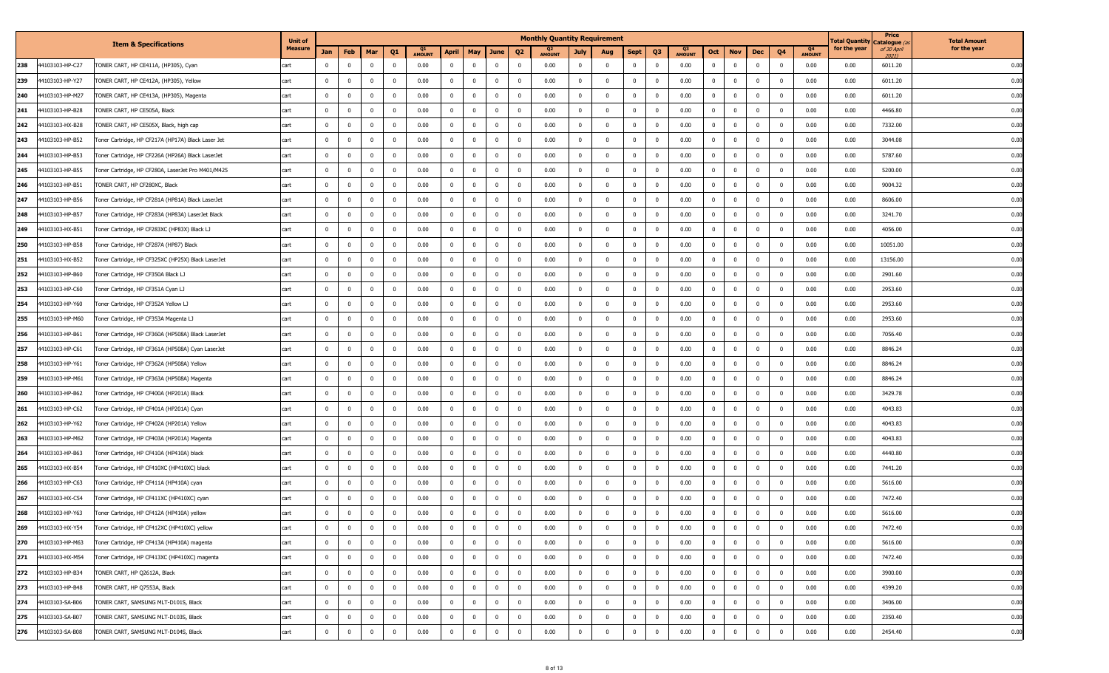|     |                 |                                                    | <b>Unit of</b> |                         |                |              |                         |                     |                         |                |                |                         | <b>Monthly Quantity Requirement</b> |                |                |                |                |                                 |                |                         |              |                         |                     | l otal Quantity | Price<br>Catalogue ( | <b>Total Amount</b> |
|-----|-----------------|----------------------------------------------------|----------------|-------------------------|----------------|--------------|-------------------------|---------------------|-------------------------|----------------|----------------|-------------------------|-------------------------------------|----------------|----------------|----------------|----------------|---------------------------------|----------------|-------------------------|--------------|-------------------------|---------------------|-----------------|----------------------|---------------------|
|     |                 | <b>Item &amp; Specifications</b>                   | Measure        | Jan                     | Feb            | Mar          | Q <sub>1</sub>          | Q1<br><b>AMOUNT</b> | <b>April</b>            | May            | June           | Q <sub>2</sub>          | Q <sub>2</sub><br><b>AMOUNT</b>     | July           | Aug            | <b>Sept</b>    | Q <sub>3</sub> | Q <sub>3</sub><br><b>AMOUNT</b> | Oct            | <b>Nov</b>              | Dec          | Q <sub>4</sub>          | Q4<br><b>AMOUNT</b> | for the year    | of 30 April<br>20211 | for the year        |
| 238 | 44103103-HP-C27 | FONER CART, HP CE411A, (HP305), Cyan               | cart           | $\mathbf{0}$            | $\mathbf 0$    | $^{\circ}$   | $\overline{0}$          | 0.00                | $\overline{0}$          | $\mathbf 0$    | $\mathbf 0$    | $\overline{\mathbf{0}}$ | 0.00                                | $\mathbf{0}$   | $^{\circ}$     | $\mathbf 0$    | $^{\circ}$     | 0.00                            | $\mathbf{0}$   | $\overline{0}$          | $\mathbf 0$  | $\overline{0}$          | 0.00                | 0.00            | 6011.20              | 0.00                |
| 239 | 44103103-HP-Y27 | TONER CART, HP CE412A, (HP305), Yellow             | cart           | $\overline{0}$          | $\bf{0}$       | $^{\circ}$   | $\overline{\mathbf{0}}$ | 0.00                | $\overline{0}$          | $\mathbf 0$    | $\mathbf 0$    | $\overline{\mathbf{0}}$ | 0.00                                | $\mathbf{0}$   | $\mathbf{0}$   | $\bf{0}$       | $^{\circ}$     | 0.00                            | $\mathbf 0$    | $\bf{0}$                | $^{\circ}$   | $\overline{0}$          | 0.00                | 0.00            | 6011.20              | 0.00                |
| 240 | 44103103-HP-M27 | FONER CART, HP CE413A, (HP305), Magenta            | cart           | $\mathbf{0}$            | $\mathbf{0}$   | $\Omega$     | $\overline{\mathbf{0}}$ | 0.00                | $\overline{0}$          | $\mathbf 0$    | $^{\circ}$     | $\overline{\mathbf{0}}$ | 0.00                                | 0              | $^{\circ}$     | $^{\circ}$     | 0              | 0.00                            | $^{\circ}$     | $\overline{\mathbf{0}}$ | $\Omega$     | - 0                     | 0.00                | 0.00            | 6011.20              | 0.00                |
| 241 | 44103103-HP-B28 | TONER CART, HP CE505A, Black                       | cart           | $\overline{0}$          | $\overline{0}$ | $\Omega$     | $\overline{\mathbf{0}}$ | 0.00                | $\overline{0}$          | $\mathbf 0$    | $\bf{0}$       | $\overline{\mathbf{0}}$ | 0.00                                | $\mathbf{0}$   | $\mathbf{0}$   | $\bf{0}$       | $^{\circ}$     | 0.00                            | $^{\circ}$     | $\bf{0}$                | $\mathbf 0$  | $\mathbf{0}$            | 0.00                | 0.00            | 4466.80              | 0.00                |
| 242 | 44103103-HX-B28 | FONER CART, HP CE505X, Black, high cap             | cart           | $\mathbf 0$             | $\mathbf 0$    | $\mathbf{0}$ | $\overline{0}$          | 0.00                | $\overline{0}$          | $\mathbf 0$    | $\bf{0}$       | $\overline{0}$          | 0.00                                | $\mathbf{0}$   | $\mathbf{0}$   | $\mathbf 0$    | $\overline{0}$ | 0.00                            | $\bf{0}$       | $\overline{0}$          | $\mathbf 0$  | $\mathbf{0}$            | 0.00                | 0.00            | 7332.00              | 0.00                |
| 243 | 44103103-HP-B52 | Foner Cartridge, HP CF217A (HP17A) Black Laser Jet | cart           | $\mathbf 0$             | $\mathbf{0}$   | $^{\circ}$   | $\overline{\mathbf{0}}$ | 0.00                | $\overline{0}$          | $\mathbf 0$    | $\bf{0}$       | $\overline{\mathbf{0}}$ | 0.00                                | $^{\circ}$     | $\mathbf{0}$   | $^{\circ}$     | $^{\circ}$     | 0.00                            | $^{\circ}$     | $\mathbf 0$             | $\mathbf 0$  | $\mathbf 0$             | 0.00                | 0.00            | 3044.08              | 0.00                |
| 244 | 44103103-HP-B53 | Foner Cartridge, HP CF226A (HP26A) Black LaserJet  | cart           | $\mathbf 0$             | $\mathbf 0$    |              | $\overline{0}$          | 0.00                | $\mathbf{0}$            | $\mathbf{0}$   | $\overline{0}$ | $\overline{\mathbf{0}}$ | 0.00                                | 0              | $\mathbf 0$    | 0              | 0              | 0.00                            | $\Omega$       | $^{\circ}$              |              | $\Omega$                | 0.00                | 0.00            | 5787.60              | 0.00                |
| 245 | 44103103-HP-B55 | Foner Cartridge, HP CF280A, LaserJet Pro M401/M425 | cart           | $\mathbf 0$             | $\mathbf{0}$   | $\Omega$     | $\overline{0}$          | 0.00                | $\overline{0}$          | $^{\circ}$     | $\mathbf 0$    | $\overline{\mathbf{0}}$ | 0.00                                | $\mathbf{0}$   | $\mathbf 0$    | $^{\circ}$     | $^{\circ}$     | 0.00                            | $^{\circ}$     | $^{\circ}$              | $^{\circ}$   | $\overline{0}$          | 0.00                | 0.00            | 5200.00              | 0.00                |
| 246 | 44103103-HP-B51 | TONER CART, HP CF280XC, Black                      | cart           | $^{\circ}$              | $\overline{0}$ |              | $\overline{\mathbf{0}}$ | 0.00                | $\overline{0}$          | $\mathbf{0}$   | $\mathbf 0$    | $\overline{0}$          | 0.00                                | $^{\circ}$     | $\mathbf 0$    | $^{\circ}$     | $^{\circ}$     | 0.00                            | $\mathbf 0$    | $^{\circ}$              | $\Omega$     | $\overline{0}$          | 0.00                | 0.00            | 9004.32              | 0.00                |
| 247 | 44103103-HP-B56 | Foner Cartridge, HP CF281A (HP81A) Black LaserJet  | cart           | $\mathbf 0$             | $\mathbf 0$    | $\Omega$     | $\overline{\mathbf{0}}$ | 0.00                | $\mathbf 0$             | $^{\circ}$     | $\mathbf 0$    | $\overline{0}$          | 0.00                                | $^{\circ}$     | $\mathbf 0$    | $^{\circ}$     | $^{\circ}$     | 0.00                            | $^{\circ}$     | $\mathbf{0}$            | $^{\circ}$   | $\mathbf{0}$            | 0.00                | 0.00            | 8606.00              | 0.00                |
| 248 | 44103103-HP-B57 | Toner Cartridge, HP CF283A (HP83A) LaserJet Black  | cart           | $\mathbf{0}$            | $\overline{0}$ |              | $\overline{0}$          | 0.00                | $\mathbf{0}$            | $\mathbf{0}$   | $\mathbf 0$    | $\overline{\mathbf{0}}$ | 0.00                                | $^{\circ}$     | $\mathbf 0$    | $^{\circ}$     | 0              | 0.00                            | $^{\circ}$     | $^{\circ}$              | $\Omega$     | 0                       | 0.00                | 0.00            | 3241.70              | 0.00                |
| 249 | 44103103-HX-B51 | Foner Cartridge, HP CF283XC (HP83X) Black LJ       | cart           | $\mathbf 0$             | $\overline{0}$ | $\Omega$     | $\overline{0}$          | 0.00                | $\overline{0}$          | $\mathbf 0$    | $\mathbf 0$    | $\overline{0}$          | 0.00                                | $\mathbf{0}$   | $\mathbf{0}$   | $^{\circ}$     | $\mathbf 0$    | 0.00                            | $\mathbf{0}$   | $\mathbf{0}$            | $^{\circ}$   | $\mathbf 0$             | 0.00                | 0.00            | 4056.00              | 0.00                |
| 250 | 44103103-HP-B58 | Foner Cartridge, HP CF287A (HP87) Black            | cart           | $\Omega$                | $\overline{0}$ |              | $\overline{\mathbf{0}}$ | 0.00                | $\overline{0}$          | $\mathbf 0$    | $\bf{0}$       | $\overline{\mathbf{0}}$ | 0.00                                | 0              | $\mathbf 0$    | $\mathbf 0$    | $\Omega$       | 0.00                            | $^{\circ}$     | $\bf{0}$                | $\Omega$     | $\mathbf{0}$            | 0.00                | 0.00            | 10051.00             | 0.00                |
| 251 | 44103103-HX-B52 | Foner Cartridge, HP CF325XC (HP25X) Black LaserJet | cart           | $\mathbf{0}$            | $\overline{0}$ | $\Omega$     | $\overline{0}$          | 0.00                | $\overline{0}$          | $\mathbf 0$    | $\mathbf 0$    | $\overline{0}$          | 0.00                                | $^{\circ}$     | $\Omega$       | $\mathbf 0$    | $\Omega$       | 0.00                            | $\mathbf 0$    | $\mathbf{0}$            | $\Omega$     | $\mathbf{0}$            | 0.00                | 0.00            | 13156.00             | 0.00                |
| 252 | 44103103-HP-B60 | Toner Cartridge, HP CF350A Black LJ                | cart           | $\overline{0}$          | $\overline{0}$ |              | $\overline{\mathbf{0}}$ | 0.00                | $\overline{0}$          | $\mathbf{0}$   | $\mathbf 0$    | $\mathbf 0$             | 0.00                                | 0              | 0              | 0              | $\Omega$       | 0.00                            | $^{\circ}$     | $\mathbf 0$             | $\Omega$     | 0                       | 0.00                | 0.00            | 2901.60              | 0.00                |
| 253 | 44103103-HP-C60 | Toner Cartridge, HP CF351A Cyan LJ                 | cart           | $\Omega$                | $\overline{0}$ | $\Omega$     | $\overline{0}$          | 0.00                | $\overline{0}$          | $\Omega$       | $\mathbf 0$    | $\overline{\mathbf{0}}$ | 0.00                                | $\mathbf{0}$   | $\Omega$       | $^{\circ}$     | $\Omega$       | 0.00                            | $\mathbf 0$    | $^{\circ}$              | $\Omega$     | $\Omega$                | 0.00                | 0.00            | 2953.60              | 0.00                |
| 254 | 44103103-HP-Y60 | Foner Cartridge, HP CF352A Yellow LJ               | cart           | $\mathbf{0}$            | $\overline{0}$ |              | $\overline{\mathbf{0}}$ | 0.00                | $\overline{0}$          | $\mathbf{0}$   | $\bf{0}$       | $\overline{\mathbf{0}}$ | 0.00                                | 0              | 0              | 0              | $\Omega$       | 0.00                            | $\mathbf 0$    | $\overline{0}$          | $^{\circ}$   | $\mathbf{0}$            | 0.00                | 0.00            | 2953.60              | 0.00                |
| 255 | 44103103-HP-M60 | Toner Cartridge, HP CF353A Magenta LJ              | cart           | $^{\circ}$              | $\overline{0}$ |              | $\overline{0}$          | 0.00                | $\mathbf{0}$            | $\mathbf 0$    | $^{\circ}$     | $\overline{\mathbf{0}}$ | 0.00                                | $\mathbf 0$    | $\Omega$       | $^{\circ}$     | $\Omega$       | 0.00                            | $^{\circ}$     | $\mathbf{0}$            | $\Omega$     | $\Omega$                | 0.00                | 0.00            | 2953.60              | 0.00                |
| 256 | 44103103-HP-B61 | Toner Cartridge, HP CF360A (HP508A) Black LaserJet | cart           | $\overline{0}$          | $\overline{0}$ |              | $\overline{\mathbf{0}}$ | 0.00                | $\overline{0}$          | $\mathbf{0}$   | $\bf{0}$       | $\overline{\mathbf{0}}$ | 0.00                                | 0              | $\mathbf 0$    | $\mathbf 0$    | $\Omega$       | 0.00                            | $^{\circ}$     | $\mathbf 0$             | $\Omega$     | $^{\circ}$              | 0.00                | 0.00            | 7056.40              | 0.00                |
| 257 | 44103103-HP-C61 | Toner Cartridge, HP CF361A (HP508A) Cyan LaserJet  | cart           | $\overline{0}$          | $\overline{0}$ | $\Omega$     | $\overline{0}$          | 0.00                | $\overline{0}$          | $\mathbf 0$    | $\mathbf 0$    | $\overline{0}$          | 0.00                                | $\mathbf{0}$   | $\overline{0}$ | $^{\circ}$     | $^{\circ}$     | 0.00                            | $\mathbf 0$    | $\bf{0}$                | $\mathbf 0$  | $\mathbf{0}$            | 0.00                | 0.00            | 8846.24              | 0.00                |
| 258 | 44103103-HP-Y61 | Foner Cartridge, HP CF362A (HP508A) Yellow         | cart           | $\mathbf{0}$            | $\bf{0}$       | $^{\circ}$   | $\overline{\mathbf{0}}$ | 0.00                | $\mathbf{0}$            | $\overline{0}$ | $\mathbf{0}$   | $\overline{\mathbf{0}}$ | 0.00                                | $\overline{0}$ | $\bf{0}$       | $\mathbf{0}$   | $^{\circ}$     | 0.00                            | $\mathbf 0$    | $\overline{0}$          | $^{\circ}$   | $\mathbf{0}$            | 0.00                | 0.00            | 8846.24              | 0.00                |
| 259 | 44103103-HP-M61 | Toner Cartridge, HP CF363A (HP508A) Magenta        | cart           | $\mathbf 0$             | $\mathbf{0}$   | $\Omega$     | $\overline{0}$          | 0.00                | $\overline{\mathbf{0}}$ | $\mathbf 0$    | $^{\circ}$     | $\overline{\mathbf{0}}$ | 0.00                                | $^{\circ}$     | $^{\circ}$     | $^{\circ}$     | $\Omega$       | 0.00                            | $^{\circ}$     | $\mathbf{0}$            | $\Omega$     | $\mathbf{0}$            | 0.00                | 0.00            | 8846.24              | 0.00                |
| 260 | 44103103-HP-B62 | Foner Cartridge, HP CF400A (HP201A) Black          | cart           | $\mathbf{0}$            | $\overline{0}$ |              | $\overline{0}$          | 0.00                | $\overline{0}$          | $\mathbf 0$    | $\bf{0}$       | $\overline{\mathbf{0}}$ | 0.00                                | $\mathbf 0$    | $^{\circ}$     | $\mathbf 0$    | $^{\circ}$     | 0.00                            | $^{\circ}$     | $\mathbf 0$             | $^{\circ}$   | $\mathbf{0}$            | 0.00                | 0.00            | 3429.78              | 0.00                |
| 261 | 44103103-HP-C62 | Toner Cartridge, HP CF401A (HP201A) Cyan           | cart           | $\Omega$                | $\mathbf 0$    | $\Omega$     | $\overline{0}$          | 0.00                | $\overline{0}$          | $\mathbf 0$    | $\mathbf 0$    | $\overline{\mathbf{0}}$ | 0.00                                | $\mathbf{0}$   | $\mathbf{0}$   | $^{\circ}$     | $^{\circ}$     | 0.00                            | $\mathbf 0$    | $\mathbf 0$             | $^{\circ}$   | $\overline{0}$          | 0.00                | 0.00            | 4043.83              | 0.00                |
| 262 | 44103103-HP-Y62 | "oner Cartridge, HP CF402A (HP201A) Yellow         | cart           | $\overline{0}$          | $\overline{0}$ | $^{\circ}$   | $\overline{\mathbf{0}}$ | 0.00                | $\overline{0}$          | $\mathbf 0$    | $\mathbf 0$    | $\overline{\mathbf{0}}$ | 0.00                                | $^{\circ}$     | $^{\circ}$     | $^{\circ}$     | $^{\circ}$     | 0.00                            | $^{\circ}$     | $\mathbf{0}$            | $^{\circ}$   | $\overline{0}$          | 0.00                | 0.00            | 4043.83              | 0.00                |
| 263 | 44103103-HP-M62 | Foner Cartridge, HP CF403A (HP201A) Magenta        | cart           | $^{\circ}$              | $\overline{0}$ |              | 0                       | 0.00                | $\mathbf{0}$            | $^{\circ}$     | $^{\circ}$     | $\overline{\mathbf{0}}$ | 0.00                                | 0              | 0              | $^{\circ}$     | $\Omega$       | 0.00                            | $^{\circ}$     | $^{\circ}$              | $\Omega$     | $\Omega$                | 0.00                | 0.00            | 4043.83              | 0.00                |
| 264 | 44103103-HP-B63 | Toner Cartridge, HP CF410A (HP410A) black          | cart           | $\overline{\mathbf{0}}$ | $\mathbf 0$    | $^{\circ}$   | $\overline{0}$          | 0.00                | $\overline{0}$          | $\mathbf 0$    | $\mathbf 0$    | $\overline{\mathbf{0}}$ | 0.00                                | $\mathbf{0}$   | $\mathbf{0}$   | $\mathbf 0$    | $^{\circ}$     | 0.00                            | $\mathbf 0$    | $\mathbf{0}$            | $^{\circ}$   | $\overline{0}$          | 0.00                | 0.00            | 4440.80              | 0.00                |
| 265 | 44103103-HX-B54 | Foner Cartridge, HP CF410XC (HP410XC) black        | cart           | $\Omega$                | $\mathbf 0$    |              | $\overline{\mathbf{0}}$ | 0.00                | $\mathbf 0$             | $\mathbf 0$    | $\mathbf 0$    | $\overline{\mathbf{0}}$ | 0.00                                | $^{\circ}$     | $^{\circ}$     | $\mathbf{0}$   | $\overline{0}$ | 0.00                            | $\mathbf 0$    | $\mathbf 0$             | $\Omega$     | $\overline{\mathbf{0}}$ | 0.00                | 0.00            | 7441.20              | 0.00                |
| 266 | 44103103-HP-C63 | Toner Cartridge, HP CF411A (HP410A) cyan           | cart           | $\overline{0}$          | $\overline{0}$ | $^{\circ}$   | $\overline{0}$          | 0.00                | $\overline{0}$          | $\mathbf 0$    | $\mathbf 0$    | $\overline{\mathbf{0}}$ | 0.00                                | $\mathbf{0}$   | $\mathbf{0}$   | $\mathbf 0$    | $^{\circ}$     | 0.00                            | $\mathbf 0$    | $\mathbf 0$             | $^{\circ}$   | $\overline{0}$          | 0.00                | 0.00            | 5616.00              | 0.00                |
| 267 | 44103103-HX-C54 | Foner Cartridge, HP CF411XC (HP410XC) cyan         | cart           | $\mathbf 0$             | $\mathbf{0}$   |              | $\overline{0}$          | 0.00                | $\overline{\mathbf{0}}$ | $\mathbf 0$    | $^{\circ}$     | $\overline{\mathbf{0}}$ | 0.00                                | 0              | $\mathbf 0$    | $\mathbf 0$    | $\Omega$       | 0.00                            | $^{\circ}$     | $\mathbf{0}$            |              | - 0                     | 0.00                | 0.00            | 7472.40              | 0.00                |
| 268 | 44103103-HP-Y63 | Toner Cartridge, HP CF412A (HP410A) yellow         | cart           | $^{\circ}$              | $\mathbf{0}$   | $\Omega$     | $\overline{0}$          | 0.00                | $\overline{0}$          | $\mathbf{0}$   | $\mathbf 0$    | $\overline{0}$          | 0.00                                | $^{\circ}$     | $\mathbf 0$    | $^{\circ}$     | $^{\circ}$     | 0.00                            | $\Omega$       | $^{\circ}$              | $\Omega$     | $\Omega$                | 0.00                | 0.00            | 5616.00              | 0.00                |
| 269 | 44103103-HX-Y54 | Toner Cartridge, HP CF412XC (HP410XC) yellow       | cart           | $\mathbf 0$             | $\mathbf 0$    | $\mathbf 0$  | $\overline{\mathbf{0}}$ | 0.00                | $\mathbf 0$             | $\overline{0}$ | $\mathbf{0}$   | $\overline{0}$          | 0.00                                | $\overline{0}$ | $\mathbf 0$    | $\mathbf 0$    | $\overline{0}$ | 0.00                            | $\mathbf{0}$   | $\bf{0}$                | $\mathbf 0$  | $\mathbf{0}$            | 0.00                | 0.00            | 7472.40              | 0.00                |
| 270 | 44103103-HP-M63 | Toner Cartridge, HP CF413A (HP410A) magenta        | cart           | $\overline{0}$          | $\mathbf{0}$   | $\mathbf 0$  | $\overline{0}$          | 0.00                | $\overline{0}$          | $\mathbf 0$    | $\mathbf 0$    | $\overline{\mathbf{0}}$ | 0.00                                | $\overline{0}$ | $\mathbf{0}$   | $\mathbf{0}$   | $\mathbf 0$    | 0.00                            | $\mathbf 0$    | $\mathbf 0$             | $\mathbf 0$  | $\overline{0}$          | 0.00                | 0.00            | 5616.00              | 0.00                |
| 271 | 44103103-HX-M54 | Toner Cartridge, HP CF413XC (HP410XC) magenta      | cart           | $\mathbf 0$             | $\mathbf 0$    | $^{\circ}$   | $\mathbf 0$             | 0.00                | $\overline{0}$          | $\overline{0}$ | $^{\circ}$     | $\overline{\mathbf{0}}$ | 0.00                                | $\overline{0}$ | $\bf{0}$       | $\mathbf 0$    | $^{\circ}$     | 0.00                            | $^{\circ}$     | $\overline{\mathbf{0}}$ | $\mathbf 0$  | $\mathbf 0$             | 0.00                | 0.00            | 7472.40              | 0.00                |
| 272 | 44103103-HP-B34 | TONER CART, HP Q2612A, Black                       | cart           | $\overline{0}$          | $\overline{0}$ | $^{\circ}$   | $\overline{0}$          | 0.00                | $\bf{0}$                | $\mathbf 0$    | $\mathbf 0$    | $\overline{0}$          | 0.00                                | $\overline{0}$ | $\overline{0}$ | $\mathbf{0}$   | $\mathbf 0$    | 0.00                            | $\mathbf{0}$   | $\mathbf 0$             | $\mathbf{0}$ | $\mathbf 0$             | 0.00                | 0.00            | 3900.00              | 0.00                |
| 273 | 44103103-HP-B48 | TONER CART, HP Q7553A, Black                       | cart           | $\mathbf 0$             | $\bf{0}$       | $^{\circ}$   | $\overline{0}$          | 0.00                | $\overline{0}$          | $\mathbf 0$    | $\mathbf 0$    | $\overline{\mathbf{0}}$ | 0.00                                | $\overline{0}$ | $\overline{0}$ | $\overline{0}$ | $\overline{0}$ | 0.00                            | $\bf{0}$       | $\overline{0}$          | $\mathbf 0$  | $\bf{0}$                | 0.00                | 0.00            | 4399.20              | 0.00                |
| 274 | 44103103-SA-B06 | TONER CART, SAMSUNG MLT-D101S, Black               | cart           | $\mathbf 0$             | $\overline{0}$ | $^{\circ}$   | $\overline{\mathbf{0}}$ | 0.00                | $\overline{0}$          | $\mathbf 0$    | $\mathbf 0$    | $\overline{0}$          | 0.00                                | $\mathbf{0}$   | $\overline{0}$ | $\bf{0}$       | $\overline{0}$ | 0.00                            | $\overline{0}$ | $\bf{0}$                | $\mathbf{0}$ | $\mathbf 0$             | 0.00                | 0.00            | 3406.00              | 0.00                |
| 275 | 44103103-SA-B07 | TONER CART, SAMSUNG MLT-D103S, Black               | cart           | $\overline{0}$          | $\overline{0}$ | $^{\circ}$   | $\overline{0}$          | 0.00                | $\mathbf{0}$            | $\overline{0}$ | $\mathbf 0$    | $\overline{0}$          | 0.00                                | $\overline{0}$ | $\bf{0}$       | $\overline{0}$ | $^{\circ}$     | 0.00                            | $\mathbf{0}$   | $\bf{0}$                | $\mathbf 0$  | $\mathbf{0}$            | 0.00                | 0.00            | 2350.40              | 0.00                |
| 276 | 44103103-SA-B08 | TONER CART, SAMSUNG MLT-D104S, Black               | cart           | $\overline{0}$          | $\bf{0}$       | $\mathbf 0$  | $\overline{\mathbf{0}}$ | 0.00                | $\mathbf 0$             | $\mathbf 0$    | $\overline{0}$ | $\overline{\mathbf{0}}$ | 0.00                                | $\overline{0}$ | $\overline{0}$ | $\overline{0}$ | $\mathbf 0$    | 0.00                            | $\overline{0}$ | $\overline{0}$          | $\mathbf 0$  | $\bf{0}$                | 0.00                | 0.00            | 2454.40              | 0.00                |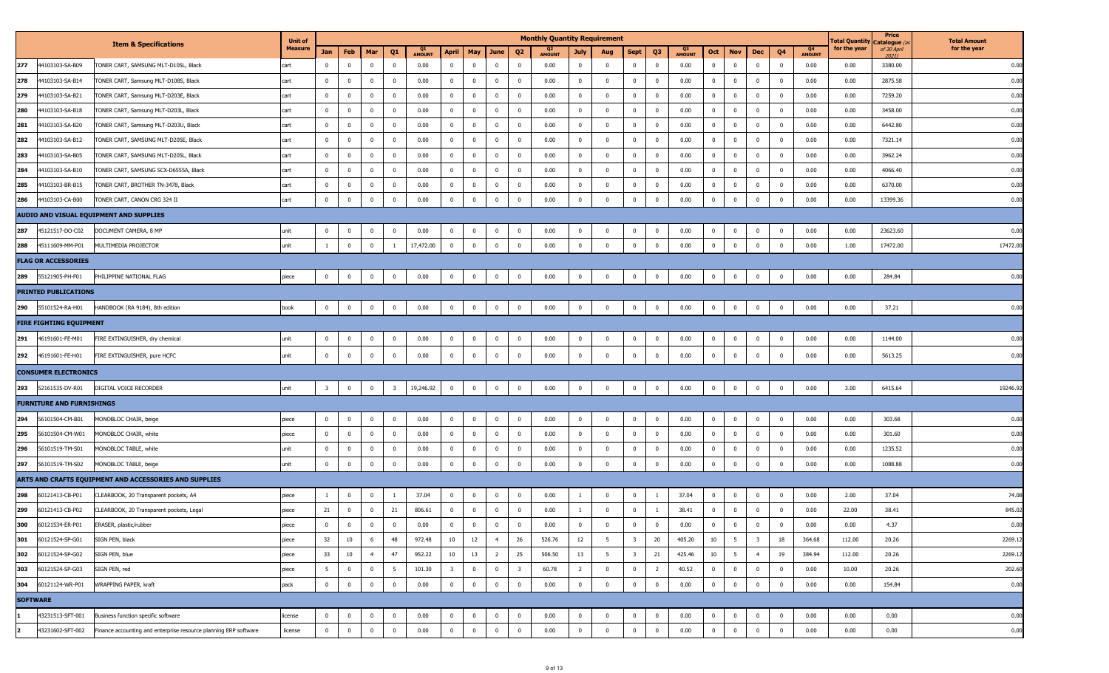|                 |                                  |                                                                  | <b>Unit of</b> |                         |                |                         |                         |                     |                         |                |                         |                         | <b>Monthly Quantity Requirement</b> |                         |                         |                         |                |                     |                |                 |                         |                |                     | l otal Quantity | Price<br>Catalogue ( | <b>Total Amount</b> |
|-----------------|----------------------------------|------------------------------------------------------------------|----------------|-------------------------|----------------|-------------------------|-------------------------|---------------------|-------------------------|----------------|-------------------------|-------------------------|-------------------------------------|-------------------------|-------------------------|-------------------------|----------------|---------------------|----------------|-----------------|-------------------------|----------------|---------------------|-----------------|----------------------|---------------------|
|                 |                                  | <b>Item &amp; Specifications</b>                                 | <b>Measure</b> | Jan                     | Feb            | Mar                     | Q1                      | Q1<br><b>AMOUNT</b> | April                   | May            | June                    | Q <sub>2</sub>          | Q2<br><b>AMOUNT</b>                 | July                    | Aug                     | <b>Sept</b>             | Q3             | Q3<br><b>AMOUNT</b> | Oct            | <b>Nov</b>      | <b>Dec</b>              | Q4             | Q4<br><b>AMOUNT</b> | for the year    | of 30 April<br>20211 | for the year        |
| 277             | 44103103-SA-B09                  | TONER CART, SAMSUNG MLT-D105L, Black                             | cart           | $\overline{0}$          | $\mathbf 0$    | $\bf{0}$                | $\overline{0}$          | 0.00                | $\bf{0}$                | $^{\circ}$     | $\overline{0}$          | $\overline{0}$          | 0.00                                | $\bf{0}$                | $\overline{0}$          | $\mathbf{0}$            | $\overline{0}$ | 0.00                | $\overline{0}$ | $\mathbf 0$     | $\overline{0}$          | $\overline{0}$ | 0.00                | 0.00            | 3380.00              | 0.00                |
| 278             | 44103103-SA-B14                  | TONER CART, Samsung MLT-D108S, Black                             | cart           | $\overline{0}$          | $^{\circ}$     | $\overline{\mathbf{0}}$ | $\overline{0}$          | 0.00                | $\bf{0}$                | $\mathbf 0$    | $\overline{\mathbf{0}}$ | $\overline{\mathbf{0}}$ | 0.00                                | $\bf{0}$                | $\overline{0}$          | $\bf{0}$                | $\overline{0}$ | 0.00                | $\overline{0}$ | $\overline{0}$  | $\overline{0}$          | $\overline{0}$ | 0.00                | 0.00            | 2875.58              | 0.00                |
| 279             | 44103103-SA-B21                  | TONER CART, Samsung MLT-D203E, Black                             | cart           | $\mathbf 0$             | $^{\circ}$     | $\overline{\mathbf{0}}$ | $\overline{0}$          | 0.00                | $\mathbf{0}$            | $^{\circ}$     | $\overline{\mathbf{0}}$ | $\overline{0}$          | 0.00                                | $\bf{0}$                | $\overline{0}$          | $\overline{0}$          | $^{\circ}$     | 0.00                | $\overline{0}$ | $\mathbf{0}$    | $\bf{0}$                | $\bf{0}$       | 0.00                | 0.00            | 7259.20              | 0.00                |
| 280             | 44103103-SA-B18                  | FONER CART, Samsung MLT-D203L, Black                             | cart           | $\bf{0}$                | $^{\circ}$     | $\overline{\mathbf{0}}$ | $\overline{\mathbf{0}}$ | 0.00                | $\bf{0}$                | $\mathbf 0$    | $\overline{\mathbf{0}}$ | $\overline{\mathbf{0}}$ | 0.00                                | $\bf{0}$                | $\overline{0}$          | $\bf{0}$                | $\mathbf{0}$   | 0.00                | $\overline{0}$ | $\mathbf 0$     | $\mathbf 0$             | $\overline{0}$ | 0.00                | 0.00            | 3458.00              | 0.00                |
| 281             | 44103103-SA-B20                  | TONER CART, Samsung MLT-D203U, Black                             | cart           | $\overline{0}$          | $^{\circ}$     | $\overline{\mathbf{0}}$ | $\overline{0}$          | 0.00                | $\bf{0}$                | $\Omega$       | $\overline{\mathbf{0}}$ | $\overline{\mathbf{0}}$ | 0.00                                | $\overline{0}$          | $\overline{0}$          | $\bf{0}$                | $\overline{0}$ | 0.00                | $\mathbf 0$    | $\mathbf 0$     | $\overline{0}$          | $\overline{0}$ | 0.00                | 0.00            | 6442.80              | 0.00                |
| 282             | 44103103-SA-B12                  | TONER CART, SAMSUNG MLT-D205E, Black                             | cart           | $\mathbf{0}$            | $\Omega$       | $\overline{\mathbf{0}}$ | $\overline{0}$          | 0.00                | $\overline{0}$          | $\mathbf 0$    | $\overline{\mathbf{0}}$ | $\overline{\mathbf{0}}$ | 0.00                                | $\mathbf 0$             | $\overline{0}$          | $\overline{\mathbf{0}}$ | $\mathbf{0}$   | 0.00                | $\overline{0}$ | $\overline{0}$  | $\mathbf 0$             | $\overline{0}$ | 0.00                | 0.00            | 7321.14              | 0.00                |
| 283             | 44103103-SA-B05                  | TONER CART, SAMSUNG MLT-D205L, Black                             | cart           | $\overline{0}$          | $^{\circ}$     | $\overline{\mathbf{0}}$ | $\overline{0}$          | 0.00                | $\overline{0}$          | $^{\circ}$     | $\overline{\mathbf{0}}$ | $\overline{\mathbf{0}}$ | 0.00                                | $\overline{0}$          | $\overline{0}$          | $\overline{0}$          | $\Omega$       | 0.00                | $\mathbf{0}$   | $\mathbf{0}$    | $\mathbf 0$             | $\mathbf 0$    | 0.00                | 0.00            | 3962.24              | 0.00                |
| 284             | 44103103-SA-B10                  | TONER CART, SAMSUNG SCX-D6555A, Black                            | cart           | $\bf{0}$                |                | $\overline{\mathbf{0}}$ | $\overline{\mathbf{0}}$ | 0.00                | $\overline{0}$          |                | $\overline{\mathbf{0}}$ | $\overline{\mathbf{0}}$ | 0.00                                | $\overline{0}$          | $\overline{0}$          | $\pmb{0}$               | $\Omega$       | 0.00                | $\overline{0}$ | $\overline{0}$  | $\mathbf 0$             | $\overline{0}$ | 0.00                | 0.00            | 4066.40              | 0.00                |
| 285             | 44103103-BR-B15                  | TONER CART, BROTHER TN-3478, Black                               | cart           | $\mathbf{0}$            | $\mathbf 0$    | $\overline{\mathbf{0}}$ | $\overline{\mathbf{0}}$ | 0.00                | $\overline{0}$          | $^{\circ}$     | $\overline{\mathbf{0}}$ | $\overline{\mathbf{0}}$ | 0.00                                | $\overline{0}$          | $\overline{\mathbf{0}}$ | $\mathbf 0$             | $\mathbf{0}$   | 0.00                | $\overline{0}$ | $\mathbf 0$     | $\mathbf 0$             | $\overline{0}$ | 0.00                | 0.00            | 6370.00              | 0.00                |
| 286             | 44103103-CA-B00                  | TONER CART, CANON CRG 324 II                                     | cart           | $\mathbf 0$             |                | $\overline{0}$          | $\mathbf 0$             | $0.00\,$            | $\overline{0}$          | $\Omega$       | $\overline{0}$          | $\overline{\mathbf{0}}$ | 0.00                                | $\mathbf 0$             | $\overline{0}$          | $\mathbf{0}$            | $\Omega$       | 0.00                | $\mathbf 0$    | $\overline{0}$  | $\mathbf 0$             | $\overline{0}$ | 0.00                | 0.00            | 13399.36             | 0.00                |
|                 |                                  | AUDIO AND VISUAL EQUIPMENT AND SUPPLIES                          |                |                         |                |                         |                         |                     |                         |                |                         |                         |                                     |                         |                         |                         |                |                     |                |                 |                         |                |                     |                 |                      |                     |
| 287             | 45121517-DO-C02                  | DOCUMENT CAMERA, 8 MP                                            | unit           | $\overline{0}$          |                | $\mathbf 0$             | $\bf{0}$                | 0.00                | $\bf{0}$                | $\Omega$       | $\overline{\mathbf{0}}$ | $\overline{0}$          | 0.00                                | $\overline{0}$          | $\overline{0}$          | $\mathbf 0$             | $\mathbf{0}$   | 0.00                | $\mathbf{0}$   | $\mathbf{0}$    | $\mathbf 0$             | $\overline{0}$ | 0.00                | 0.00            | 23623.60             | 0.00                |
| 288             | 45111609-MM-P01                  | MULTIMEDIA PROJECTOR                                             | unit           |                         |                | $\mathbf 0$             |                         | 17,472.00           | $\mathbf 0$             |                | $\overline{\mathbf{0}}$ | $\mathbf 0$             | 0.00                                | $\mathbf 0$             | $\overline{0}$          | $\mathbf 0$             | $\Omega$       | 0.00                | $\mathbf 0$    | $\Omega$        | $\Omega$                | $\mathbf 0$    | 0.00                | 1.00            | 17472.00             | 17472.00            |
|                 | <b>FLAG OR ACCESSORIES</b>       |                                                                  |                |                         |                |                         |                         |                     |                         |                |                         |                         |                                     |                         |                         |                         |                |                     |                |                 |                         |                |                     |                 |                      |                     |
| 289             | 55121905-PH-F01                  | <b>PHILIPPINE NATIONAL FLAG</b>                                  | piece          | $\mathbf{0}$            | $\mathbf 0$    | $\overline{\mathbf{0}}$ | $\mathbf 0$             | 0.00                | $\mathbf{0}$            | $\mathbf 0$    | $\overline{\mathbf{0}}$ | $\overline{0}$          | 0.00                                | $\bf{0}$                | $\overline{0}$          | $\bf{0}$                | $\mathbf{0}$   | 0.00                | $\overline{0}$ | $\mathbf{0}$    | $\overline{0}$          | $\overline{0}$ | 0.00                | 0.00            | 284.84               | 0.00                |
|                 | <b>PRINTED PUBLICATIONS</b>      |                                                                  |                |                         |                |                         |                         |                     |                         |                |                         |                         |                                     |                         |                         |                         |                |                     |                |                 |                         |                |                     |                 |                      |                     |
| 290             | 55101524-RA-H01                  | HANDBOOK (RA 9184), 8th edition                                  | book           | $\overline{0}$          | $\mathbf 0$    | $\overline{\mathbf{0}}$ | $\mathbf 0$             | 0.00                | $\bf{0}$                | $\mathbf 0$    | $\overline{\mathbf{0}}$ | $\pmb{0}$               | 0.00                                | $\bf{0}$                | $\overline{\mathbf{0}}$ | $\mathbf 0$             | $\bf{0}$       | 0.00                | $\mathbf 0$    | $\mathbf{0}$    | $\overline{0}$          | $\bf{0}$       | 0.00                | 0.00            | 37.21                | 0.00                |
|                 | <b>FIRE FIGHTING EQUIPMENT</b>   |                                                                  |                |                         |                |                         |                         |                     |                         |                |                         |                         |                                     |                         |                         |                         |                |                     |                |                 |                         |                |                     |                 |                      |                     |
| 291             | 46191601-FE-M01                  | FIRE EXTINGUISHER, dry chemical                                  | unit           | $\overline{0}$          | $\mathbf 0$    | 0                       | $\overline{\mathbf{0}}$ | 0.00                | $\overline{0}$          | $\mathbf 0$    | $\overline{\mathbf{0}}$ | $\overline{\mathbf{0}}$ | 0.00                                | $\overline{\mathbf{0}}$ | $\overline{\mathbf{0}}$ | $\overline{\mathbf{0}}$ | $\mathbf 0$    | 0.00                | $\overline{0}$ | $\mathbf 0$     | $\mathbf 0$             | $\overline{0}$ | 0.00                | 0.00            | 1144.00              | 0.00                |
| 292             | 46191601-FE-H01                  | FIRE EXTINGUISHER, pure HCFC                                     | unit           | $\mathbf{0}$            | $\mathbf 0$    | $\overline{0}$          | $\mathbf 0$             | 0.00                | $\overline{0}$          | $\mathbf 0$    | $\overline{0}$          | $\overline{0}$          | 0.00                                | $\bf{0}$                | $\overline{0}$          | $\overline{\mathbf{0}}$ | $\mathbf{0}$   | 0.00                | $\overline{0}$ | $\bf{0}$        | $\overline{0}$          | $\overline{0}$ | 0.00                | 0.00            | 5613.25              | 0.00                |
|                 | <b>CONSUMER ELECTRONICS</b>      |                                                                  |                |                         |                |                         |                         |                     |                         |                |                         |                         |                                     |                         |                         |                         |                |                     |                |                 |                         |                |                     |                 |                      |                     |
| 293             | 52161535-DV-R01                  | DIGITAL VOICE RECORDER                                           | unit           | $\overline{\mathbf{3}}$ | $^{\circ}$     | $\overline{\mathbf{0}}$ | $\overline{\mathbf{3}}$ | 19,246.92           | $\bf{0}$                | $\mathbf 0$    | $\overline{0}$          | $\overline{0}$          | 0.00                                | $\bf{0}$                | $\overline{\mathbf{0}}$ | $\mathbf 0$             | $\bf{0}$       | 0.00                | $\bf{0}$       | $\mathbf{0}$    | $\overline{0}$          | $\overline{0}$ | 0.00                | 3.00            | 6415.64              | 19246.9             |
|                 | <b>FURNITURE AND FURNISHINGS</b> |                                                                  |                |                         |                |                         |                         |                     |                         |                |                         |                         |                                     |                         |                         |                         |                |                     |                |                 |                         |                |                     |                 |                      |                     |
| 294             | 56101504-CM-B01                  | MONOBLOC CHAIR, beige                                            | piece          | $\overline{\mathbf{0}}$ | $\mathbf 0$    | 0                       | $\overline{\mathbf{0}}$ | 0.00                | $\bf{0}$                | $\mathbf 0$    | $\overline{\mathbf{0}}$ | $\overline{\mathbf{0}}$ | 0.00                                | $\bf{0}$                | $\overline{\mathbf{0}}$ | $\overline{\mathbf{0}}$ | $^{\circ}$     | 0.00                | $\mathbf 0$    | $\mathbf 0$     | $\bf{0}$                | $\bf{0}$       | 0.00                | 0.00            | 303.68               | 0.00                |
| 295             | 56101504-CM-W01                  | 4ONOBLOC CHAIR, white                                            | piece          | $\overline{0}$          | $\mathbf 0$    | $\mathbf 0$             | $\mathbf 0$             | 0.00                | $\bf{0}$                | $\Omega$       | $\overline{\mathbf{0}}$ | $\overline{\mathbf{0}}$ | 0.00                                | $\bf{0}$                | $\overline{0}$          | $\overline{\mathbf{0}}$ | $\mathbf{0}$   | 0.00                | $\overline{0}$ | $\overline{0}$  | $\overline{0}$          | $\overline{0}$ | 0.00                | 0.00            | 301.60               | 0.00                |
| 296             | 56101519-TM-S01                  | MONOBLOC TABLE, white                                            | unit           | $\overline{0}$          | $\mathbf 0$    | $\overline{\mathbf{0}}$ | $\mathbf 0$             | 0.00                | $\bf{0}$                | $^{\circ}$     | $\overline{\mathbf{0}}$ | $\overline{\mathbf{0}}$ | 0.00                                | $\bf{0}$                | $\overline{\mathbf{0}}$ | $\overline{\mathbf{0}}$ | $\mathbf{0}$   | 0.00                | $\overline{0}$ | $\mathbf 0$     | $\mathbf 0$             | $\overline{0}$ | 0.00                | 0.00            | 1235.52              | 0.00                |
| 297             | 56101519-TM-S02                  | MONOBLOC TABLE, beige                                            | unit           | $\mathbf 0$             | $^{\circ}$     | $\overline{\mathbf{0}}$ | $\mathbf 0$             | $0.00\,$            | $\overline{0}$          | $\Omega$       | $\overline{\mathbf{0}}$ | $\overline{\mathbf{0}}$ | 0.00                                | $\overline{0}$          | $\overline{0}$          | $\pmb{0}$               | $\mathbf{0}$   | 0.00                | $\overline{0}$ | $\overline{0}$  | $\mathbf 0$             | $\bf{0}$       | 0.00                | 0.00            | 1088.88              | 0.00                |
|                 |                                  | ARTS AND CRAFTS EQUIPMENT AND ACCESSORIES AND SUPPLIES           |                |                         |                |                         |                         |                     |                         |                |                         |                         |                                     |                         |                         |                         |                |                     |                |                 |                         |                |                     |                 |                      |                     |
| 298             | 60121413-CB-P01                  | CLEARBOOK, 20 Transparent pockets, A4                            | piece          |                         |                | 0                       |                         | 37.04               | 0                       |                | $\overline{\mathbf{0}}$ | $\mathbf 0$             | 0.00                                |                         | $\overline{\mathbf{0}}$ | $\mathbf 0$             |                | 37.04               | $\overline{0}$ | $\mathbf{0}$    | $\mathbf 0$             | $\overline{0}$ | 0.00                | 2.00            | 37.04                | 74.08               |
| 299             | 60121413-CB-P02                  | CLEARBOOK, 20 Transparent pockets, Legal                         | piece          | 21                      | $\overline{0}$ | $\overline{\mathbf{0}}$ | 21                      | 806.61              | $\overline{0}$          | $^{\circ}$     | $\overline{0}$          | $\overline{0}$          | 0.00                                | $\mathbf{1}$            | $\overline{0}$          | $\mathbf{0}$            | $\overline{1}$ | 38.41               | $\overline{0}$ | $\overline{0}$  | $\mathbf 0$             | $\overline{0}$ | 0.00                | 22.00           | 38.41                | 845.0               |
| 300             | 60121534-ER-P01                  | ERASER, plastic/rubber                                           | piece          | 0                       | $\bf{0}$       | $\mathbf 0$             | 0                       | 0.00                | 0                       |                | 0                       | 0                       | 0.00                                | 0                       | $\overline{\mathbf{0}}$ | $\boldsymbol{0}$        |                | 0.00                | $\bf{0}$       | 0               | $\overline{0}$          | $\overline{0}$ | 0.00                | 0.00            | 4.37                 | 0.00                |
| 301             | 60121524-SP-G01                  | SIGN PEN, black                                                  | piece          | 32                      | 10             | 6                       | 48                      | 972.48              | 10                      | $12\,$         | $\overline{4}$          | 26                      | 526.76                              | 12                      | 5                       | $\overline{\mathbf{3}}$ | 20             | 405.20              | 10             | $5\overline{5}$ | $\overline{\mathbf{3}}$ | 18             | 364.68              | 112.00          | 20.26                | 2269.1              |
| 302             | 60121524-SP-G02                  | SIGN PEN, blue                                                   | piece          | 33                      | 10             | $\overline{4}$          | 47                      | 952.22              | 10                      | 13             | $\overline{2}$          | 25                      | 506.50                              | 13                      | $5\overline{5}$         | $\overline{\mathbf{3}}$ | 21             | 425.46              | 10             | 5               | 4                       | 19             | 384.94              | 112.00          | 20.26                | 2269.1              |
| 303             | 60121524-SP-G03                  | SIGN PEN, red                                                    | piece          | 5 <sup>5</sup>          | $\bf{0}$       | $\overline{\mathbf{0}}$ | 5                       | 101.30              | $\overline{\mathbf{3}}$ | $\bf{0}$       | $\overline{0}$          | $\overline{\mathbf{3}}$ | 60.78                               | $\overline{2}$          | $\overline{\mathbf{0}}$ | $\mathbf{0}$            | $\overline{2}$ | 40.52               | $\overline{0}$ | $\mathbf{0}$    | $\overline{0}$          | $\overline{0}$ | 0.00                | 10.00           | 20.26                | 202.6               |
| 304             | 60121124-WR-P01                  | WRAPPING PAPER, kraft                                            | pack           | $\overline{0}$          | $\mathbf 0$    | $\bf{0}$                | $\mathbf 0$             | 0.00                | $\overline{0}$          | $\mathbf 0$    | $\overline{\mathbf{0}}$ | $\overline{\mathbf{0}}$ | 0.00                                | $\bf{0}$                | $\overline{0}$          | $\overline{\mathbf{0}}$ | $\mathbf{0}$   | 0.00                | $\overline{0}$ | $\overline{0}$  | $\overline{0}$          | $\overline{0}$ | 0.00                | 0.00            | 154.84               | 0.00                |
| <b>SOFTWARE</b> |                                  |                                                                  |                |                         |                |                         |                         |                     |                         |                |                         |                         |                                     |                         |                         |                         |                |                     |                |                 |                         |                |                     |                 |                      |                     |
|                 | 43231513-SFT-001                 | Business function specific software                              | license        | $\mathbf{0}$            | $\mathbf{0}$   | $\bf{0}$                | $\overline{0}$          | 0.00                | $\mathbf{0}$            | $\overline{0}$ | $\overline{0}$          | $\overline{0}$          | 0.00                                | $\overline{0}$          | $\overline{\mathbf{0}}$ | $\mathbf{0}$            | $\mathbf{0}$   | 0.00                | $\overline{0}$ | $\mathbf{0}$    | $\overline{0}$          | $\overline{0}$ | 0.00                | 0.00            | 0.00                 | 0.00                |
|                 | 43231602-SFT-002                 | Finance accounting and enterprise resource planning ERP software | license        | $\overline{0}$          | 0              | $\mathbf 0$             | $\overline{\mathbf{0}}$ | 0.00                | $\overline{0}$          | $\mathbf 0$    | $\mathbf 0$             | $\overline{0}$          | 0.00                                | $\mathbf 0$             | $\overline{0}$          | $\mathbf 0$             | $\mathbf 0$    | 0.00                | $\mathbf 0$    | $\mathbf{0}$    | $\overline{0}$          | $\bf{0}$       | 0.00                | 0.00            | 0.00                 | 0.00                |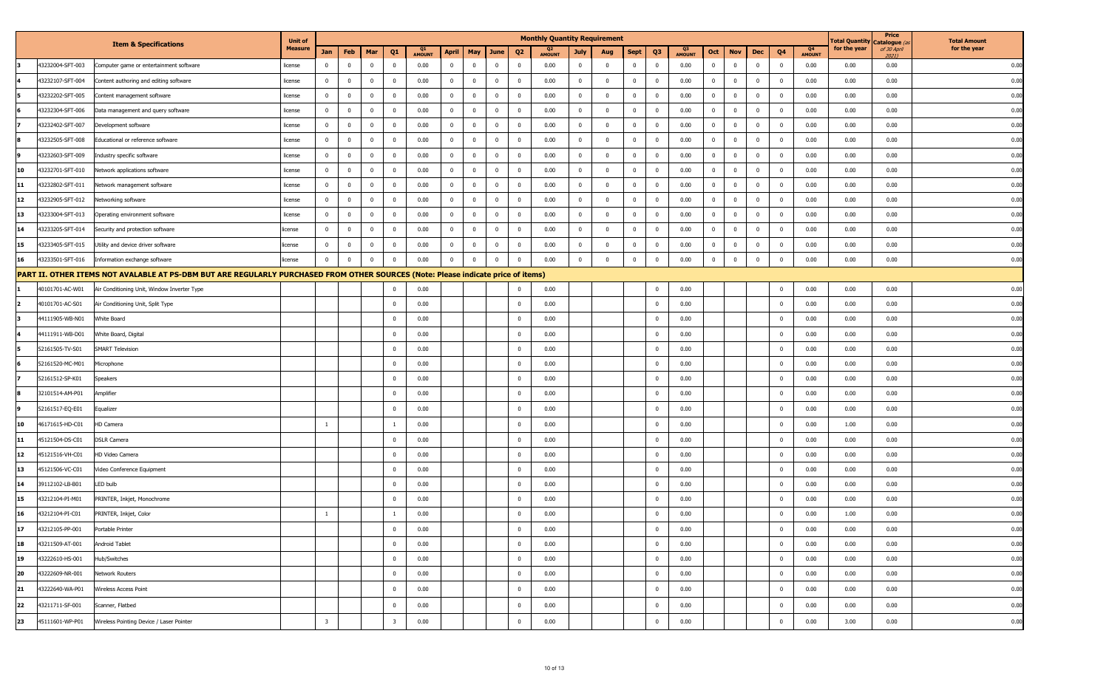| <b>Item &amp; Specifications</b><br>for the year<br><b>Measure</b><br>for the year<br>of 30 April<br>Q4<br>Q1<br>Q2<br>Q <sub>3</sub><br>Jan<br>Feb<br>Mar<br>Q <sub>1</sub><br><b>April</b><br>May<br>June<br>Q <sub>2</sub><br><b>Sept</b><br>Q <sub>3</sub><br>Oct<br>Dec<br>Q <sub>4</sub><br><b>Nov</b><br>July<br>Aug<br><b>AMOUNT</b><br><b>AMOUNT</b><br><b>AMOUNT</b><br><b>AMOUNT</b><br>2021)<br>43232004-SFT-003<br>$\mathbf 0$<br>$\overline{0}$<br>$\overline{0}$<br>0.00<br>$\overline{0}$<br>$\overline{0}$<br>0.00<br>$\overline{0}$<br>$\overline{0}$<br>$\overline{\mathbf{0}}$<br>0.00<br>$\overline{0}$<br>$\overline{0}$<br>$\overline{\mathbf{0}}$<br>$\overline{0}$<br>0.00<br>$\overline{0}$<br>$\mathbf{0}$<br>0.00<br>0.00<br>0.00<br>Computer game or entertainment software<br>$\mathbf{0}$<br>$\mathbf 0$<br>license<br>0.00<br>43232107-SFT-004<br>$\mathbf 0$<br>$\overline{0}$<br>$\overline{0}$<br>0.00<br>$\bf{0}$<br>$\overline{\mathbf{0}}$<br>$\overline{0}$<br>0.00<br>$\overline{0}$<br>0.00<br>0.00<br>$\overline{0}$<br>$\overline{0}$<br>0.00<br>$\overline{0}$<br>$\overline{0}$<br>$\overline{0}$<br>$\mathbf{0}$<br>0.00<br>Content authoring and editing software<br>$\mathbf 0$<br>$^{\circ}$<br>$\mathbf 0$<br>license<br>$\mathbf{0}$<br>$\overline{0}$<br>0.00<br>$\overline{\mathbf{0}}$<br>$\mathbf 0$<br>0.00<br>$\overline{0}$<br>$\overline{\mathbf{0}}$<br>0.00<br>$\overline{0}$<br>$\overline{0}$<br>$\overline{0}$<br>0.00<br>$\bf{0}$<br>$\mathbf 0$<br>0.00<br>0.00<br>0.00<br>13232202-SFT-005<br>Content management software<br>$^{\circ}$<br>$\mathbf{0}$<br>$^{\circ}$<br>$\mathbf{0}$<br>license<br>$^{\circ}$<br>0.00<br>$\mathbf{0}$<br>$\overline{\mathbf{0}}$<br>$\overline{0}$<br>0.00<br>$\overline{0}$<br>$\mathbf 0$<br>$\overline{\mathbf{0}}$<br>0.00<br>$\mathbf 0$<br>$\mathbf 0$<br>0.00<br>0.00<br>43232304-SFT-006<br>$\mathbf 0$<br>0.00<br>$\overline{0}$<br>$\overline{0}$<br>$\overline{0}$<br>$\overline{0}$<br>$\mathbf 0$<br>0.00<br>Data management and query software<br>license<br>$^{\circ}$<br>$^{\circ}$<br>$\mathbf{0}$<br>$\overline{0}$<br>$\mathbf 0$<br>$\overline{0}$<br>$\overline{\mathbf{0}}$<br>$\overline{0}$<br>$\overline{0}$<br>0.00<br>0.00<br>43232402-SFT-007<br>$\overline{0}$<br>0.00<br>$\overline{0}$<br>0.00<br>$\bf{0}$<br>$\overline{0}$<br>$\mathbf{0}$<br>0.00<br>$\mathbf{0}$<br>$\mathbf 0$<br>0.00<br>0.00<br>Development software<br>license<br>$\mathbf 0$<br>$^{\circ}$<br>0.00<br>$\mathbf 0$<br>$\overline{0}$<br>$\overline{0}$<br>$\overline{0}$<br>$\mathbf 0$<br>$\overline{\mathbf{0}}$<br>$\mathbf{0}$<br>$\mathbf 0$<br>$\mathbf 0$<br>0.00<br>43232505-SFT-008<br>$\overline{0}$<br>0.00<br>0.00<br>$\overline{0}$<br>$\mathbf{0}$<br>$\overline{0}$<br>0.00<br>$\mathbf 0$<br>$\mathbf 0$<br>0.00<br>0.00<br>Educational or reference software<br>license<br>$\mathbf 0$<br>0.00<br>$\overline{0}$<br>13232603-SFT-009<br>$\mathbf{0}$<br>$\mathbf 0$<br>$\mathbf 0$<br>0.00<br>$\overline{0}$<br>$\overline{\mathbf{0}}$<br>0.00<br>$\mathbf 0$<br>$\mathbf 0$<br>0.00<br>$\bf{0}$<br>0.00<br>0.00<br>0.00<br>Industry specific software<br>license<br>$^{\circ}$<br>$\overline{0}$<br>$\overline{0}$<br>$^{\circ}$<br>$^{\circ}$<br>$\Omega$<br>$^{\circ}$<br>0.00<br>0.00<br>$\overline{0}$<br>0.00<br>43232701-SFT-010<br>$\mathbf{0}$<br>$\overline{\mathbf{0}}$<br>$\mathbf 0$<br>$\overline{0}$<br>$\overline{\mathbf{0}}$<br>0.00<br>$\overline{0}$<br>$\overline{0}$<br>$\mathbf{0}$<br>$\mathbf 0$<br>0.00<br>0.00<br>0.00<br>10<br>Network applications software<br>license<br>$^{\circ}$<br>$\mathbf{0}$<br>$\overline{0}$<br>$^{\circ}$<br>$^{\circ}$<br>$\mathbf 0$<br>0.00<br>$\mathbf{0}$<br>$\overline{0}$<br>$\overline{0}$<br>0.00<br>13232802-SFT-011<br>$\mathbf{0}$<br>$\overline{\mathbf{0}}$<br>0.00<br>$\overline{0}$<br>$\overline{\mathbf{0}}$<br>0.00<br>$\mathbf{0}$<br>$\overline{0}$<br>0.00<br>$\bf{0}$<br>0.00<br>0.00<br>11<br>Network management software<br>license<br>$^{\circ}$<br>$\mathbf{0}$<br>$\mathbf{0}$<br>$^{\circ}$<br>$^{\circ}$<br>$\mathbf 0$<br>0.00<br>$\overline{0}$<br>$\bf{0}$<br>0.00<br>$\overline{0}$<br>$\overline{0}$<br>$\overline{\mathbf{0}}$<br>$\mathbf{0}$<br>$\mathbf 0$<br>0.00<br>$\mathbf 0$<br>0.00<br>12<br>43232905-SFT-012<br>$\mathbf{0}$<br>$\mathbf 0$<br>0.00<br>$\overline{0}$<br>$\overline{0}$<br>$\mathbf 0$<br>$\mathbf 0$<br>0.00<br>0.00<br>Networking software<br>license<br>$^{\circ}$<br>$^{\circ}$<br>0.00<br>$\mathbf 0$<br>$\mathbf{0}$<br>$\overline{\mathbf{0}}$<br>$\mathbf 0$<br>0.00<br>$\overline{0}$<br>$\overline{\mathbf{0}}$<br>0.00<br>$\overline{0}$<br>$\bf{0}$<br>0.00<br>$\bf{0}$<br>0.00<br>0.00<br>0.00<br>13<br>3233004-SFT-013<br>Operating environment software<br>license<br>$^{\circ}$<br>$\overline{\mathbf{0}}$<br>$\overline{\mathbf{0}}$<br>$^{\circ}$<br>$^{\circ}$<br>$^{\circ}$<br>$^{\circ}$<br>$\overline{0}$<br>$\mathbf 0$<br>$\mathbf 0$<br>0.00<br>13233205-SFT-014<br>$\mathbf{0}$<br>$\overline{0}$<br>0.00<br>$\mathbf 0$<br>$\overline{\mathbf{0}}$<br>0.00<br>$\overline{0}$<br>$\overline{0}$<br>$\mathbf{0}$<br>$\overline{0}$<br>0.00<br>$\overline{0}$<br>$\mathbf{0}$<br>$\mathbf 0$<br>0.00<br>0.00<br>0.00<br>14<br>Security and protection software<br>license<br>$\mathbf 0$<br>$\mathbf{0}$<br>0.00<br>$\pmb{0}$<br>43233405-SFT-015<br>$\mathbf{0}$<br>$\overline{\mathbf{0}}$<br>0.00<br>$\overline{0}$<br>$\overline{0}$<br>$\overline{\mathbf{0}}$<br>0.00<br>$\mathbf 0$<br>$\mathbf 0$<br>$\overline{0}$<br>0.00<br>$\overline{\mathbf{0}}$<br>0.00<br>0.00<br>0.00<br>15<br>Utility and device driver software<br>license<br>$\mathbf 0$<br>$\mathbf 0$<br>$\overline{0}$<br>$\Omega$<br>$^{\circ}$<br>$\mathbf{0}$ |  | <b>Unit of</b> |  |  |  | <b>Monthly Quantity Requirement</b> |  |  |  |  |  | <b>Total Quantity</b> | Price<br>Catalogue ( | <b>Total Amount</b> |
|--------------------------------------------------------------------------------------------------------------------------------------------------------------------------------------------------------------------------------------------------------------------------------------------------------------------------------------------------------------------------------------------------------------------------------------------------------------------------------------------------------------------------------------------------------------------------------------------------------------------------------------------------------------------------------------------------------------------------------------------------------------------------------------------------------------------------------------------------------------------------------------------------------------------------------------------------------------------------------------------------------------------------------------------------------------------------------------------------------------------------------------------------------------------------------------------------------------------------------------------------------------------------------------------------------------------------------------------------------------------------------------------------------------------------------------------------------------------------------------------------------------------------------------------------------------------------------------------------------------------------------------------------------------------------------------------------------------------------------------------------------------------------------------------------------------------------------------------------------------------------------------------------------------------------------------------------------------------------------------------------------------------------------------------------------------------------------------------------------------------------------------------------------------------------------------------------------------------------------------------------------------------------------------------------------------------------------------------------------------------------------------------------------------------------------------------------------------------------------------------------------------------------------------------------------------------------------------------------------------------------------------------------------------------------------------------------------------------------------------------------------------------------------------------------------------------------------------------------------------------------------------------------------------------------------------------------------------------------------------------------------------------------------------------------------------------------------------------------------------------------------------------------------------------------------------------------------------------------------------------------------------------------------------------------------------------------------------------------------------------------------------------------------------------------------------------------------------------------------------------------------------------------------------------------------------------------------------------------------------------------------------------------------------------------------------------------------------------------------------------------------------------------------------------------------------------------------------------------------------------------------------------------------------------------------------------------------------------------------------------------------------------------------------------------------------------------------------------------------------------------------------------------------------------------------------------------------------------------------------------------------------------------------------------------------------------------------------------------------------------------------------------------------------------------------------------------------------------------------------------------------------------------------------------------------------------------------------------------------------------------------------------------------------------------------------------------------------------------------------------------------------------------------------------------------------------------------------------------------------------------------------------------------------------------------------------------------------------------------------------------------------------------------------------------------------------------------------------------------------------------------------------------------------------------------------------------------------------------------------------------------------------------------------------------------------------------------------------------------------------------------------------------------------------------------------------------------------------------------------------------------------------------------------------------------------------------------------------------------------------------------------------------------------------------------------------------------------------------------------------------------------------------------------------------------------------|--|----------------|--|--|--|-------------------------------------|--|--|--|--|--|-----------------------|----------------------|---------------------|
|                                                                                                                                                                                                                                                                                                                                                                                                                                                                                                                                                                                                                                                                                                                                                                                                                                                                                                                                                                                                                                                                                                                                                                                                                                                                                                                                                                                                                                                                                                                                                                                                                                                                                                                                                                                                                                                                                                                                                                                                                                                                                                                                                                                                                                                                                                                                                                                                                                                                                                                                                                                                                                                                                                                                                                                                                                                                                                                                                                                                                                                                                                                                                                                                                                                                                                                                                                                                                                                                                                                                                                                                                                                                                                                                                                                                                                                                                                                                                                                                                                                                                                                                                                                                                                                                                                                                                                                                                                                                                                                                                                                                                                                                                                                                                                                                                                                                                                                                                                                                                                                                                                                                                                                                                                                                                                                                                                                                                                                                                                                                                                                                                                                                                                                                                                                                                    |  |                |  |  |  |                                     |  |  |  |  |  |                       |                      |                     |
|                                                                                                                                                                                                                                                                                                                                                                                                                                                                                                                                                                                                                                                                                                                                                                                                                                                                                                                                                                                                                                                                                                                                                                                                                                                                                                                                                                                                                                                                                                                                                                                                                                                                                                                                                                                                                                                                                                                                                                                                                                                                                                                                                                                                                                                                                                                                                                                                                                                                                                                                                                                                                                                                                                                                                                                                                                                                                                                                                                                                                                                                                                                                                                                                                                                                                                                                                                                                                                                                                                                                                                                                                                                                                                                                                                                                                                                                                                                                                                                                                                                                                                                                                                                                                                                                                                                                                                                                                                                                                                                                                                                                                                                                                                                                                                                                                                                                                                                                                                                                                                                                                                                                                                                                                                                                                                                                                                                                                                                                                                                                                                                                                                                                                                                                                                                                                    |  |                |  |  |  |                                     |  |  |  |  |  |                       |                      |                     |
|                                                                                                                                                                                                                                                                                                                                                                                                                                                                                                                                                                                                                                                                                                                                                                                                                                                                                                                                                                                                                                                                                                                                                                                                                                                                                                                                                                                                                                                                                                                                                                                                                                                                                                                                                                                                                                                                                                                                                                                                                                                                                                                                                                                                                                                                                                                                                                                                                                                                                                                                                                                                                                                                                                                                                                                                                                                                                                                                                                                                                                                                                                                                                                                                                                                                                                                                                                                                                                                                                                                                                                                                                                                                                                                                                                                                                                                                                                                                                                                                                                                                                                                                                                                                                                                                                                                                                                                                                                                                                                                                                                                                                                                                                                                                                                                                                                                                                                                                                                                                                                                                                                                                                                                                                                                                                                                                                                                                                                                                                                                                                                                                                                                                                                                                                                                                                    |  |                |  |  |  |                                     |  |  |  |  |  |                       |                      |                     |
|                                                                                                                                                                                                                                                                                                                                                                                                                                                                                                                                                                                                                                                                                                                                                                                                                                                                                                                                                                                                                                                                                                                                                                                                                                                                                                                                                                                                                                                                                                                                                                                                                                                                                                                                                                                                                                                                                                                                                                                                                                                                                                                                                                                                                                                                                                                                                                                                                                                                                                                                                                                                                                                                                                                                                                                                                                                                                                                                                                                                                                                                                                                                                                                                                                                                                                                                                                                                                                                                                                                                                                                                                                                                                                                                                                                                                                                                                                                                                                                                                                                                                                                                                                                                                                                                                                                                                                                                                                                                                                                                                                                                                                                                                                                                                                                                                                                                                                                                                                                                                                                                                                                                                                                                                                                                                                                                                                                                                                                                                                                                                                                                                                                                                                                                                                                                                    |  |                |  |  |  |                                     |  |  |  |  |  |                       |                      |                     |
|                                                                                                                                                                                                                                                                                                                                                                                                                                                                                                                                                                                                                                                                                                                                                                                                                                                                                                                                                                                                                                                                                                                                                                                                                                                                                                                                                                                                                                                                                                                                                                                                                                                                                                                                                                                                                                                                                                                                                                                                                                                                                                                                                                                                                                                                                                                                                                                                                                                                                                                                                                                                                                                                                                                                                                                                                                                                                                                                                                                                                                                                                                                                                                                                                                                                                                                                                                                                                                                                                                                                                                                                                                                                                                                                                                                                                                                                                                                                                                                                                                                                                                                                                                                                                                                                                                                                                                                                                                                                                                                                                                                                                                                                                                                                                                                                                                                                                                                                                                                                                                                                                                                                                                                                                                                                                                                                                                                                                                                                                                                                                                                                                                                                                                                                                                                                                    |  |                |  |  |  |                                     |  |  |  |  |  |                       |                      |                     |
|                                                                                                                                                                                                                                                                                                                                                                                                                                                                                                                                                                                                                                                                                                                                                                                                                                                                                                                                                                                                                                                                                                                                                                                                                                                                                                                                                                                                                                                                                                                                                                                                                                                                                                                                                                                                                                                                                                                                                                                                                                                                                                                                                                                                                                                                                                                                                                                                                                                                                                                                                                                                                                                                                                                                                                                                                                                                                                                                                                                                                                                                                                                                                                                                                                                                                                                                                                                                                                                                                                                                                                                                                                                                                                                                                                                                                                                                                                                                                                                                                                                                                                                                                                                                                                                                                                                                                                                                                                                                                                                                                                                                                                                                                                                                                                                                                                                                                                                                                                                                                                                                                                                                                                                                                                                                                                                                                                                                                                                                                                                                                                                                                                                                                                                                                                                                                    |  |                |  |  |  |                                     |  |  |  |  |  |                       |                      |                     |
|                                                                                                                                                                                                                                                                                                                                                                                                                                                                                                                                                                                                                                                                                                                                                                                                                                                                                                                                                                                                                                                                                                                                                                                                                                                                                                                                                                                                                                                                                                                                                                                                                                                                                                                                                                                                                                                                                                                                                                                                                                                                                                                                                                                                                                                                                                                                                                                                                                                                                                                                                                                                                                                                                                                                                                                                                                                                                                                                                                                                                                                                                                                                                                                                                                                                                                                                                                                                                                                                                                                                                                                                                                                                                                                                                                                                                                                                                                                                                                                                                                                                                                                                                                                                                                                                                                                                                                                                                                                                                                                                                                                                                                                                                                                                                                                                                                                                                                                                                                                                                                                                                                                                                                                                                                                                                                                                                                                                                                                                                                                                                                                                                                                                                                                                                                                                                    |  |                |  |  |  |                                     |  |  |  |  |  |                       |                      |                     |
|                                                                                                                                                                                                                                                                                                                                                                                                                                                                                                                                                                                                                                                                                                                                                                                                                                                                                                                                                                                                                                                                                                                                                                                                                                                                                                                                                                                                                                                                                                                                                                                                                                                                                                                                                                                                                                                                                                                                                                                                                                                                                                                                                                                                                                                                                                                                                                                                                                                                                                                                                                                                                                                                                                                                                                                                                                                                                                                                                                                                                                                                                                                                                                                                                                                                                                                                                                                                                                                                                                                                                                                                                                                                                                                                                                                                                                                                                                                                                                                                                                                                                                                                                                                                                                                                                                                                                                                                                                                                                                                                                                                                                                                                                                                                                                                                                                                                                                                                                                                                                                                                                                                                                                                                                                                                                                                                                                                                                                                                                                                                                                                                                                                                                                                                                                                                                    |  |                |  |  |  |                                     |  |  |  |  |  |                       |                      |                     |
|                                                                                                                                                                                                                                                                                                                                                                                                                                                                                                                                                                                                                                                                                                                                                                                                                                                                                                                                                                                                                                                                                                                                                                                                                                                                                                                                                                                                                                                                                                                                                                                                                                                                                                                                                                                                                                                                                                                                                                                                                                                                                                                                                                                                                                                                                                                                                                                                                                                                                                                                                                                                                                                                                                                                                                                                                                                                                                                                                                                                                                                                                                                                                                                                                                                                                                                                                                                                                                                                                                                                                                                                                                                                                                                                                                                                                                                                                                                                                                                                                                                                                                                                                                                                                                                                                                                                                                                                                                                                                                                                                                                                                                                                                                                                                                                                                                                                                                                                                                                                                                                                                                                                                                                                                                                                                                                                                                                                                                                                                                                                                                                                                                                                                                                                                                                                                    |  |                |  |  |  |                                     |  |  |  |  |  |                       |                      |                     |
|                                                                                                                                                                                                                                                                                                                                                                                                                                                                                                                                                                                                                                                                                                                                                                                                                                                                                                                                                                                                                                                                                                                                                                                                                                                                                                                                                                                                                                                                                                                                                                                                                                                                                                                                                                                                                                                                                                                                                                                                                                                                                                                                                                                                                                                                                                                                                                                                                                                                                                                                                                                                                                                                                                                                                                                                                                                                                                                                                                                                                                                                                                                                                                                                                                                                                                                                                                                                                                                                                                                                                                                                                                                                                                                                                                                                                                                                                                                                                                                                                                                                                                                                                                                                                                                                                                                                                                                                                                                                                                                                                                                                                                                                                                                                                                                                                                                                                                                                                                                                                                                                                                                                                                                                                                                                                                                                                                                                                                                                                                                                                                                                                                                                                                                                                                                                                    |  |                |  |  |  |                                     |  |  |  |  |  |                       |                      |                     |
|                                                                                                                                                                                                                                                                                                                                                                                                                                                                                                                                                                                                                                                                                                                                                                                                                                                                                                                                                                                                                                                                                                                                                                                                                                                                                                                                                                                                                                                                                                                                                                                                                                                                                                                                                                                                                                                                                                                                                                                                                                                                                                                                                                                                                                                                                                                                                                                                                                                                                                                                                                                                                                                                                                                                                                                                                                                                                                                                                                                                                                                                                                                                                                                                                                                                                                                                                                                                                                                                                                                                                                                                                                                                                                                                                                                                                                                                                                                                                                                                                                                                                                                                                                                                                                                                                                                                                                                                                                                                                                                                                                                                                                                                                                                                                                                                                                                                                                                                                                                                                                                                                                                                                                                                                                                                                                                                                                                                                                                                                                                                                                                                                                                                                                                                                                                                                    |  |                |  |  |  |                                     |  |  |  |  |  |                       |                      |                     |
|                                                                                                                                                                                                                                                                                                                                                                                                                                                                                                                                                                                                                                                                                                                                                                                                                                                                                                                                                                                                                                                                                                                                                                                                                                                                                                                                                                                                                                                                                                                                                                                                                                                                                                                                                                                                                                                                                                                                                                                                                                                                                                                                                                                                                                                                                                                                                                                                                                                                                                                                                                                                                                                                                                                                                                                                                                                                                                                                                                                                                                                                                                                                                                                                                                                                                                                                                                                                                                                                                                                                                                                                                                                                                                                                                                                                                                                                                                                                                                                                                                                                                                                                                                                                                                                                                                                                                                                                                                                                                                                                                                                                                                                                                                                                                                                                                                                                                                                                                                                                                                                                                                                                                                                                                                                                                                                                                                                                                                                                                                                                                                                                                                                                                                                                                                                                                    |  |                |  |  |  |                                     |  |  |  |  |  |                       |                      |                     |
|                                                                                                                                                                                                                                                                                                                                                                                                                                                                                                                                                                                                                                                                                                                                                                                                                                                                                                                                                                                                                                                                                                                                                                                                                                                                                                                                                                                                                                                                                                                                                                                                                                                                                                                                                                                                                                                                                                                                                                                                                                                                                                                                                                                                                                                                                                                                                                                                                                                                                                                                                                                                                                                                                                                                                                                                                                                                                                                                                                                                                                                                                                                                                                                                                                                                                                                                                                                                                                                                                                                                                                                                                                                                                                                                                                                                                                                                                                                                                                                                                                                                                                                                                                                                                                                                                                                                                                                                                                                                                                                                                                                                                                                                                                                                                                                                                                                                                                                                                                                                                                                                                                                                                                                                                                                                                                                                                                                                                                                                                                                                                                                                                                                                                                                                                                                                                    |  |                |  |  |  |                                     |  |  |  |  |  |                       |                      |                     |
|                                                                                                                                                                                                                                                                                                                                                                                                                                                                                                                                                                                                                                                                                                                                                                                                                                                                                                                                                                                                                                                                                                                                                                                                                                                                                                                                                                                                                                                                                                                                                                                                                                                                                                                                                                                                                                                                                                                                                                                                                                                                                                                                                                                                                                                                                                                                                                                                                                                                                                                                                                                                                                                                                                                                                                                                                                                                                                                                                                                                                                                                                                                                                                                                                                                                                                                                                                                                                                                                                                                                                                                                                                                                                                                                                                                                                                                                                                                                                                                                                                                                                                                                                                                                                                                                                                                                                                                                                                                                                                                                                                                                                                                                                                                                                                                                                                                                                                                                                                                                                                                                                                                                                                                                                                                                                                                                                                                                                                                                                                                                                                                                                                                                                                                                                                                                                    |  |                |  |  |  |                                     |  |  |  |  |  |                       |                      |                     |
| $\mathbf 0$<br>0.00<br>$\mathbf 0$<br>$\overline{\mathbf{0}}$<br>0.00<br>$\mathbf 0$<br>0.00<br>0.00<br>13233501-SFT-016<br>$\mathbf{0}$<br>$\overline{0}$<br>$\mathbf 0$<br>$\Omega$<br>0.00<br>$\mathbf 0$<br>$\overline{0}$<br>$\mathbf 0$<br>$\overline{0}$<br>$\mathbf 0$<br>0.00<br>0.00<br>16<br>Information exchange software<br>license<br>$^{\circ}$<br>$\Omega$<br>$^{\circ}$                                                                                                                                                                                                                                                                                                                                                                                                                                                                                                                                                                                                                                                                                                                                                                                                                                                                                                                                                                                                                                                                                                                                                                                                                                                                                                                                                                                                                                                                                                                                                                                                                                                                                                                                                                                                                                                                                                                                                                                                                                                                                                                                                                                                                                                                                                                                                                                                                                                                                                                                                                                                                                                                                                                                                                                                                                                                                                                                                                                                                                                                                                                                                                                                                                                                                                                                                                                                                                                                                                                                                                                                                                                                                                                                                                                                                                                                                                                                                                                                                                                                                                                                                                                                                                                                                                                                                                                                                                                                                                                                                                                                                                                                                                                                                                                                                                                                                                                                                                                                                                                                                                                                                                                                                                                                                                                                                                                                                           |  |                |  |  |  |                                     |  |  |  |  |  |                       |                      |                     |
| PART II. OTHER ITEMS NOT AVALABLE AT PS-DBM BUT ARE REGULARLY PURCHASED FROM OTHER SOURCES (Note: Please indicate price of items)                                                                                                                                                                                                                                                                                                                                                                                                                                                                                                                                                                                                                                                                                                                                                                                                                                                                                                                                                                                                                                                                                                                                                                                                                                                                                                                                                                                                                                                                                                                                                                                                                                                                                                                                                                                                                                                                                                                                                                                                                                                                                                                                                                                                                                                                                                                                                                                                                                                                                                                                                                                                                                                                                                                                                                                                                                                                                                                                                                                                                                                                                                                                                                                                                                                                                                                                                                                                                                                                                                                                                                                                                                                                                                                                                                                                                                                                                                                                                                                                                                                                                                                                                                                                                                                                                                                                                                                                                                                                                                                                                                                                                                                                                                                                                                                                                                                                                                                                                                                                                                                                                                                                                                                                                                                                                                                                                                                                                                                                                                                                                                                                                                                                                  |  |                |  |  |  |                                     |  |  |  |  |  |                       |                      |                     |
| $\mathbf{0}$<br>0.00<br>0.00<br>0101701-AC-W01<br>Air Conditioning Unit, Window Inverter Type<br>0.00<br>$\overline{0}$<br>0.00<br>$\overline{0}$<br>0.00<br>$\mathbf 0$<br>0.00<br>0.00                                                                                                                                                                                                                                                                                                                                                                                                                                                                                                                                                                                                                                                                                                                                                                                                                                                                                                                                                                                                                                                                                                                                                                                                                                                                                                                                                                                                                                                                                                                                                                                                                                                                                                                                                                                                                                                                                                                                                                                                                                                                                                                                                                                                                                                                                                                                                                                                                                                                                                                                                                                                                                                                                                                                                                                                                                                                                                                                                                                                                                                                                                                                                                                                                                                                                                                                                                                                                                                                                                                                                                                                                                                                                                                                                                                                                                                                                                                                                                                                                                                                                                                                                                                                                                                                                                                                                                                                                                                                                                                                                                                                                                                                                                                                                                                                                                                                                                                                                                                                                                                                                                                                                                                                                                                                                                                                                                                                                                                                                                                                                                                                                           |  |                |  |  |  |                                     |  |  |  |  |  |                       |                      |                     |
| 0.00<br>40101701-AC-S01<br>$\mathbf 0$<br>0.00<br>$\overline{\mathbf{0}}$<br>0.00<br>$\overline{0}$<br>0.00<br>0.00<br>0.00<br>0.00<br>Air Conditioning Unit, Split Type<br>$\mathbf{0}$                                                                                                                                                                                                                                                                                                                                                                                                                                                                                                                                                                                                                                                                                                                                                                                                                                                                                                                                                                                                                                                                                                                                                                                                                                                                                                                                                                                                                                                                                                                                                                                                                                                                                                                                                                                                                                                                                                                                                                                                                                                                                                                                                                                                                                                                                                                                                                                                                                                                                                                                                                                                                                                                                                                                                                                                                                                                                                                                                                                                                                                                                                                                                                                                                                                                                                                                                                                                                                                                                                                                                                                                                                                                                                                                                                                                                                                                                                                                                                                                                                                                                                                                                                                                                                                                                                                                                                                                                                                                                                                                                                                                                                                                                                                                                                                                                                                                                                                                                                                                                                                                                                                                                                                                                                                                                                                                                                                                                                                                                                                                                                                                                           |  |                |  |  |  |                                     |  |  |  |  |  |                       |                      |                     |
| 0.00<br>0.00<br>44111905-WB-N01<br>White Board<br>$\mathbf{0}$<br>$\overline{\mathbf{0}}$<br>0.00<br>$\overline{0}$<br>0.00<br>0.00<br>0.00<br>0.00<br>$\mathbf{0}$                                                                                                                                                                                                                                                                                                                                                                                                                                                                                                                                                                                                                                                                                                                                                                                                                                                                                                                                                                                                                                                                                                                                                                                                                                                                                                                                                                                                                                                                                                                                                                                                                                                                                                                                                                                                                                                                                                                                                                                                                                                                                                                                                                                                                                                                                                                                                                                                                                                                                                                                                                                                                                                                                                                                                                                                                                                                                                                                                                                                                                                                                                                                                                                                                                                                                                                                                                                                                                                                                                                                                                                                                                                                                                                                                                                                                                                                                                                                                                                                                                                                                                                                                                                                                                                                                                                                                                                                                                                                                                                                                                                                                                                                                                                                                                                                                                                                                                                                                                                                                                                                                                                                                                                                                                                                                                                                                                                                                                                                                                                                                                                                                                                |  |                |  |  |  |                                     |  |  |  |  |  |                       |                      |                     |
| 0.00<br>44111911-WB-D01<br>$\bf{0}$<br>0.00<br>$\overline{\mathbf{0}}$<br>0.00<br>$\overline{0}$<br>0.00<br>0.00<br>0.00<br>0.00<br>White Board, Digital<br>$\mathbf{0}$                                                                                                                                                                                                                                                                                                                                                                                                                                                                                                                                                                                                                                                                                                                                                                                                                                                                                                                                                                                                                                                                                                                                                                                                                                                                                                                                                                                                                                                                                                                                                                                                                                                                                                                                                                                                                                                                                                                                                                                                                                                                                                                                                                                                                                                                                                                                                                                                                                                                                                                                                                                                                                                                                                                                                                                                                                                                                                                                                                                                                                                                                                                                                                                                                                                                                                                                                                                                                                                                                                                                                                                                                                                                                                                                                                                                                                                                                                                                                                                                                                                                                                                                                                                                                                                                                                                                                                                                                                                                                                                                                                                                                                                                                                                                                                                                                                                                                                                                                                                                                                                                                                                                                                                                                                                                                                                                                                                                                                                                                                                                                                                                                                           |  |                |  |  |  |                                     |  |  |  |  |  |                       |                      |                     |
| 0.00<br>52161505-TV-S01<br><b>SMART Television</b><br>$\mathbf{0}$<br>0.00<br>$\overline{\mathbf{0}}$<br>0.00<br>$\overline{0}$<br>0.00<br>0.00<br>0.00<br>0.00<br>$\mathbf 0$                                                                                                                                                                                                                                                                                                                                                                                                                                                                                                                                                                                                                                                                                                                                                                                                                                                                                                                                                                                                                                                                                                                                                                                                                                                                                                                                                                                                                                                                                                                                                                                                                                                                                                                                                                                                                                                                                                                                                                                                                                                                                                                                                                                                                                                                                                                                                                                                                                                                                                                                                                                                                                                                                                                                                                                                                                                                                                                                                                                                                                                                                                                                                                                                                                                                                                                                                                                                                                                                                                                                                                                                                                                                                                                                                                                                                                                                                                                                                                                                                                                                                                                                                                                                                                                                                                                                                                                                                                                                                                                                                                                                                                                                                                                                                                                                                                                                                                                                                                                                                                                                                                                                                                                                                                                                                                                                                                                                                                                                                                                                                                                                                                     |  |                |  |  |  |                                     |  |  |  |  |  |                       |                      |                     |
| 0.00<br>52161520-MC-M01<br>$\overline{0}$<br>0.00<br>$\overline{\mathbf{0}}$<br>0.00<br>$\overline{0}$<br>0.00<br>$\bf{0}$<br>0.00<br>0.00<br>0.00<br>Microphone                                                                                                                                                                                                                                                                                                                                                                                                                                                                                                                                                                                                                                                                                                                                                                                                                                                                                                                                                                                                                                                                                                                                                                                                                                                                                                                                                                                                                                                                                                                                                                                                                                                                                                                                                                                                                                                                                                                                                                                                                                                                                                                                                                                                                                                                                                                                                                                                                                                                                                                                                                                                                                                                                                                                                                                                                                                                                                                                                                                                                                                                                                                                                                                                                                                                                                                                                                                                                                                                                                                                                                                                                                                                                                                                                                                                                                                                                                                                                                                                                                                                                                                                                                                                                                                                                                                                                                                                                                                                                                                                                                                                                                                                                                                                                                                                                                                                                                                                                                                                                                                                                                                                                                                                                                                                                                                                                                                                                                                                                                                                                                                                                                                   |  |                |  |  |  |                                     |  |  |  |  |  |                       |                      |                     |
| 0.00<br>52161512-SP-K01<br>$\bf{0}$<br>0.00<br>$\overline{\mathbf{0}}$<br>0.00<br>$\overline{0}$<br>0.00<br>0.00<br>0.00<br>0.00<br><b>Speakers</b><br>$\mathbf 0$                                                                                                                                                                                                                                                                                                                                                                                                                                                                                                                                                                                                                                                                                                                                                                                                                                                                                                                                                                                                                                                                                                                                                                                                                                                                                                                                                                                                                                                                                                                                                                                                                                                                                                                                                                                                                                                                                                                                                                                                                                                                                                                                                                                                                                                                                                                                                                                                                                                                                                                                                                                                                                                                                                                                                                                                                                                                                                                                                                                                                                                                                                                                                                                                                                                                                                                                                                                                                                                                                                                                                                                                                                                                                                                                                                                                                                                                                                                                                                                                                                                                                                                                                                                                                                                                                                                                                                                                                                                                                                                                                                                                                                                                                                                                                                                                                                                                                                                                                                                                                                                                                                                                                                                                                                                                                                                                                                                                                                                                                                                                                                                                                                                 |  |                |  |  |  |                                     |  |  |  |  |  |                       |                      |                     |
| 0.00<br>0.00<br>32101514-AM-P01<br>Amplifier<br>$\bf{0}$<br>0.00<br>$\overline{\mathbf{0}}$<br>0.00<br>$\overline{0}$<br>0.00<br>0.00<br>0.00<br>$\mathbf 0$                                                                                                                                                                                                                                                                                                                                                                                                                                                                                                                                                                                                                                                                                                                                                                                                                                                                                                                                                                                                                                                                                                                                                                                                                                                                                                                                                                                                                                                                                                                                                                                                                                                                                                                                                                                                                                                                                                                                                                                                                                                                                                                                                                                                                                                                                                                                                                                                                                                                                                                                                                                                                                                                                                                                                                                                                                                                                                                                                                                                                                                                                                                                                                                                                                                                                                                                                                                                                                                                                                                                                                                                                                                                                                                                                                                                                                                                                                                                                                                                                                                                                                                                                                                                                                                                                                                                                                                                                                                                                                                                                                                                                                                                                                                                                                                                                                                                                                                                                                                                                                                                                                                                                                                                                                                                                                                                                                                                                                                                                                                                                                                                                                                       |  |                |  |  |  |                                     |  |  |  |  |  |                       |                      |                     |
| 0.00<br>$\mathbf 0$<br>0.00<br>$\overline{0}$<br>0.00<br>$\overline{0}$<br>0.00<br>0.00<br>0.00<br>0.00<br>52161517-EQ-E01<br>Equalizer<br>$\overline{0}$                                                                                                                                                                                                                                                                                                                                                                                                                                                                                                                                                                                                                                                                                                                                                                                                                                                                                                                                                                                                                                                                                                                                                                                                                                                                                                                                                                                                                                                                                                                                                                                                                                                                                                                                                                                                                                                                                                                                                                                                                                                                                                                                                                                                                                                                                                                                                                                                                                                                                                                                                                                                                                                                                                                                                                                                                                                                                                                                                                                                                                                                                                                                                                                                                                                                                                                                                                                                                                                                                                                                                                                                                                                                                                                                                                                                                                                                                                                                                                                                                                                                                                                                                                                                                                                                                                                                                                                                                                                                                                                                                                                                                                                                                                                                                                                                                                                                                                                                                                                                                                                                                                                                                                                                                                                                                                                                                                                                                                                                                                                                                                                                                                                          |  |                |  |  |  |                                     |  |  |  |  |  |                       |                      |                     |
| 0.00<br>0.00<br>0.00<br>46171615-HD-C01<br>HD Camera<br>$\mathbf{1}$<br>$\overline{\mathbf{0}}$<br>0.00<br>$\overline{0}$<br>0.00<br>1.00<br>0.00<br>10<br>$\mathbf{1}$<br>$\Omega$                                                                                                                                                                                                                                                                                                                                                                                                                                                                                                                                                                                                                                                                                                                                                                                                                                                                                                                                                                                                                                                                                                                                                                                                                                                                                                                                                                                                                                                                                                                                                                                                                                                                                                                                                                                                                                                                                                                                                                                                                                                                                                                                                                                                                                                                                                                                                                                                                                                                                                                                                                                                                                                                                                                                                                                                                                                                                                                                                                                                                                                                                                                                                                                                                                                                                                                                                                                                                                                                                                                                                                                                                                                                                                                                                                                                                                                                                                                                                                                                                                                                                                                                                                                                                                                                                                                                                                                                                                                                                                                                                                                                                                                                                                                                                                                                                                                                                                                                                                                                                                                                                                                                                                                                                                                                                                                                                                                                                                                                                                                                                                                                                                |  |                |  |  |  |                                     |  |  |  |  |  |                       |                      |                     |
| 0.00<br>45121504-DS-C01<br><b>DSLR Camera</b><br>$\bf{0}$<br>0.00<br>$\overline{\mathbf{0}}$<br>0.00<br>$\overline{0}$<br>0.00<br>0.00<br>0.00<br>0.00<br>11<br>$\mathbf{0}$                                                                                                                                                                                                                                                                                                                                                                                                                                                                                                                                                                                                                                                                                                                                                                                                                                                                                                                                                                                                                                                                                                                                                                                                                                                                                                                                                                                                                                                                                                                                                                                                                                                                                                                                                                                                                                                                                                                                                                                                                                                                                                                                                                                                                                                                                                                                                                                                                                                                                                                                                                                                                                                                                                                                                                                                                                                                                                                                                                                                                                                                                                                                                                                                                                                                                                                                                                                                                                                                                                                                                                                                                                                                                                                                                                                                                                                                                                                                                                                                                                                                                                                                                                                                                                                                                                                                                                                                                                                                                                                                                                                                                                                                                                                                                                                                                                                                                                                                                                                                                                                                                                                                                                                                                                                                                                                                                                                                                                                                                                                                                                                                                                       |  |                |  |  |  |                                     |  |  |  |  |  |                       |                      |                     |
| $\mathbf{0}$<br>0.00<br>0.00<br>0.00<br>12<br>45121516-VH-C01<br>HD Video Camera<br>$\overline{\mathbf{0}}$<br>0.00<br>$\overline{0}$<br>0.00<br>0.00<br>0.00<br>$\mathbf{0}$                                                                                                                                                                                                                                                                                                                                                                                                                                                                                                                                                                                                                                                                                                                                                                                                                                                                                                                                                                                                                                                                                                                                                                                                                                                                                                                                                                                                                                                                                                                                                                                                                                                                                                                                                                                                                                                                                                                                                                                                                                                                                                                                                                                                                                                                                                                                                                                                                                                                                                                                                                                                                                                                                                                                                                                                                                                                                                                                                                                                                                                                                                                                                                                                                                                                                                                                                                                                                                                                                                                                                                                                                                                                                                                                                                                                                                                                                                                                                                                                                                                                                                                                                                                                                                                                                                                                                                                                                                                                                                                                                                                                                                                                                                                                                                                                                                                                                                                                                                                                                                                                                                                                                                                                                                                                                                                                                                                                                                                                                                                                                                                                                                      |  |                |  |  |  |                                     |  |  |  |  |  |                       |                      |                     |
| 0.00<br>13<br>45121506-VC-C01<br>$\overline{0}$<br>0.00<br>$\overline{\mathbf{0}}$<br>0.00<br>$\overline{0}$<br>0.00<br>$\bf{0}$<br>0.00<br>0.00<br>0.00<br>Video Conference Equipment                                                                                                                                                                                                                                                                                                                                                                                                                                                                                                                                                                                                                                                                                                                                                                                                                                                                                                                                                                                                                                                                                                                                                                                                                                                                                                                                                                                                                                                                                                                                                                                                                                                                                                                                                                                                                                                                                                                                                                                                                                                                                                                                                                                                                                                                                                                                                                                                                                                                                                                                                                                                                                                                                                                                                                                                                                                                                                                                                                                                                                                                                                                                                                                                                                                                                                                                                                                                                                                                                                                                                                                                                                                                                                                                                                                                                                                                                                                                                                                                                                                                                                                                                                                                                                                                                                                                                                                                                                                                                                                                                                                                                                                                                                                                                                                                                                                                                                                                                                                                                                                                                                                                                                                                                                                                                                                                                                                                                                                                                                                                                                                                                             |  |                |  |  |  |                                     |  |  |  |  |  |                       |                      |                     |
| 0.00<br>39112102-LB-B01<br>LED bulb<br>$\bf{0}$<br>0.00<br>$\overline{\mathbf{0}}$<br>0.00<br>$\overline{0}$<br>0.00<br>0.00<br>0.00<br>0.00<br>14<br>$^{\circ}$                                                                                                                                                                                                                                                                                                                                                                                                                                                                                                                                                                                                                                                                                                                                                                                                                                                                                                                                                                                                                                                                                                                                                                                                                                                                                                                                                                                                                                                                                                                                                                                                                                                                                                                                                                                                                                                                                                                                                                                                                                                                                                                                                                                                                                                                                                                                                                                                                                                                                                                                                                                                                                                                                                                                                                                                                                                                                                                                                                                                                                                                                                                                                                                                                                                                                                                                                                                                                                                                                                                                                                                                                                                                                                                                                                                                                                                                                                                                                                                                                                                                                                                                                                                                                                                                                                                                                                                                                                                                                                                                                                                                                                                                                                                                                                                                                                                                                                                                                                                                                                                                                                                                                                                                                                                                                                                                                                                                                                                                                                                                                                                                                                                   |  |                |  |  |  |                                     |  |  |  |  |  |                       |                      |                     |
| 0.00<br>43212104-PI-M01<br>PRINTER, Inkjet, Monochrome<br>$\bf{0}$<br>0.00<br>$\overline{\mathbf{0}}$<br>0.00<br>0.00<br>0.00<br>0.00<br>0.00<br>15<br>$\overline{0}$<br>$\mathbf 0$                                                                                                                                                                                                                                                                                                                                                                                                                                                                                                                                                                                                                                                                                                                                                                                                                                                                                                                                                                                                                                                                                                                                                                                                                                                                                                                                                                                                                                                                                                                                                                                                                                                                                                                                                                                                                                                                                                                                                                                                                                                                                                                                                                                                                                                                                                                                                                                                                                                                                                                                                                                                                                                                                                                                                                                                                                                                                                                                                                                                                                                                                                                                                                                                                                                                                                                                                                                                                                                                                                                                                                                                                                                                                                                                                                                                                                                                                                                                                                                                                                                                                                                                                                                                                                                                                                                                                                                                                                                                                                                                                                                                                                                                                                                                                                                                                                                                                                                                                                                                                                                                                                                                                                                                                                                                                                                                                                                                                                                                                                                                                                                                                               |  |                |  |  |  |                                     |  |  |  |  |  |                       |                      |                     |
| 0.00<br>43212104-PI-C01<br>PRINTER, Inkjet, Color<br>0.00<br>$\overline{0}$<br>0.00<br>$\overline{0}$<br>0.00<br>0.00<br>1.00<br>0.00<br>16<br>$\mathbf{1}$<br>$\mathbf{0}$                                                                                                                                                                                                                                                                                                                                                                                                                                                                                                                                                                                                                                                                                                                                                                                                                                                                                                                                                                                                                                                                                                                                                                                                                                                                                                                                                                                                                                                                                                                                                                                                                                                                                                                                                                                                                                                                                                                                                                                                                                                                                                                                                                                                                                                                                                                                                                                                                                                                                                                                                                                                                                                                                                                                                                                                                                                                                                                                                                                                                                                                                                                                                                                                                                                                                                                                                                                                                                                                                                                                                                                                                                                                                                                                                                                                                                                                                                                                                                                                                                                                                                                                                                                                                                                                                                                                                                                                                                                                                                                                                                                                                                                                                                                                                                                                                                                                                                                                                                                                                                                                                                                                                                                                                                                                                                                                                                                                                                                                                                                                                                                                                                        |  |                |  |  |  |                                     |  |  |  |  |  |                       |                      |                     |
| 17<br>43212105-PP-001<br>0.00<br>0.00<br>0.00<br>0.00<br>$\mathbf 0$<br>$\bf{0}$<br>$\overline{0}$<br>0.00<br>0.00<br>0.00<br>Portable Printer<br>$\mathbf{0}$                                                                                                                                                                                                                                                                                                                                                                                                                                                                                                                                                                                                                                                                                                                                                                                                                                                                                                                                                                                                                                                                                                                                                                                                                                                                                                                                                                                                                                                                                                                                                                                                                                                                                                                                                                                                                                                                                                                                                                                                                                                                                                                                                                                                                                                                                                                                                                                                                                                                                                                                                                                                                                                                                                                                                                                                                                                                                                                                                                                                                                                                                                                                                                                                                                                                                                                                                                                                                                                                                                                                                                                                                                                                                                                                                                                                                                                                                                                                                                                                                                                                                                                                                                                                                                                                                                                                                                                                                                                                                                                                                                                                                                                                                                                                                                                                                                                                                                                                                                                                                                                                                                                                                                                                                                                                                                                                                                                                                                                                                                                                                                                                                                                     |  |                |  |  |  |                                     |  |  |  |  |  |                       |                      |                     |
| 43211509-AT-001<br>$\mathbf 0$<br>0.00<br>0.00<br>$\overline{0}$<br>0.00<br>0.00<br>0.00<br>0.00<br>0.00<br>18<br>Android Tablet<br>$\overline{\mathbf{0}}$<br>$\mathbf 0$                                                                                                                                                                                                                                                                                                                                                                                                                                                                                                                                                                                                                                                                                                                                                                                                                                                                                                                                                                                                                                                                                                                                                                                                                                                                                                                                                                                                                                                                                                                                                                                                                                                                                                                                                                                                                                                                                                                                                                                                                                                                                                                                                                                                                                                                                                                                                                                                                                                                                                                                                                                                                                                                                                                                                                                                                                                                                                                                                                                                                                                                                                                                                                                                                                                                                                                                                                                                                                                                                                                                                                                                                                                                                                                                                                                                                                                                                                                                                                                                                                                                                                                                                                                                                                                                                                                                                                                                                                                                                                                                                                                                                                                                                                                                                                                                                                                                                                                                                                                                                                                                                                                                                                                                                                                                                                                                                                                                                                                                                                                                                                                                                                         |  |                |  |  |  |                                     |  |  |  |  |  |                       |                      |                     |
| 43222610-HS-001<br>$\overline{0}$<br>0.00<br>$\overline{\mathbf{0}}$<br>0.00<br>0.00<br>0.00<br>19<br>Hub/Switches<br>0.00<br>$\overline{0}$<br>$\bf{0}$<br>0.00<br>0.00                                                                                                                                                                                                                                                                                                                                                                                                                                                                                                                                                                                                                                                                                                                                                                                                                                                                                                                                                                                                                                                                                                                                                                                                                                                                                                                                                                                                                                                                                                                                                                                                                                                                                                                                                                                                                                                                                                                                                                                                                                                                                                                                                                                                                                                                                                                                                                                                                                                                                                                                                                                                                                                                                                                                                                                                                                                                                                                                                                                                                                                                                                                                                                                                                                                                                                                                                                                                                                                                                                                                                                                                                                                                                                                                                                                                                                                                                                                                                                                                                                                                                                                                                                                                                                                                                                                                                                                                                                                                                                                                                                                                                                                                                                                                                                                                                                                                                                                                                                                                                                                                                                                                                                                                                                                                                                                                                                                                                                                                                                                                                                                                                                           |  |                |  |  |  |                                     |  |  |  |  |  |                       |                      |                     |
| 20<br>$\overline{0}$<br>43222609-NR-001<br>0.00<br>$\overline{\mathbf{0}}$<br>0.00<br>$\overline{0}$<br>0.00<br>0.00<br>0.00<br>0.00<br>0.00<br><b>Network Routers</b><br>$\mathbf 0$                                                                                                                                                                                                                                                                                                                                                                                                                                                                                                                                                                                                                                                                                                                                                                                                                                                                                                                                                                                                                                                                                                                                                                                                                                                                                                                                                                                                                                                                                                                                                                                                                                                                                                                                                                                                                                                                                                                                                                                                                                                                                                                                                                                                                                                                                                                                                                                                                                                                                                                                                                                                                                                                                                                                                                                                                                                                                                                                                                                                                                                                                                                                                                                                                                                                                                                                                                                                                                                                                                                                                                                                                                                                                                                                                                                                                                                                                                                                                                                                                                                                                                                                                                                                                                                                                                                                                                                                                                                                                                                                                                                                                                                                                                                                                                                                                                                                                                                                                                                                                                                                                                                                                                                                                                                                                                                                                                                                                                                                                                                                                                                                                              |  |                |  |  |  |                                     |  |  |  |  |  |                       |                      |                     |
| 21<br>43222640-WA-P01<br>$\mathbf 0$<br>$\overline{\mathbf{0}}$<br>0.00<br>Wireless Access Point<br>0.00<br>0.00<br>$\overline{0}$<br>0.00<br>$\mathbf{0}$<br>0.00<br>0.00<br>0.00                                                                                                                                                                                                                                                                                                                                                                                                                                                                                                                                                                                                                                                                                                                                                                                                                                                                                                                                                                                                                                                                                                                                                                                                                                                                                                                                                                                                                                                                                                                                                                                                                                                                                                                                                                                                                                                                                                                                                                                                                                                                                                                                                                                                                                                                                                                                                                                                                                                                                                                                                                                                                                                                                                                                                                                                                                                                                                                                                                                                                                                                                                                                                                                                                                                                                                                                                                                                                                                                                                                                                                                                                                                                                                                                                                                                                                                                                                                                                                                                                                                                                                                                                                                                                                                                                                                                                                                                                                                                                                                                                                                                                                                                                                                                                                                                                                                                                                                                                                                                                                                                                                                                                                                                                                                                                                                                                                                                                                                                                                                                                                                                                                 |  |                |  |  |  |                                     |  |  |  |  |  |                       |                      |                     |
| 22<br>43211711-SF-001<br>$\overline{0}$<br>0.00<br>$\overline{0}$<br>0.00<br>$\overline{0}$<br>0.00<br>0.00<br>0.00<br>0.00<br>0.00<br>Scanner, Flatbed<br>$\mathbf 0$                                                                                                                                                                                                                                                                                                                                                                                                                                                                                                                                                                                                                                                                                                                                                                                                                                                                                                                                                                                                                                                                                                                                                                                                                                                                                                                                                                                                                                                                                                                                                                                                                                                                                                                                                                                                                                                                                                                                                                                                                                                                                                                                                                                                                                                                                                                                                                                                                                                                                                                                                                                                                                                                                                                                                                                                                                                                                                                                                                                                                                                                                                                                                                                                                                                                                                                                                                                                                                                                                                                                                                                                                                                                                                                                                                                                                                                                                                                                                                                                                                                                                                                                                                                                                                                                                                                                                                                                                                                                                                                                                                                                                                                                                                                                                                                                                                                                                                                                                                                                                                                                                                                                                                                                                                                                                                                                                                                                                                                                                                                                                                                                                                             |  |                |  |  |  |                                     |  |  |  |  |  |                       |                      |                     |
| $\overline{\mathbf{3}}$<br>$\overline{\mathbf{3}}$<br>23<br>0.00<br>$\overline{\mathbf{0}}$<br>$\mathbf 0$<br>0.00<br>0.00<br>45111601-WP-P01<br>0.00<br>$\bf{0}$<br>3.00<br>0.00<br>0.00<br>Wireless Pointing Device / Laser Pointer                                                                                                                                                                                                                                                                                                                                                                                                                                                                                                                                                                                                                                                                                                                                                                                                                                                                                                                                                                                                                                                                                                                                                                                                                                                                                                                                                                                                                                                                                                                                                                                                                                                                                                                                                                                                                                                                                                                                                                                                                                                                                                                                                                                                                                                                                                                                                                                                                                                                                                                                                                                                                                                                                                                                                                                                                                                                                                                                                                                                                                                                                                                                                                                                                                                                                                                                                                                                                                                                                                                                                                                                                                                                                                                                                                                                                                                                                                                                                                                                                                                                                                                                                                                                                                                                                                                                                                                                                                                                                                                                                                                                                                                                                                                                                                                                                                                                                                                                                                                                                                                                                                                                                                                                                                                                                                                                                                                                                                                                                                                                                                              |  |                |  |  |  |                                     |  |  |  |  |  |                       |                      |                     |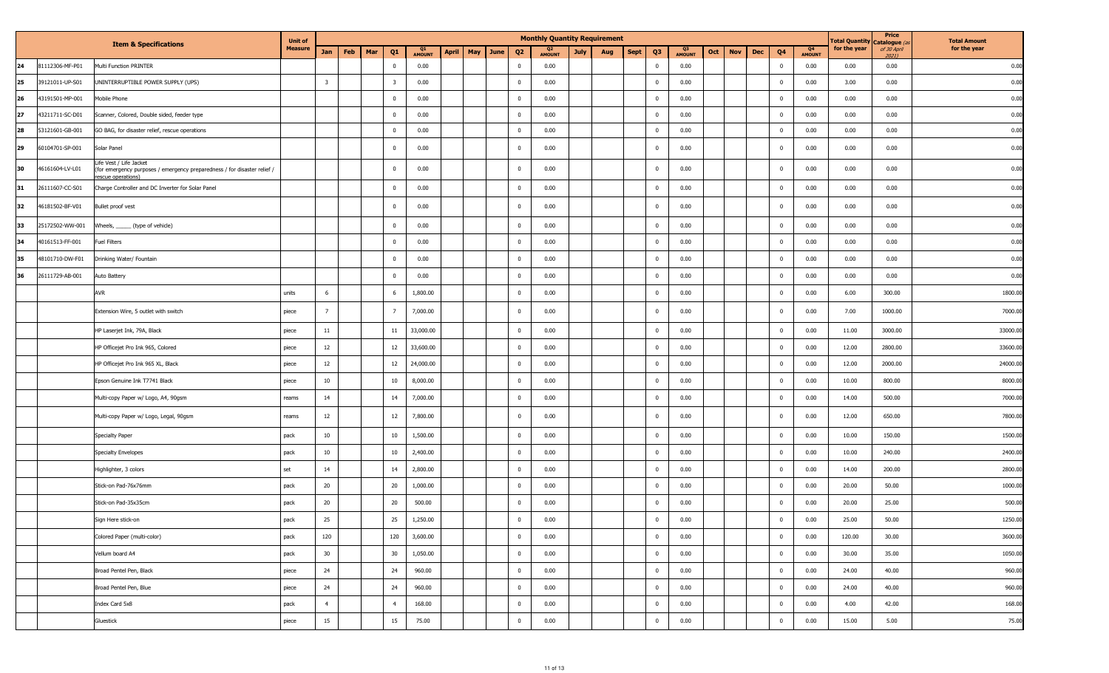|    |                 | <b>Item &amp; Specifications</b>                                                                                         | <b>Unit of</b> |                         |     |     |                         |              |                     |                         |                                 | <b>Monthly Quantity Requirement</b> |      |                |                     |     |            |     |                |                     | <b>Total Quantity</b> | Price<br>Catalogue (a | <b>Total Amount</b> |
|----|-----------------|--------------------------------------------------------------------------------------------------------------------------|----------------|-------------------------|-----|-----|-------------------------|--------------|---------------------|-------------------------|---------------------------------|-------------------------------------|------|----------------|---------------------|-----|------------|-----|----------------|---------------------|-----------------------|-----------------------|---------------------|
|    |                 |                                                                                                                          | <b>Measure</b> | Jan                     | Feb | Mar | Q1                      | Q1<br>AMOUNT | <b>April</b><br>May | June<br>Q <sub>2</sub>  | Q <sub>2</sub><br><b>AMOUNT</b> | <b>July</b><br>Aug                  | Sept | Q <sub>3</sub> | Q3<br><b>AMOUNT</b> | Oct | <b>Nov</b> | Dec | Q <sub>4</sub> | Q4<br><b>AMOUNT</b> | for the year          | of 30 April<br>20211  | for the year        |
| 24 | 81112306-MF-P01 | Multi Function PRINTER                                                                                                   |                |                         |     |     | $\mathbf 0$             | 0.00         |                     | $\overline{\mathbf{0}}$ | 0.00                            |                                     |      | $\overline{0}$ | 0.00                |     |            |     | $\mathbf{0}$   | 0.00                | 0.00                  | 0.00                  | 0.00                |
| 25 | 39121011-UP-S01 | UNINTERRUPTIBLE POWER SUPPLY (UPS)                                                                                       |                | $\overline{\mathbf{3}}$ |     |     | $\overline{\mathbf{3}}$ | 0.00         |                     | $\overline{\mathbf{0}}$ | 0.00                            |                                     |      | $\overline{0}$ | 0.00                |     |            |     | $\mathbf{0}$   | 0.00                | 3.00                  | 0.00                  | 0.00                |
| 26 | 43191501-MP-001 | Mobile Phone                                                                                                             |                |                         |     |     | $\bf{0}$                | 0.00         |                     | $\overline{\mathbf{0}}$ | 0.00                            |                                     |      | $\overline{0}$ | 0.00                |     |            |     | $\mathbf 0$    | 0.00                | 0.00                  | 0.00                  | 0.00                |
| 27 | 43211711-SC-D01 | Scanner, Colored, Double sided, feeder type                                                                              |                |                         |     |     | $\overline{0}$          | 0.00         |                     | $\overline{\mathbf{0}}$ | 0.00                            |                                     |      | $\overline{0}$ | 0.00                |     |            |     | $\mathbf 0$    | 0.00                | 0.00                  | 0.00                  | 0.00                |
| 28 | 53121601-GB-001 | GO BAG, for disaster relief, rescue operations                                                                           |                |                         |     |     | $\overline{0}$          | 0.00         |                     | $\overline{\mathbf{0}}$ | 0.00                            |                                     |      | $\overline{0}$ | 0.00                |     |            |     | $\bf{0}$       | 0.00                | 0.00                  | 0.00                  | 0.00                |
| 29 | 60104701-SP-001 | Solar Panel                                                                                                              |                |                         |     |     | $\bf{0}$                | 0.00         |                     | $\overline{\mathbf{0}}$ | 0.00                            |                                     |      | $\overline{0}$ | 0.00                |     |            |     | $\mathbf{0}$   | 0.00                | 0.00                  | 0.00                  | 0.00                |
| 30 | 46161604-LV-L01 | Life Vest / Life Jacket<br>(for emergency purposes / emergency preparedness / for disaster relief /<br>escue operations) |                |                         |     |     | $\bf{0}$                | 0.00         |                     | $\overline{\mathbf{0}}$ | 0.00                            |                                     |      | $\overline{0}$ | 0.00                |     |            |     | $\mathbf 0$    | 0.00                | 0.00                  | 0.00                  | 0.00                |
| 31 | 26111607-CC-S01 | Charge Controller and DC Inverter for Solar Panel                                                                        |                |                         |     |     | $\bf{0}$                | 0.00         |                     | $\overline{\mathbf{0}}$ | 0.00                            |                                     |      | $\overline{0}$ | 0.00                |     |            |     | $\mathbf{0}$   | 0.00                | 0.00                  | 0.00                  | 0.00                |
| 32 | 46181502-BF-V01 | Bullet proof vest                                                                                                        |                |                         |     |     | $\mathbf 0$             | 0.00         |                     | $\overline{0}$          | 0.00                            |                                     |      | $\overline{0}$ | 0.00                |     |            |     | $\mathbf 0$    | 0.00                | 0.00                  | 0.00                  | 0.00                |
| 33 | 25172502-WW-001 | Wheels, ______ (type of vehicle)                                                                                         |                |                         |     |     | $\bf{0}$                | 0.00         |                     | $\overline{\mathbf{0}}$ | 0.00                            |                                     |      | $\overline{0}$ | 0.00                |     |            |     | $\mathbf 0$    | 0.00                | 0.00                  | 0.00                  | 0.00                |
| 34 | 40161513-FF-001 | <b>Fuel Filters</b>                                                                                                      |                |                         |     |     | $\overline{0}$          | 0.00         |                     | $\overline{\mathbf{0}}$ | 0.00                            |                                     |      | $\overline{0}$ | 0.00                |     |            |     | $\bf{0}$       | 0.00                | 0.00                  | 0.00                  | 0.00                |
| 35 | 48101710-DW-F01 | Drinking Water/ Fountain                                                                                                 |                |                         |     |     | $\overline{0}$          | 0.00         |                     | $\overline{\mathbf{0}}$ | 0.00                            |                                     |      | $\overline{0}$ | 0.00                |     |            |     | $\bf{0}$       | 0.00                | 0.00                  | 0.00                  | 0.00                |
| 36 | 26111729-AB-001 | Auto Battery                                                                                                             |                |                         |     |     | $\overline{0}$          | 0.00         |                     | $\overline{0}$          | 0.00                            |                                     |      | $\overline{0}$ | 0.00                |     |            |     | $\mathbf 0$    | 0.00                | 0.00                  | 0.00                  | 0.00                |
|    |                 | AVR                                                                                                                      | units          | 6                       |     |     | 6                       | 1,800.00     |                     | $\overline{0}$          | 0.00                            |                                     |      | $\overline{0}$ | 0.00                |     |            |     | $\mathbf 0$    | 0.00                | 6.00                  | 300.00                | 1800.00             |
|    |                 | Extension Wire, 5 outlet with switch                                                                                     | piece          | $\overline{7}$          |     |     | $7\overline{ }$         | 7,000.00     |                     | $\overline{\mathbf{0}}$ | 0.00                            |                                     |      | $\overline{0}$ | 0.00                |     |            |     | $\mathbf{0}$   | 0.00                | 7.00                  | 1000.00               | 7000.00             |
|    |                 | HP Laserjet Ink, 79A, Black                                                                                              | piece          | 11                      |     |     | $11\,$                  | 33,000.00    |                     | $\overline{\mathbf{0}}$ | 0.00                            |                                     |      | $\overline{0}$ | 0.00                |     |            |     | $\mathbf{0}$   | 0.00                | 11.00                 | 3000.00               | 33000.0             |
|    |                 | HP Officejet Pro Ink 965, Colored                                                                                        | piece          | 12                      |     |     | 12                      | 33,600.00    |                     | $\overline{\mathbf{0}}$ | 0.00                            |                                     |      | $\overline{0}$ | 0.00                |     |            |     | $\mathbf 0$    | 0.00                | 12.00                 | 2800.00               | 33600.0             |
|    |                 | HP Officejet Pro Ink 965 XL, Black                                                                                       | piece          | 12                      |     |     | 12                      | 24,000.00    |                     | $\overline{\mathbf{0}}$ | 0.00                            |                                     |      | $\overline{0}$ | 0.00                |     |            |     | $\mathbf{0}$   | 0.00                | 12.00                 | 2000.00               | 24000.00            |
|    |                 | Epson Genuine Ink T7741 Black                                                                                            | piece          | 10                      |     |     | 10                      | 8,000.00     |                     | $\overline{\mathbf{0}}$ | 0.00                            |                                     |      | $\overline{0}$ | 0.00                |     |            |     | $\mathbf 0$    | 0.00                | 10.00                 | 800.00                | 8000.00             |
|    |                 | Multi-copy Paper w/ Logo, A4, 90gsm                                                                                      | reams          | 14                      |     |     | 14                      | 7,000.00     |                     | $\overline{0}$          | 0.00                            |                                     |      | $\overline{0}$ | 0.00                |     |            |     | $\mathbf 0$    | 0.00                | 14.00                 | 500.00                | 7000.0              |
|    |                 | Multi-copy Paper w/ Logo, Legal, 90gsm                                                                                   | reams          | 12                      |     |     | 12                      | 7,800.00     |                     | $\overline{\mathbf{0}}$ | 0.00                            |                                     |      | $\overline{0}$ | 0.00                |     |            |     | $\mathbf 0$    | 0.00                | 12.00                 | 650.00                | 7800.00             |
|    |                 | Specialty Paper                                                                                                          | pack           | 10                      |     |     | 10                      | 1,500.00     |                     | $\overline{\mathbf{0}}$ | 0.00                            |                                     |      | $\overline{0}$ | 0.00                |     |            |     | $\mathbf 0$    | 0.00                | 10.00                 | 150.00                | 1500.00             |
|    |                 | Specialty Envelopes                                                                                                      | pack           | 10 <sub>1</sub>         |     |     | 10                      | 2,400.00     |                     | $\overline{\mathbf{0}}$ | 0.00                            |                                     |      | $\overline{0}$ | 0.00                |     |            |     | $\mathbf{0}$   | 0.00                | 10.00                 | 240.00                | 2400.00             |
|    |                 | Highlighter, 3 colors                                                                                                    | set            | 14                      |     |     | 14                      | 2,800.00     |                     | $\overline{\mathbf{0}}$ | 0.00                            |                                     |      | $\overline{0}$ | 0.00                |     |            |     | $\mathbf 0$    | 0.00                | 14.00                 | 200.00                | 2800.00             |
|    |                 | Stick-on Pad-76x76mm                                                                                                     | pack           | 20                      |     |     | 20                      | 1,000.00     |                     | $\overline{\mathbf{0}}$ | 0.00                            |                                     |      | $\overline{0}$ | 0.00                |     |            |     | $\mathbf 0$    | 0.00                | 20.00                 | 50.00                 | 1000.00             |
|    |                 | Stick-on Pad-35x35cm                                                                                                     | pack           | 20                      |     |     | 20                      | 500.00       |                     | $\overline{\mathbf{0}}$ | 0.00                            |                                     |      | $\overline{0}$ | 0.00                |     |            |     | $\bf{0}$       | 0.00                | 20.00                 | 25.00                 | 500.00              |
|    |                 | Sign Here stick-on                                                                                                       | pack           | 25                      |     |     | 25                      | 1,250.00     |                     | $\overline{0}$          | 0.00                            |                                     |      | $\overline{0}$ | 0.00                |     |            |     | $\mathbf{0}$   | 0.00                | 25.00                 | 50.00                 | 1250.00             |
|    |                 | Colored Paper (multi-color)                                                                                              | pack           | 120                     |     |     | 120                     | 3,600.00     |                     | $\overline{0}$          | 0.00                            |                                     |      | $\overline{0}$ | 0.00                |     |            |     | $\mathbf 0$    | 0.00                | 120.00                | 30.00                 | 3600.00             |
|    |                 | Vellum board A4                                                                                                          | pack           | 30                      |     |     | 30                      | 1,050.00     |                     | $\overline{\mathbf{0}}$ | 0.00                            |                                     |      | $\overline{0}$ | 0.00                |     |            |     | $\bf{0}$       | 0.00                | 30.00                 | 35.00                 | 1050.00             |
|    |                 | Broad Pentel Pen, Black                                                                                                  | piece          | 24                      |     |     | 24                      | 960.00       |                     | $\overline{\mathbf{0}}$ | 0.00                            |                                     |      | $\mathbf 0$    | 0.00                |     |            |     | $\bf{0}$       | 0.00                | 24.00                 | 40.00                 | 960.0               |
|    |                 | Broad Pentel Pen, Blue                                                                                                   | piece          | 24                      |     |     | 24                      | 960.00       |                     | $\overline{0}$          | 0.00                            |                                     |      | $\overline{0}$ | 0.00                |     |            |     | $\mathbf 0$    | 0.00                | 24.00                 | 40.00                 | 960.0               |
|    |                 | Index Card 5x8                                                                                                           | pack           | $\overline{4}$          |     |     | $\overline{4}$          | 168.00       |                     | $\overline{0}$          | 0.00                            |                                     |      | $\overline{0}$ | 0.00                |     |            |     | $\mathbf 0$    | 0.00                | 4.00                  | 42.00                 | 168.00              |
|    |                 | Gluestick                                                                                                                | piece          | 15                      |     |     | 15                      | 75.00        |                     | $\mathbf 0$             | 0.00                            |                                     |      | $\mathbf 0$    | 0.00                |     |            |     | $\mathbf 0$    | 0.00                | 15.00                 | 5.00                  | 75.00               |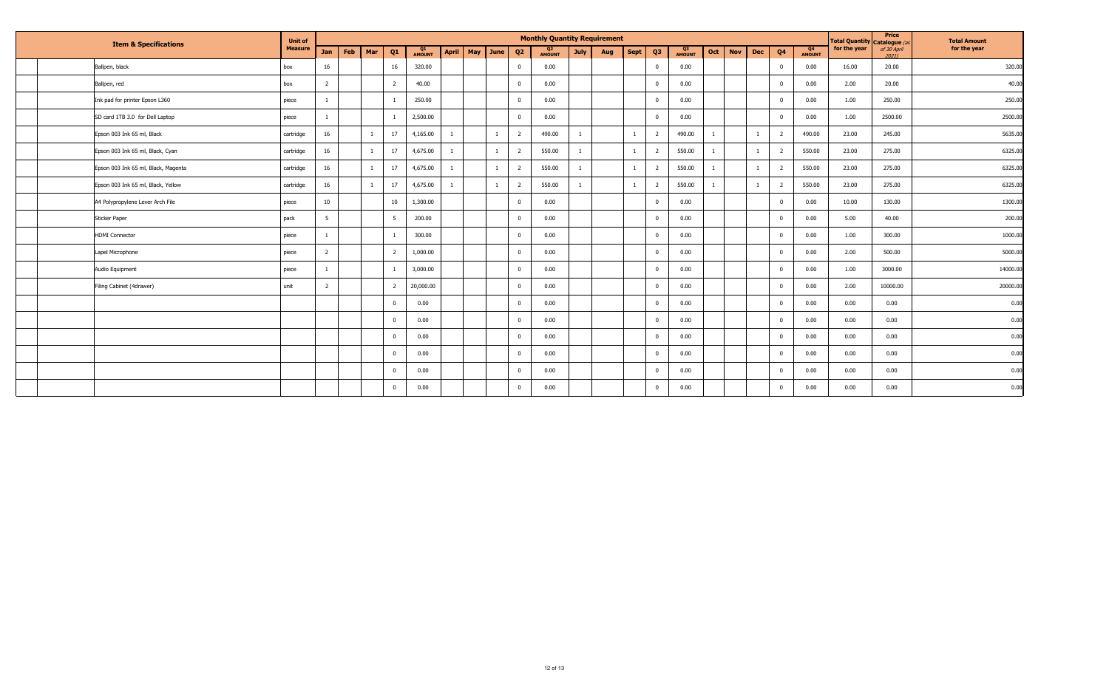| <b>Item &amp; Specifications</b> |                                     | <b>Unit of</b> |                | <b>Monthly Quantity Requirement</b> |     |                |                     |              |     |              |                |                     |             |     |             |                |                     |     | Total Quantity Catalogue (a | Price | <b>Total Amount</b> |              |              |                      |              |
|----------------------------------|-------------------------------------|----------------|----------------|-------------------------------------|-----|----------------|---------------------|--------------|-----|--------------|----------------|---------------------|-------------|-----|-------------|----------------|---------------------|-----|-----------------------------|-------|---------------------|--------------|--------------|----------------------|--------------|
|                                  |                                     | <b>Measure</b> | <b>Jan</b>     | Feb                                 | Mar | Q <sub>1</sub> | Q1<br><b>AMOUNT</b> | <b>April</b> | May | June         | Q <sub>2</sub> | Q2<br><b>AMOUNT</b> | <b>July</b> | Aug | <b>Sept</b> | Q3             | Q3<br><b>AMOUNT</b> | Oct | <b>Nov</b>                  | Dec   | Q <sub>4</sub>      | Q4<br>AMOUNT | for the year | of 30 April<br>20211 | for the year |
|                                  | Ballpen, black                      | box            | 16             |                                     |     | 16             | 320.00              |              |     |              | $\Omega$       | 0.00                |             |     |             | $\Omega$       | 0.00                |     |                             |       | $\mathbf{0}$        | 0.00         | 16.00        | 20.00                | 320.00       |
|                                  | Ballpen, red                        | box            | $\overline{2}$ |                                     |     | $\overline{2}$ | 40.00               |              |     |              | $\Omega$       | 0.00                |             |     |             | $\Omega$       | 0.00                |     |                             |       | $\mathbf{0}$        | 0.00         | 2.00         | 20.00                | 40.00        |
|                                  | Ink pad for printer Epson L360      | piece          |                |                                     |     |                | 250.00              |              |     |              | $\mathbf 0$    | 0.00                |             |     |             | $\Omega$       | 0.00                |     |                             |       | $\mathbf 0$         | 0.00         | 1.00         | 250.00               | 250.00       |
|                                  | SD card 1TB 3.0 for Dell Laptop     | piece          |                |                                     |     |                | 2,500.00            |              |     |              | $\mathbf 0$    | 0.00                |             |     |             | $\Omega$       | 0.00                |     |                             |       | $\mathbf{0}$        | 0.00         | 1.00         | 2500.00              | 2500.00      |
|                                  | Epson 003 Ink 65 ml, Black          | cartridge      | 16             |                                     |     | 17             | 4,165.00            |              |     |              | $\overline{2}$ | 490.00              |             |     |             | $\overline{2}$ | 490.00              |     |                             |       | $\overline{2}$      | 490.00       | 23.00        | 245.00               | 5635.00      |
|                                  | Epson 003 Ink 65 ml, Black, Cyan    | cartridge      | 16             |                                     |     | 17             | 4,675.00            |              |     |              | $\overline{2}$ | 550.00              |             |     |             | $\overline{2}$ | 550.00              |     |                             |       | $\overline{2}$      | 550.00       | 23.00        | 275.00               | 6325.00      |
|                                  | Epson 003 Ink 65 ml, Black, Magenta | cartridge      | 16             |                                     |     | 17             | 4,675.00            |              |     | $\mathbf{1}$ | $\overline{2}$ | 550.00              |             |     |             | 2              | 550.00              |     |                             |       | $\overline{2}$      | 550.00       | 23.00        | 275.00               | 6325.00      |
|                                  | Epson 003 Ink 65 ml, Black, Yellow  | cartridge      | 16             |                                     |     | 17             | 4,675.00            |              |     |              | $\overline{2}$ | 550.00              |             |     |             | -2             | 550.00              |     |                             |       | $\overline{2}$      | 550.00       | 23.00        | 275.00               | 6325.00      |
|                                  | A4 Polypropylene Lever Arch File    | piece          | 10             |                                     |     | 10             | 1,300.00            |              |     |              | $\Omega$       | 0.00                |             |     |             | $\Omega$       | 0.00                |     |                             |       | $\overline{0}$      | 0.00         | 10.00        | 130.00               | 1300.00      |
|                                  | <b>Sticker Paper</b>                | pack           | 5              |                                     |     | 5              | 200.00              |              |     |              | $\Omega$       | 0.00                |             |     |             | $\Omega$       | 0.00                |     |                             |       | $\mathbf 0$         | 0.00         | 5.00         | 40.00                | 200.00       |
|                                  | <b>HDMI</b> Connector               | piece          |                |                                     |     |                | 300.00              |              |     |              | $\Omega$       | 0.00                |             |     |             | $\Omega$       | 0.00                |     |                             |       | $\mathbf{0}$        | 0.00         | 1.00         | 300.00               | 1000.00      |
|                                  | Lapel Microphone                    | piece          | $\overline{2}$ |                                     |     | $\overline{2}$ | 1,000.00            |              |     |              | $\mathbf 0$    | 0.00                |             |     |             | $\Omega$       | 0.00                |     |                             |       | $\mathbf{0}$        | 0.00         | 2.00         | 500.00               | 5000.00      |
|                                  | Audio Equipment                     | piece          |                |                                     |     |                | 3,000.00            |              |     |              | $\mathbf 0$    | 0.00                |             |     |             | $\Omega$       | 0.00                |     |                             |       | $\overline{0}$      | 0.00         | 1.00         | 3000.00              | 14000.00     |
|                                  | Filing Cabinet (4drawer)            | unit           | $\overline{2}$ |                                     |     | $\overline{2}$ | 20,000.00           |              |     |              | $\overline{0}$ | 0.00                |             |     |             | $\overline{0}$ | 0.00                |     |                             |       | $\overline{0}$      | 0.00         | 2.00         | 10000.00             | 20000.00     |
|                                  |                                     |                |                |                                     |     | $\mathbf{0}$   | 0.00                |              |     |              | $\mathbf 0$    | 0.00                |             |     |             | $\Omega$       | 0.00                |     |                             |       | $\bf{0}$            | 0.00         | 0.00         | 0.00                 | 0.00         |
|                                  |                                     |                |                |                                     |     | $\overline{0}$ | 0.00                |              |     |              | $\overline{0}$ | 0.00                |             |     |             | $\Omega$       | 0.00                |     |                             |       | $\overline{0}$      | 0.00         | 0.00         | 0.00                 | 0.00         |
|                                  |                                     |                |                |                                     |     | $\overline{0}$ | 0.00                |              |     |              | $\mathbf 0$    | 0.00                |             |     |             | $\Omega$       | 0.00                |     |                             |       | $\mathbf 0$         | 0.00         | 0.00         | 0.00                 | 0.00         |
|                                  |                                     |                |                |                                     |     | $\overline{0}$ | 0.00                |              |     |              | $\overline{0}$ | 0.00                |             |     |             | $\Omega$       | 0.00                |     |                             |       | $\overline{0}$      | 0.00         | 0.00         | 0.00                 | 0.00         |
|                                  |                                     |                |                |                                     |     | $\overline{0}$ | 0.00                |              |     |              | $\overline{0}$ | 0.00                |             |     |             | $\overline{0}$ | 0.00                |     |                             |       | $\overline{0}$      | 0.00         | 0.00         | 0.00                 | 0.00         |
|                                  |                                     |                |                |                                     |     | $\mathbf{0}$   | 0.00                |              |     |              | $\mathbf 0$    | 0.00                |             |     |             | $\overline{0}$ | 0.00                |     |                             |       | $\mathbf{0}$        | 0.00         | 0.00         | 0.00                 | 0.00         |